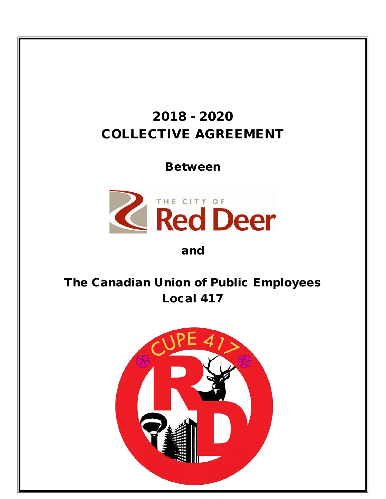# 2018 - 2020 COLLECTIVE AGREEMENT

Between



## and

# The Canadian Union of Public Employees Local 417

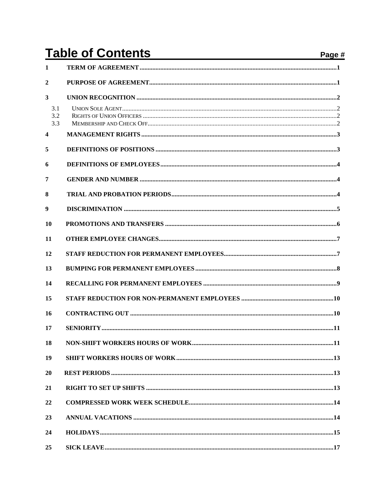# **Table of Contents**

| <b>Table of Contents</b> |  | Page # |
|--------------------------|--|--------|
| $\mathbf{1}$             |  |        |
| $\mathbf{2}$             |  |        |
| $\overline{\mathbf{3}}$  |  |        |
| 3.1<br>3.2<br>3.3        |  |        |
| $\overline{\mathbf{4}}$  |  |        |
| 5                        |  |        |
| 6                        |  |        |
| 7                        |  |        |
| 8                        |  |        |
| 9                        |  |        |
| 10                       |  |        |
| 11                       |  |        |
| 12                       |  |        |
| 13                       |  |        |
| 14                       |  |        |
| 15                       |  |        |
| 16                       |  |        |
| 17                       |  |        |
| 18                       |  |        |
| 19                       |  |        |
| 20                       |  |        |
| 21                       |  |        |
| 22                       |  |        |
| 23                       |  |        |
| 24                       |  |        |
| 25                       |  |        |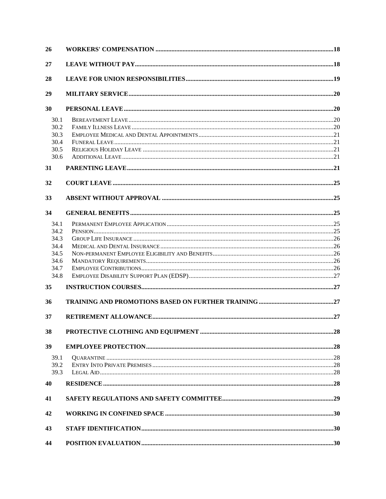| 26   |  |
|------|--|
| 27   |  |
| 28   |  |
| 29   |  |
| 30   |  |
| 30.1 |  |
| 30.2 |  |
| 30.3 |  |
| 30.4 |  |
| 30.5 |  |
| 30.6 |  |
| 31   |  |
| 32   |  |
| 33   |  |
| 34   |  |
| 34.1 |  |
| 34.2 |  |
| 34.3 |  |
| 34.4 |  |
| 34.5 |  |
| 34.6 |  |
| 34.7 |  |
| 34.8 |  |
| 35   |  |
| 36   |  |
| 37   |  |
| 38   |  |
| 39   |  |
| 39.1 |  |
| 39.2 |  |
| 39.3 |  |
| 40   |  |
| 41   |  |
| 42   |  |
| 43   |  |
| 44   |  |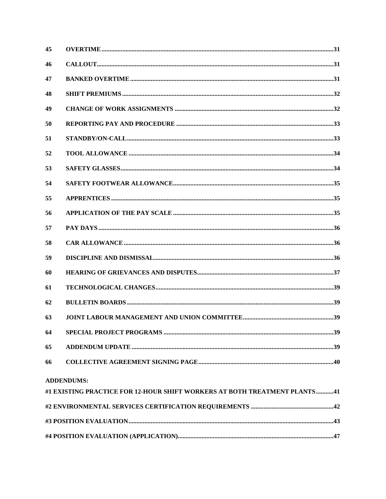| 45 |                                                                           |  |
|----|---------------------------------------------------------------------------|--|
| 46 |                                                                           |  |
| 47 |                                                                           |  |
| 48 |                                                                           |  |
| 49 |                                                                           |  |
| 50 |                                                                           |  |
| 51 |                                                                           |  |
| 52 |                                                                           |  |
| 53 |                                                                           |  |
| 54 |                                                                           |  |
| 55 |                                                                           |  |
| 56 |                                                                           |  |
| 57 |                                                                           |  |
| 58 |                                                                           |  |
| 59 |                                                                           |  |
| 60 |                                                                           |  |
| 61 |                                                                           |  |
| 62 |                                                                           |  |
| 63 |                                                                           |  |
| 64 |                                                                           |  |
| 65 |                                                                           |  |
| 66 |                                                                           |  |
|    | <b>ADDENDUMS:</b>                                                         |  |
|    | #1 EXISTING PRACTICE FOR 12-HOUR SHIFT WORKERS AT BOTH TREATMENT PLANTS41 |  |
|    |                                                                           |  |
|    |                                                                           |  |
|    |                                                                           |  |
|    |                                                                           |  |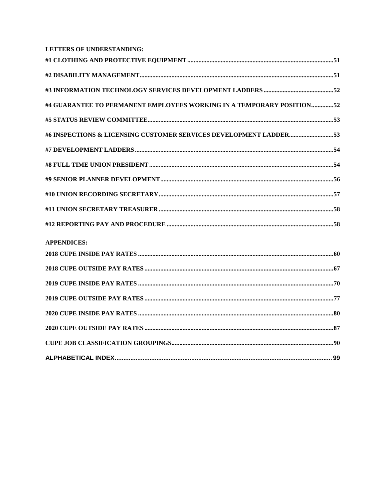| <b>LETTERS OF UNDERSTANDING:</b>                                      |  |
|-----------------------------------------------------------------------|--|
|                                                                       |  |
|                                                                       |  |
|                                                                       |  |
| #4 GUARANTEE TO PERMANENT EMPLOYEES WORKING IN A TEMPORARY POSITION52 |  |
|                                                                       |  |
|                                                                       |  |
|                                                                       |  |
|                                                                       |  |
|                                                                       |  |
|                                                                       |  |
|                                                                       |  |
|                                                                       |  |
| <b>APPENDICES:</b>                                                    |  |
|                                                                       |  |
|                                                                       |  |
|                                                                       |  |
|                                                                       |  |
|                                                                       |  |
|                                                                       |  |
|                                                                       |  |
|                                                                       |  |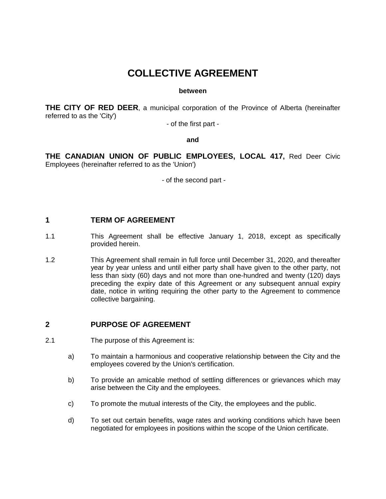## **COLLECTIVE AGREEMENT**

#### **between**

**THE CITY OF RED DEER**, a municipal corporation of the Province of Alberta (hereinafter referred to as the 'City')

- of the first part -

#### **and**

**THE CANADIAN UNION OF PUBLIC EMPLOYEES, LOCAL 417,** Red Deer Civic Employees (hereinafter referred to as the 'Union')

- of the second part -

## <span id="page-7-0"></span>**1 TERM OF AGREEMENT**

- 1.1 This Agreement shall be effective January 1, 2018, except as specifically provided herein.
- 1.2 This Agreement shall remain in full force until December 31, 2020, and thereafter year by year unless and until either party shall have given to the other party, not less than sixty (60) days and not more than one-hundred and twenty (120) days preceding the expiry date of this Agreement or any subsequent annual expiry date, notice in writing requiring the other party to the Agreement to commence collective bargaining.

#### <span id="page-7-1"></span>**2 PURPOSE OF AGREEMENT**

- 2.1 The purpose of this Agreement is:
	- a) To maintain a harmonious and cooperative relationship between the City and the employees covered by the Union's certification.
	- b) To provide an amicable method of settling differences or grievances which may arise between the City and the employees.
	- c) To promote the mutual interests of the City, the employees and the public.
	- d) To set out certain benefits, wage rates and working conditions which have been negotiated for employees in positions within the scope of the Union certificate.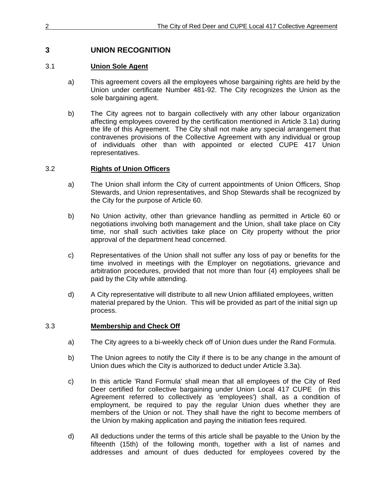## <span id="page-8-0"></span>**3 UNION RECOGNITION**

## <span id="page-8-1"></span>3.1 **Union Sole Agent**

- a) This agreement covers all the employees whose bargaining rights are held by the Union under certificate Number 481-92. The City recognizes the Union as the sole bargaining agent.
- b) The City agrees not to bargain collectively with any other labour organization affecting employees covered by the certification mentioned in Article 3.1a) during the life of this Agreement. The City shall not make any special arrangement that contravenes provisions of the Collective Agreement with any individual or group of individuals other than with appointed or elected CUPE 417 Union representatives.

## <span id="page-8-2"></span>3.2 **Rights of Union Officers**

- a) The Union shall inform the City of current appointments of Union Officers, Shop Stewards, and Union representatives, and Shop Stewards shall be recognized by the City for the purpose of Article 60.
- b) No Union activity, other than grievance handling as permitted in Article 60 or negotiations involving both management and the Union, shall take place on City time, nor shall such activities take place on City property without the prior approval of the department head concerned.
- c) Representatives of the Union shall not suffer any loss of pay or benefits for the time involved in meetings with the Employer on negotiations, grievance and arbitration procedures, provided that not more than four (4) employees shall be paid by the City while attending.
- d) A City representative will distribute to all new Union affiliated employees, written material prepared by the Union. This will be provided as part of the initial sign up process.

## <span id="page-8-3"></span>3.3 **Membership and Check Off**

- a) The City agrees to a bi-weekly check off of Union dues under the Rand Formula.
- b) The Union agrees to notify the City if there is to be any change in the amount of Union dues which the City is authorized to deduct under Article 3.3a).
- c) In this article 'Rand Formula' shall mean that all employees of the City of Red Deer certified for collective bargaining under Union Local 417 CUPE (in this Agreement referred to collectively as 'employees') shall, as a condition of employment, be required to pay the regular Union dues whether they are members of the Union or not. They shall have the right to become members of the Union by making application and paying the initiation fees required.
- d) All deductions under the terms of this article shall be payable to the Union by the fifteenth (15th) of the following month, together with a list of names and addresses and amount of dues deducted for employees covered by the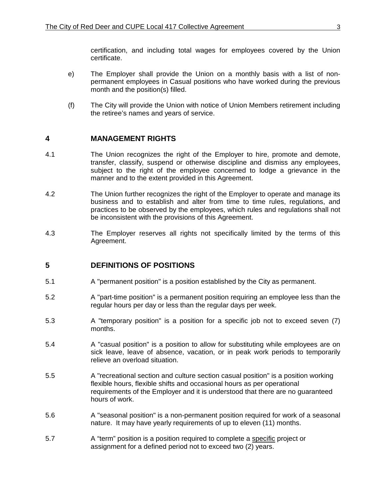certification, and including total wages for employees covered by the Union certificate.

- e) The Employer shall provide the Union on a monthly basis with a list of nonpermanent employees in Casual positions who have worked during the previous month and the position(s) filled.
- (f) The City will provide the Union with notice of Union Members retirement including the retiree's names and years of service.

#### <span id="page-9-0"></span>**4 MANAGEMENT RIGHTS**

- 4.1 The Union recognizes the right of the Employer to hire, promote and demote, transfer, classify, suspend or otherwise discipline and dismiss any employees, subject to the right of the employee concerned to lodge a grievance in the manner and to the extent provided in this Agreement.
- 4.2 The Union further recognizes the right of the Employer to operate and manage its business and to establish and alter from time to time rules, regulations, and practices to be observed by the employees, which rules and regulations shall not be inconsistent with the provisions of this Agreement.
- 4.3 The Employer reserves all rights not specifically limited by the terms of this Agreement.

#### <span id="page-9-1"></span>**5 DEFINITIONS OF POSITIONS**

- 5.1 A "permanent position" is a position established by the City as permanent.
- 5.2 A "part-time position" is a permanent position requiring an employee less than the regular hours per day or less than the regular days per week.
- 5.3 A "temporary position" is a position for a specific job not to exceed seven (7) months.
- 5.4 A "casual position" is a position to allow for substituting while employees are on sick leave, leave of absence, vacation, or in peak work periods to temporarily relieve an overload situation.
- 5.5 A "recreational section and culture section casual position" is a position working flexible hours, flexible shifts and occasional hours as per operational requirements of the Employer and it is understood that there are no guaranteed hours of work.
- 5.6 A "seasonal position" is a non-permanent position required for work of a seasonal nature. It may have yearly requirements of up to eleven (11) months.
- 5.7 A "term" position is a position required to complete a specific project or assignment for a defined period not to exceed two (2) years.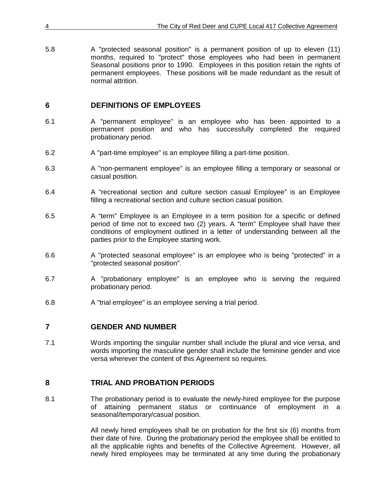| 4   | The City of Red Deer and CUPE Local 417 Collective Agreement                                                                                                                                                                                                                                                                                      |
|-----|---------------------------------------------------------------------------------------------------------------------------------------------------------------------------------------------------------------------------------------------------------------------------------------------------------------------------------------------------|
| 5.8 | A "protected seasonal position" is a permanent position of up to eleven (11)<br>months, required to "protect" those employees who had been in permanent<br>Seasonal positions prior to 1990. Employees in this position retain the rights of<br>permanent employees. These positions will be made redundant as the result of<br>normal attrition. |

## <span id="page-10-0"></span>**6 DEFINITIONS OF EMPLOYEES**

- 6.1 A "permanent employee" is an employee who has been appointed to a permanent position and who has successfully completed the required probationary period.
- 6.2 A "part-time employee" is an employee filling a part-time position.
- 6.3 A "non-permanent employee" is an employee filling a temporary or seasonal or casual position.
- 6.4 A "recreational section and culture section casual Employee" is an Employee filling a recreational section and culture section casual position.
- 6.5 A "term" Employee is an Employee in a term position for a specific or defined period of time not to exceed two (2) years. A "term" Employee shall have their conditions of employment outlined in a letter of understanding between all the parties prior to the Employee starting work.
- 6.6 A "protected seasonal employee" is an employee who is being "protected" in a "protected seasonal position".
- 6.7 A "probationary employee" is an employee who is serving the required probationary period.
- 6.8 A "trial employee" is an employee serving a trial period.

#### <span id="page-10-1"></span>**7 GENDER AND NUMBER**

7.1 Words importing the singular number shall include the plural and vice versa, and words importing the masculine gender shall include the feminine gender and vice versa wherever the content of this Agreement so requires.

## <span id="page-10-2"></span>**8 TRIAL AND PROBATION PERIODS**

8.1 The probationary period is to evaluate the newly-hired employee for the purpose of attaining permanent status or continuance of employment in a seasonal/temporary/casual position.

> All newly hired employees shall be on probation for the first six (6) months from their date of hire. During the probationary period the employee shall be entitled to all the applicable rights and benefits of the Collective Agreement. However, all newly hired employees may be terminated at any time during the probationary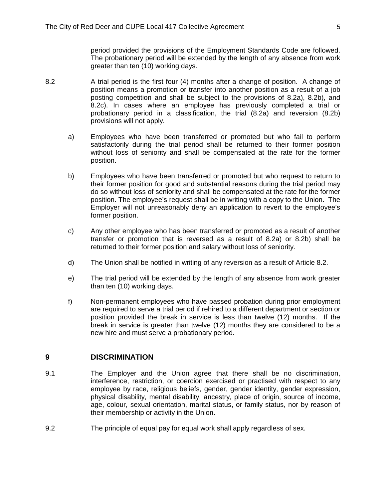period provided the provisions of the Employment Standards Code are followed. The probationary period will be extended by the length of any absence from work greater than ten (10) working days.

- 8.2 A trial period is the first four (4) months after a change of position. A change of position means a promotion or transfer into another position as a result of a job posting competition and shall be subject to the provisions of 8.2a), 8.2b), and 8.2c). In cases where an employee has previously completed a trial or probationary period in a classification, the trial (8.2a) and reversion (8.2b) provisions will not apply.
	- a) Employees who have been transferred or promoted but who fail to perform satisfactorily during the trial period shall be returned to their former position without loss of seniority and shall be compensated at the rate for the former position.
	- b) Employees who have been transferred or promoted but who request to return to their former position for good and substantial reasons during the trial period may do so without loss of seniority and shall be compensated at the rate for the former position. The employee's request shall be in writing with a copy to the Union. The Employer will not unreasonably deny an application to revert to the employee's former position.
	- c) Any other employee who has been transferred or promoted as a result of another transfer or promotion that is reversed as a result of 8.2a) or 8.2b) shall be returned to their former position and salary without loss of seniority.
	- d) The Union shall be notified in writing of any reversion as a result of Article 8.2.
	- e) The trial period will be extended by the length of any absence from work greater than ten (10) working days.
	- f) Non-permanent employees who have passed probation during prior employment are required to serve a trial period if rehired to a different department or section or position provided the break in service is less than twelve (12) months. If the break in service is greater than twelve (12) months they are considered to be a new hire and must serve a probationary period.

#### <span id="page-11-0"></span>**9 DISCRIMINATION**

- 9.1 The Employer and the Union agree that there shall be no discrimination, interference, restriction, or coercion exercised or practised with respect to any employee by race, religious beliefs, gender, gender identity, gender expression, physical disability, mental disability, ancestry, place of origin, source of income, age, colour, sexual orientation, marital status, or family status, nor by reason of their membership or activity in the Union.
- 9.2 The principle of equal pay for equal work shall apply regardless of sex.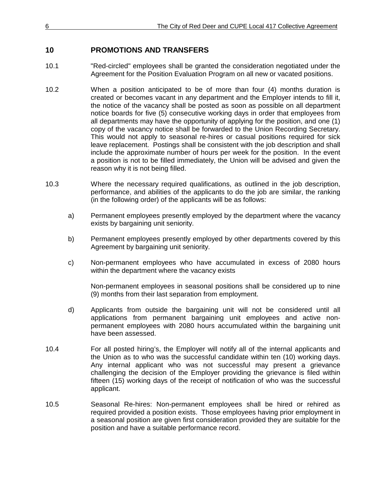## <span id="page-12-0"></span>**10 PROMOTIONS AND TRANSFERS**

- 10.1 "Red-circled" employees shall be granted the consideration negotiated under the Agreement for the Position Evaluation Program on all new or vacated positions.
- 10.2 When a position anticipated to be of more than four (4) months duration is created or becomes vacant in any department and the Employer intends to fill it, the notice of the vacancy shall be posted as soon as possible on all department notice boards for five (5) consecutive working days in order that employees from all departments may have the opportunity of applying for the position, and one (1) copy of the vacancy notice shall be forwarded to the Union Recording Secretary. This would not apply to seasonal re-hires or casual positions required for sick leave replacement. Postings shall be consistent with the job description and shall include the approximate number of hours per week for the position. In the event a position is not to be filled immediately, the Union will be advised and given the reason why it is not being filled.
- 10.3 Where the necessary required qualifications, as outlined in the job description, performance, and abilities of the applicants to do the job are similar, the ranking (in the following order) of the applicants will be as follows:
	- a) Permanent employees presently employed by the department where the vacancy exists by bargaining unit seniority.
	- b) Permanent employees presently employed by other departments covered by this Agreement by bargaining unit seniority.
	- c) Non-permanent employees who have accumulated in excess of 2080 hours within the department where the vacancy exists

Non-permanent employees in seasonal positions shall be considered up to nine (9) months from their last separation from employment.

- d) Applicants from outside the bargaining unit will not be considered until all applications from permanent bargaining unit employees and active nonpermanent employees with 2080 hours accumulated within the bargaining unit have been assessed.
- 10.4 For all posted hiring's, the Employer will notify all of the internal applicants and the Union as to who was the successful candidate within ten (10) working days. Any internal applicant who was not successful may present a grievance challenging the decision of the Employer providing the grievance is filed within fifteen (15) working days of the receipt of notification of who was the successful applicant.
- 10.5 Seasonal Re-hires: Non-permanent employees shall be hired or rehired as required provided a position exists. Those employees having prior employment in a seasonal position are given first consideration provided they are suitable for the position and have a suitable performance record.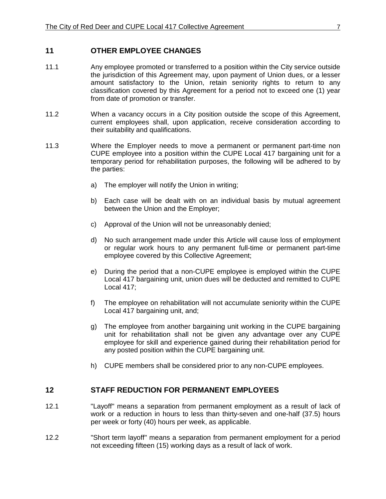#### <span id="page-13-0"></span>**11 OTHER EMPLOYEE CHANGES**

- 11.1 Any employee promoted or transferred to a position within the City service outside the jurisdiction of this Agreement may, upon payment of Union dues, or a lesser amount satisfactory to the Union, retain seniority rights to return to any classification covered by this Agreement for a period not to exceed one (1) year from date of promotion or transfer.
- 11.2 When a vacancy occurs in a City position outside the scope of this Agreement, current employees shall, upon application, receive consideration according to their suitability and qualifications.
- 11.3 Where the Employer needs to move a permanent or permanent part-time non CUPE employee into a position within the CUPE Local 417 bargaining unit for a temporary period for rehabilitation purposes, the following will be adhered to by the parties:
	- a) The employer will notify the Union in writing;
	- b) Each case will be dealt with on an individual basis by mutual agreement between the Union and the Employer;
	- c) Approval of the Union will not be unreasonably denied;
	- d) No such arrangement made under this Article will cause loss of employment or regular work hours to any permanent full-time or permanent part-time employee covered by this Collective Agreement;
	- e) During the period that a non-CUPE employee is employed within the CUPE Local 417 bargaining unit, union dues will be deducted and remitted to CUPE Local 417;
	- f) The employee on rehabilitation will not accumulate seniority within the CUPE Local 417 bargaining unit, and;
	- g) The employee from another bargaining unit working in the CUPE bargaining unit for rehabilitation shall not be given any advantage over any CUPE employee for skill and experience gained during their rehabilitation period for any posted position within the CUPE bargaining unit.
	- h) CUPE members shall be considered prior to any non-CUPE employees.

#### <span id="page-13-1"></span>**12 STAFF REDUCTION FOR PERMANENT EMPLOYEES**

- 12.1 "Layoff" means a separation from permanent employment as a result of lack of work or a reduction in hours to less than thirty-seven and one-half (37.5) hours per week or forty (40) hours per week, as applicable.
- 12.2 "Short term layoff" means a separation from permanent employment for a period not exceeding fifteen (15) working days as a result of lack of work.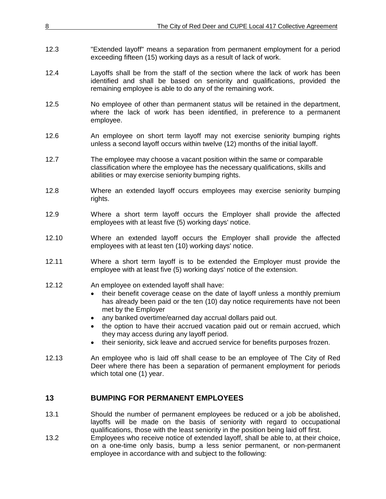| 8     | The City of Red Deer and CUPE Local 417 Collective Agreement                                                                                                                                                                                                                                                                                                                                                                                                                                                                       |
|-------|------------------------------------------------------------------------------------------------------------------------------------------------------------------------------------------------------------------------------------------------------------------------------------------------------------------------------------------------------------------------------------------------------------------------------------------------------------------------------------------------------------------------------------|
|       |                                                                                                                                                                                                                                                                                                                                                                                                                                                                                                                                    |
| 12.3  | "Extended layoff" means a separation from permanent employment for a period<br>exceeding fifteen (15) working days as a result of lack of work.                                                                                                                                                                                                                                                                                                                                                                                    |
| 12.4  | Layoffs shall be from the staff of the section where the lack of work has been<br>identified and shall be based on seniority and qualifications, provided the<br>remaining employee is able to do any of the remaining work.                                                                                                                                                                                                                                                                                                       |
| 12.5  | No employee of other than permanent status will be retained in the department,<br>where the lack of work has been identified, in preference to a permanent<br>employee.                                                                                                                                                                                                                                                                                                                                                            |
| 12.6  | An employee on short term layoff may not exercise seniority bumping rights<br>unless a second layoff occurs within twelve (12) months of the initial layoff.                                                                                                                                                                                                                                                                                                                                                                       |
| 12.7  | The employee may choose a vacant position within the same or comparable<br>classification where the employee has the necessary qualifications, skills and<br>abilities or may exercise seniority bumping rights.                                                                                                                                                                                                                                                                                                                   |
| 12.8  | Where an extended layoff occurs employees may exercise seniority bumping<br>rights.                                                                                                                                                                                                                                                                                                                                                                                                                                                |
| 12.9  | Where a short term layoff occurs the Employer shall provide the affected<br>employees with at least five (5) working days' notice.                                                                                                                                                                                                                                                                                                                                                                                                 |
| 12.10 | Where an extended layoff occurs the Employer shall provide the affected<br>employees with at least ten (10) working days' notice.                                                                                                                                                                                                                                                                                                                                                                                                  |
| 12.11 | Where a short term layoff is to be extended the Employer must provide the<br>employee with at least five (5) working days' notice of the extension.                                                                                                                                                                                                                                                                                                                                                                                |
| 12.12 | An employee on extended layoff shall have:<br>their benefit coverage cease on the date of layoff unless a monthly premium<br>$\bullet$<br>has already been paid or the ten (10) day notice requirements have not been<br>met by the Employer<br>any banked overtime/earned day accrual dollars paid out.<br>the option to have their accrued vacation paid out or remain accrued, which<br>they may access during any layoff period.<br>their seniority, sick leave and accrued service for benefits purposes frozen.<br>$\bullet$ |
| 12.13 | An employee who is laid off shall cease to be an employee of The City of Red<br>Deer where there has been a separation of permanent employment for periods<br>which total one (1) year.                                                                                                                                                                                                                                                                                                                                            |
| 13    | <b>BUMPING FOR PERMANENT EMPLOYEES</b>                                                                                                                                                                                                                                                                                                                                                                                                                                                                                             |

- <span id="page-14-0"></span>13.1 Should the number of permanent employees be reduced or a job be abolished, layoffs will be made on the basis of seniority with regard to occupational qualifications, those with the least seniority in the position being laid off first.
- 13.2 Employees who receive notice of extended layoff, shall be able to, at their choice, on a one-time only basis, bump a less senior permanent, or non-permanent employee in accordance with and subject to the following: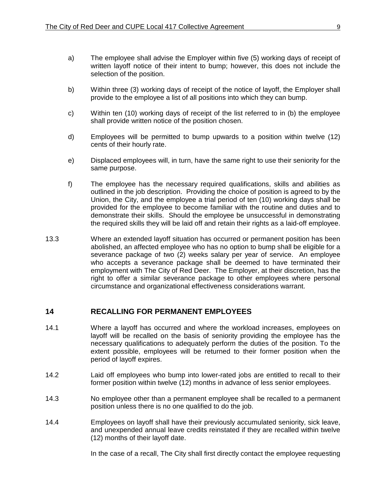- a) The employee shall advise the Employer within five (5) working days of receipt of written layoff notice of their intent to bump; however, this does not include the selection of the position.
- b) Within three (3) working days of receipt of the notice of layoff, the Employer shall provide to the employee a list of all positions into which they can bump.
- c) Within ten (10) working days of receipt of the list referred to in (b) the employee shall provide written notice of the position chosen.
- d) Employees will be permitted to bump upwards to a position within twelve (12) cents of their hourly rate.
- e) Displaced employees will, in turn, have the same right to use their seniority for the same purpose.
- f) The employee has the necessary required qualifications, skills and abilities as outlined in the job description. Providing the choice of position is agreed to by the Union, the City, and the employee a trial period of ten (10) working days shall be provided for the employee to become familiar with the routine and duties and to demonstrate their skills. Should the employee be unsuccessful in demonstrating the required skills they will be laid off and retain their rights as a laid-off employee.
- 13.3 Where an extended layoff situation has occurred or permanent position has been abolished, an affected employee who has no option to bump shall be eligible for a severance package of two (2) weeks salary per year of service. An employee who accepts a severance package shall be deemed to have terminated their employment with The City of Red Deer. The Employer, at their discretion, has the right to offer a similar severance package to other employees where personal circumstance and organizational effectiveness considerations warrant.

#### <span id="page-15-0"></span>**14 RECALLING FOR PERMANENT EMPLOYEES**

- 14.1 Where a layoff has occurred and where the workload increases, employees on layoff will be recalled on the basis of seniority providing the employee has the necessary qualifications to adequately perform the duties of the position. To the extent possible, employees will be returned to their former position when the period of layoff expires.
- 14.2 Laid off employees who bump into lower-rated jobs are entitled to recall to their former position within twelve (12) months in advance of less senior employees.
- 14.3 No employee other than a permanent employee shall be recalled to a permanent position unless there is no one qualified to do the job.
- 14.4 Employees on layoff shall have their previously accumulated seniority, sick leave, and unexpended annual leave credits reinstated if they are recalled within twelve (12) months of their layoff date.

In the case of a recall, The City shall first directly contact the employee requesting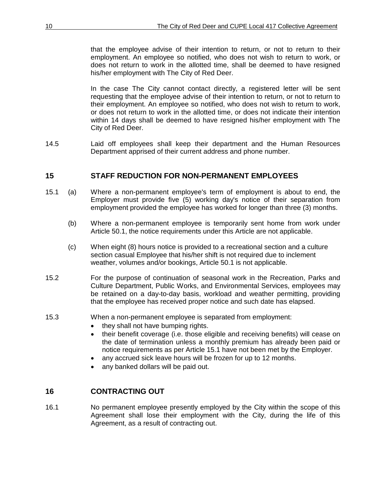that the employee advise of their intention to return, or not to return to their employment. An employee so notified, who does not wish to return to work, or does not return to work in the allotted time, shall be deemed to have resigned his/her employment with The City of Red Deer.

In the case The City cannot contact directly, a registered letter will be sent requesting that the employee advise of their intention to return, or not to return to their employment. An employee so notified, who does not wish to return to work, or does not return to work in the allotted time, or does not indicate their intention within 14 days shall be deemed to have resigned his/her employment with The City of Red Deer.

14.5 Laid off employees shall keep their department and the Human Resources Department apprised of their current address and phone number.

## <span id="page-16-0"></span>**15 STAFF REDUCTION FOR NON-PERMANENT EMPLOYEES**

- 15.1 (a) Where a non-permanent employee's term of employment is about to end, the Employer must provide five (5) working day's notice of their separation from employment provided the employee has worked for longer than three (3) months.
	- (b) Where a non-permanent employee is temporarily sent home from work under Article 50.1, the notice requirements under this Article are not applicable.
	- (c) When eight (8) hours notice is provided to a recreational section and a culture section casual Employee that his/her shift is not required due to inclement weather, volumes and/or bookings, Article 50.1 is not applicable.
- 15.2 For the purpose of continuation of seasonal work in the Recreation, Parks and Culture Department, Public Works, and Environmental Services, employees may be retained on a day-to-day basis, workload and weather permitting, providing that the employee has received proper notice and such date has elapsed.
- 15.3 When a non-permanent employee is separated from employment:
	- they shall not have bumping rights.
	- their benefit coverage (i.e. those eligible and receiving benefits) will cease on the date of termination unless a monthly premium has already been paid or notice requirements as per Article 15.1 have not been met by the Employer.
	- any accrued sick leave hours will be frozen for up to 12 months.
	- any banked dollars will be paid out.

## <span id="page-16-1"></span>**16 CONTRACTING OUT**

16.1 No permanent employee presently employed by the City within the scope of this Agreement shall lose their employment with the City, during the life of this Agreement, as a result of contracting out.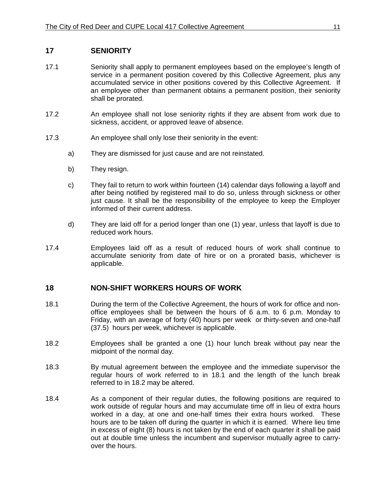## <span id="page-17-0"></span>**17 SENIORITY**

- 17.1 Seniority shall apply to permanent employees based on the employee's length of service in a permanent position covered by this Collective Agreement, plus any accumulated service in other positions covered by this Collective Agreement. If an employee other than permanent obtains a permanent position, their seniority shall be prorated.
- 17.2 An employee shall not lose seniority rights if they are absent from work due to sickness, accident, or approved leave of absence.
- 17.3 An employee shall only lose their seniority in the event:
	- a) They are dismissed for just cause and are not reinstated.
	- b) They resign.
	- c) They fail to return to work within fourteen (14) calendar days following a layoff and after being notified by registered mail to do so, unless through sickness or other just cause. It shall be the responsibility of the employee to keep the Employer informed of their current address.
	- d) They are laid off for a period longer than one (1) year, unless that layoff is due to reduced work hours.
- 17.4 Employees laid off as a result of reduced hours of work shall continue to accumulate seniority from date of hire or on a prorated basis, whichever is applicable.

## <span id="page-17-1"></span>**18 NON-SHIFT WORKERS HOURS OF WORK**

- 18.1 During the term of the Collective Agreement, the hours of work for office and nonoffice employees shall be between the hours of 6 a.m. to 6 p.m. Monday to Friday, with an average of forty (40) hours per week or thirty-seven and one-half (37.5) hours per week, whichever is applicable.
- 18.2 Employees shall be granted a one (1) hour lunch break without pay near the midpoint of the normal day.
- 18.3 By mutual agreement between the employee and the immediate supervisor the regular hours of work referred to in 18.1 and the length of the lunch break referred to in 18.2 may be altered.
- 18.4 As a component of their regular duties, the following positions are required to work outside of regular hours and may accumulate time off in lieu of extra hours worked in a day, at one and one-half times their extra hours worked. These hours are to be taken off during the quarter in which it is earned. Where lieu time in excess of eight (8) hours is not taken by the end of each quarter it shall be paid out at double time unless the incumbent and supervisor mutually agree to carryover the hours.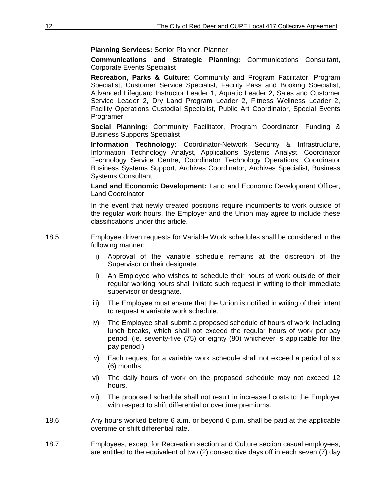**Planning Services:** Senior Planner, Planner

**Communications and Strategic Planning:** Communications Consultant, Corporate Events Specialist

**Recreation, Parks & Culture:** Community and Program Facilitator, Program Specialist, Customer Service Specialist, Facility Pass and Booking Specialist, Advanced Lifeguard Instructor Leader 1, Aquatic Leader 2, Sales and Customer Service Leader 2, Dry Land Program Leader 2, Fitness Wellness Leader 2, Facility Operations Custodial Specialist, Public Art Coordinator, Special Events Programer

**Social Planning:** Community Facilitator, Program Coordinator, Funding & Business Supports Specialist

**Information Technology:** Coordinator-Network Security & Infrastructure, Information Technology Analyst, Applications Systems Analyst, Coordinator Technology Service Centre, Coordinator Technology Operations, Coordinator Business Systems Support, Archives Coordinator, Archives Specialist, Business Systems Consultant

**Land and Economic Development:** Land and Economic Development Officer, Land Coordinator

In the event that newly created positions require incumbents to work outside of the regular work hours, the Employer and the Union may agree to include these classifications under this article.

- 18.5 Employee driven requests for Variable Work schedules shall be considered in the following manner:
	- i) Approval of the variable schedule remains at the discretion of the Supervisor or their designate.
	- ii) An Employee who wishes to schedule their hours of work outside of their regular working hours shall initiate such request in writing to their immediate supervisor or designate.
	- iii) The Employee must ensure that the Union is notified in writing of their intent to request a variable work schedule.
	- iv) The Employee shall submit a proposed schedule of hours of work, including lunch breaks, which shall not exceed the regular hours of work per pay period. (ie. seventy-five (75) or eighty (80) whichever is applicable for the pay period.)
	- v) Each request for a variable work schedule shall not exceed a period of six (6) months.
	- vi) The daily hours of work on the proposed schedule may not exceed 12 hours.
	- vii) The proposed schedule shall not result in increased costs to the Employer with respect to shift differential or overtime premiums.
- 18.6 Any hours worked before 6 a.m. or beyond 6 p.m. shall be paid at the applicable overtime or shift differential rate.
- 18.7 Employees, except for Recreation section and Culture section casual employees, are entitled to the equivalent of two (2) consecutive days off in each seven (7) day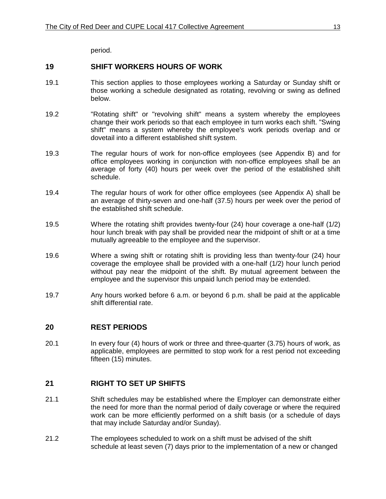period.

## <span id="page-19-0"></span>**19 SHIFT WORKERS HOURS OF WORK**

- 19.1 This section applies to those employees working a Saturday or Sunday shift or those working a schedule designated as rotating, revolving or swing as defined below.
- 19.2 "Rotating shift" or "revolving shift" means a system whereby the employees change their work periods so that each employee in turn works each shift. "Swing shift" means a system whereby the employee's work periods overlap and or dovetail into a different established shift system.
- 19.3 The regular hours of work for non-office employees (see Appendix B) and for office employees working in conjunction with non-office employees shall be an average of forty (40) hours per week over the period of the established shift schedule.
- 19.4 The regular hours of work for other office employees (see Appendix A) shall be an average of thirty-seven and one-half (37.5) hours per week over the period of the established shift schedule.
- 19.5 Where the rotating shift provides twenty-four (24) hour coverage a one-half (1/2) hour lunch break with pay shall be provided near the midpoint of shift or at a time mutually agreeable to the employee and the supervisor.
- 19.6 Where a swing shift or rotating shift is providing less than twenty-four (24) hour coverage the employee shall be provided with a one-half (1/2) hour lunch period without pay near the midpoint of the shift. By mutual agreement between the employee and the supervisor this unpaid lunch period may be extended.
- 19.7 Any hours worked before 6 a.m. or beyond 6 p.m. shall be paid at the applicable shift differential rate.

#### <span id="page-19-1"></span>**20 REST PERIODS**

20.1 In every four (4) hours of work or three and three-quarter (3.75) hours of work, as applicable, employees are permitted to stop work for a rest period not exceeding fifteen (15) minutes.

## <span id="page-19-2"></span>**21 RIGHT TO SET UP SHIFTS**

- 21.1 Shift schedules may be established where the Employer can demonstrate either the need for more than the normal period of daily coverage or where the required work can be more efficiently performed on a shift basis (or a schedule of days that may include Saturday and/or Sunday).
- 21.2 The employees scheduled to work on a shift must be advised of the shift schedule at least seven (7) days prior to the implementation of a new or changed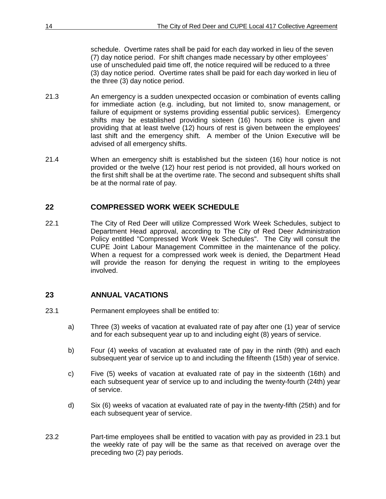schedule. Overtime rates shall be paid for each day worked in lieu of the seven (7) day notice period. For shift changes made necessary by other employees' use of unscheduled paid time off, the notice required will be reduced to a three (3) day notice period. Overtime rates shall be paid for each day worked in lieu of the three (3) day notice period.

- 21.3 An emergency is a sudden unexpected occasion or combination of events calling for immediate action (e.g. including, but not limited to, snow management, or failure of equipment or systems providing essential public services). Emergency shifts may be established providing sixteen (16) hours notice is given and providing that at least twelve (12) hours of rest is given between the employees' last shift and the emergency shift. A member of the Union Executive will be advised of all emergency shifts.
- 21.4 When an emergency shift is established but the sixteen (16) hour notice is not provided or the twelve (12) hour rest period is not provided, all hours worked on the first shift shall be at the overtime rate. The second and subsequent shifts shall be at the normal rate of pay.

## <span id="page-20-0"></span>**22 COMPRESSED WORK WEEK SCHEDULE**

22.1 The City of Red Deer will utilize Compressed Work Week Schedules, subject to Department Head approval, according to The City of Red Deer Administration Policy entitled "Compressed Work Week Schedules". The City will consult the CUPE Joint Labour Management Committee in the maintenance of the policy. When a request for a compressed work week is denied, the Department Head will provide the reason for denying the request in writing to the employees involved.

## <span id="page-20-1"></span>**23 ANNUAL VACATIONS**

- 23.1 Permanent employees shall be entitled to:
	- a) Three (3) weeks of vacation at evaluated rate of pay after one (1) year of service and for each subsequent year up to and including eight (8) years of service.
	- b) Four (4) weeks of vacation at evaluated rate of pay in the ninth (9th) and each subsequent year of service up to and including the fifteenth (15th) year of service.
	- c) Five (5) weeks of vacation at evaluated rate of pay in the sixteenth (16th) and each subsequent year of service up to and including the twenty-fourth (24th) year of service.
	- d) Six (6) weeks of vacation at evaluated rate of pay in the twenty-fifth (25th) and for each subsequent year of service.
- 23.2 Part-time employees shall be entitled to vacation with pay as provided in 23.1 but the weekly rate of pay will be the same as that received on average over the preceding two (2) pay periods.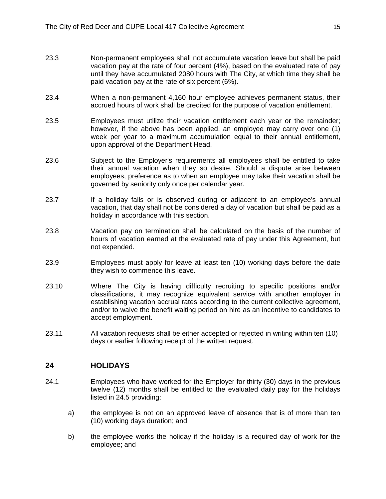- 23.3 Non-permanent employees shall not accumulate vacation leave but shall be paid vacation pay at the rate of four percent (4%), based on the evaluated rate of pay until they have accumulated 2080 hours with The City, at which time they shall be paid vacation pay at the rate of six percent (6%).
- 23.4 When a non-permanent 4,160 hour employee achieves permanent status, their accrued hours of work shall be credited for the purpose of vacation entitlement.
- 23.5 Employees must utilize their vacation entitlement each year or the remainder; however, if the above has been applied, an employee may carry over one (1) week per year to a maximum accumulation equal to their annual entitlement, upon approval of the Department Head.
- 23.6 Subject to the Employer's requirements all employees shall be entitled to take their annual vacation when they so desire. Should a dispute arise between employees, preference as to when an employee may take their vacation shall be governed by seniority only once per calendar year.
- 23.7 If a holiday falls or is observed during or adjacent to an employee's annual vacation, that day shall not be considered a day of vacation but shall be paid as a holiday in accordance with this section.
- 23.8 Vacation pay on termination shall be calculated on the basis of the number of hours of vacation earned at the evaluated rate of pay under this Agreement, but not expended.
- 23.9 Employees must apply for leave at least ten (10) working days before the date they wish to commence this leave.
- 23.10 Where The City is having difficulty recruiting to specific positions and/or classifications, it may recognize equivalent service with another employer in establishing vacation accrual rates according to the current collective agreement, and/or to waive the benefit waiting period on hire as an incentive to candidates to accept employment.
- 23.11 All vacation requests shall be either accepted or rejected in writing within ten (10) days or earlier following receipt of the written request.

## <span id="page-21-0"></span>**24 HOLIDAYS**

- 24.1 Employees who have worked for the Employer for thirty (30) days in the previous twelve (12) months shall be entitled to the evaluated daily pay for the holidays listed in 24.5 providing:
	- a) the employee is not on an approved leave of absence that is of more than ten (10) working days duration; and
	- b) the employee works the holiday if the holiday is a required day of work for the employee; and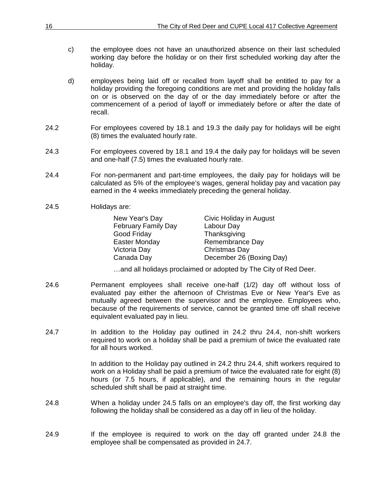- c) the employee does not have an unauthorized absence on their last scheduled working day before the holiday or on their first scheduled working day after the holiday.
- d) employees being laid off or recalled from layoff shall be entitled to pay for a holiday providing the foregoing conditions are met and providing the holiday falls on or is observed on the day of or the day immediately before or after the commencement of a period of layoff or immediately before or after the date of recall.
- 24.2 For employees covered by 18.1 and 19.3 the daily pay for holidays will be eight (8) times the evaluated hourly rate.
- 24.3 For employees covered by 18.1 and 19.4 the daily pay for holidays will be seven and one-half (7.5) times the evaluated hourly rate.
- 24.4 For non-permanent and part-time employees, the daily pay for holidays will be calculated as 5% of the employee's wages, general holiday pay and vacation pay earned in the 4 weeks immediately preceding the general holiday.
- 24.5 Holidays are:

| New Year's Day             | Civic Holiday in August  |
|----------------------------|--------------------------|
| <b>February Family Day</b> | Labour Day               |
| Good Friday                | Thanksgiving             |
| Easter Monday              | Remembrance Day          |
| Victoria Day               | Christmas Day            |
| Canada Day                 | December 26 (Boxing Day) |

…and all holidays proclaimed or adopted by The City of Red Deer.

- 24.6 Permanent employees shall receive one-half (1/2) day off without loss of evaluated pay either the afternoon of Christmas Eve or New Year's Eve as mutually agreed between the supervisor and the employee. Employees who, because of the requirements of service, cannot be granted time off shall receive equivalent evaluated pay in lieu.
- 24.7 In addition to the Holiday pay outlined in 24.2 thru 24.4, non-shift workers required to work on a holiday shall be paid a premium of twice the evaluated rate for all hours worked.

In addition to the Holiday pay outlined in 24.2 thru 24.4, shift workers required to work on a Holiday shall be paid a premium of twice the evaluated rate for eight (8) hours (or 7.5 hours, if applicable), and the remaining hours in the regular scheduled shift shall be paid at straight time.

- 24.8 When a holiday under 24.5 falls on an employee's day off, the first working day following the holiday shall be considered as a day off in lieu of the holiday.
- 24.9 **If the employee is required to work on the day off granted under 24.8 the** employee shall be compensated as provided in 24.7.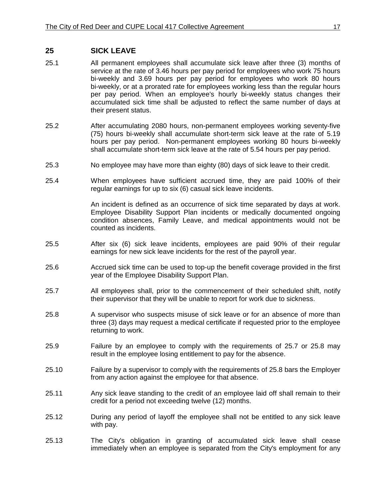#### <span id="page-23-0"></span>**25 SICK LEAVE**

- 25.1 All permanent employees shall accumulate sick leave after three (3) months of service at the rate of 3.46 hours per pay period for employees who work 75 hours bi-weekly and 3.69 hours per pay period for employees who work 80 hours bi-weekly, or at a prorated rate for employees working less than the regular hours per pay period. When an employee's hourly bi-weekly status changes their accumulated sick time shall be adjusted to reflect the same number of days at their present status.
- 25.2 After accumulating 2080 hours, non-permanent employees working seventy-five (75) hours bi-weekly shall accumulate short-term sick leave at the rate of 5.19 hours per pay period. Non-permanent employees working 80 hours bi-weekly shall accumulate short-term sick leave at the rate of 5.54 hours per pay period.
- 25.3 No employee may have more than eighty (80) days of sick leave to their credit.
- 25.4 When employees have sufficient accrued time, they are paid 100% of their regular earnings for up to six (6) casual sick leave incidents.

An incident is defined as an occurrence of sick time separated by days at work. Employee Disability Support Plan incidents or medically documented ongoing condition absences, Family Leave, and medical appointments would not be counted as incidents.

- 25.5 After six (6) sick leave incidents, employees are paid 90% of their regular earnings for new sick leave incidents for the rest of the payroll year.
- 25.6 Accrued sick time can be used to top-up the benefit coverage provided in the first year of the Employee Disability Support Plan.
- 25.7 All employees shall, prior to the commencement of their scheduled shift, notify their supervisor that they will be unable to report for work due to sickness.
- 25.8 A supervisor who suspects misuse of sick leave or for an absence of more than three (3) days may request a medical certificate if requested prior to the employee returning to work.
- 25.9 Failure by an employee to comply with the requirements of 25.7 or 25.8 may result in the employee losing entitlement to pay for the absence.
- 25.10 Failure by a supervisor to comply with the requirements of 25.8 bars the Employer from any action against the employee for that absence.
- 25.11 Any sick leave standing to the credit of an employee laid off shall remain to their credit for a period not exceeding twelve (12) months.
- 25.12 During any period of layoff the employee shall not be entitled to any sick leave with pay.
- 25.13 The City's obligation in granting of accumulated sick leave shall cease immediately when an employee is separated from the City's employment for any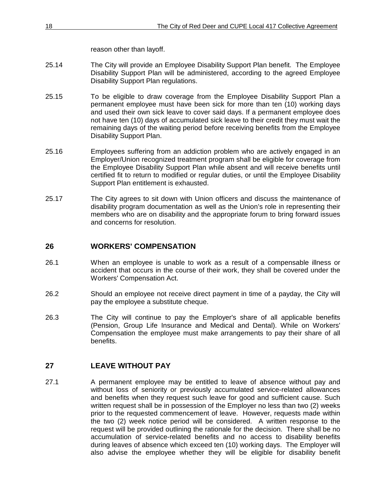reason other than layoff.

- 25.14 The City will provide an Employee Disability Support Plan benefit. The Employee Disability Support Plan will be administered, according to the agreed Employee Disability Support Plan regulations.
- 25.15 To be eligible to draw coverage from the Employee Disability Support Plan a permanent employee must have been sick for more than ten (10) working days and used their own sick leave to cover said days. If a permanent employee does not have ten (10) days of accumulated sick leave to their credit they must wait the remaining days of the waiting period before receiving benefits from the Employee Disability Support Plan.
- 25.16 Employees suffering from an addiction problem who are actively engaged in an Employer/Union recognized treatment program shall be eligible for coverage from the Employee Disability Support Plan while absent and will receive benefits until certified fit to return to modified or regular duties, or until the Employee Disability Support Plan entitlement is exhausted.
- 25.17 The City agrees to sit down with Union officers and discuss the maintenance of disability program documentation as well as the Union's role in representing their members who are on disability and the appropriate forum to bring forward issues and concerns for resolution.

## <span id="page-24-0"></span>**26 WORKERS' COMPENSATION**

- 26.1 When an employee is unable to work as a result of a compensable illness or accident that occurs in the course of their work, they shall be covered under the Workers' Compensation Act.
- 26.2 Should an employee not receive direct payment in time of a payday, the City will pay the employee a substitute cheque.
- 26.3 The City will continue to pay the Employer's share of all applicable benefits (Pension, Group Life Insurance and Medical and Dental). While on Workers' Compensation the employee must make arrangements to pay their share of all benefits.

## <span id="page-24-1"></span>**27 LEAVE WITHOUT PAY**

27.1 A permanent employee may be entitled to leave of absence without pay and without loss of seniority or previously accumulated service-related allowances and benefits when they request such leave for good and sufficient cause. Such written request shall be in possession of the Employer no less than two (2) weeks prior to the requested commencement of leave. However, requests made within the two (2) week notice period will be considered. A written response to the request will be provided outlining the rationale for the decision. There shall be no accumulation of service-related benefits and no access to disability benefits during leaves of absence which exceed ten (10) working days. The Employer will also advise the employee whether they will be eligible for disability benefit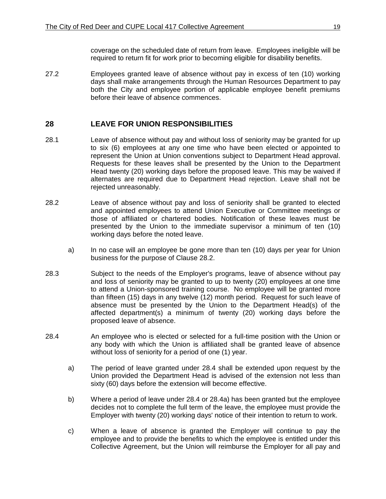coverage on the scheduled date of return from leave. Employees ineligible will be required to return fit for work prior to becoming eligible for disability benefits.

27.2 Employees granted leave of absence without pay in excess of ten (10) working days shall make arrangements through the Human Resources Department to pay both the City and employee portion of applicable employee benefit premiums before their leave of absence commences.

## <span id="page-25-0"></span>**28 LEAVE FOR UNION RESPONSIBILITIES**

- 28.1 Leave of absence without pay and without loss of seniority may be granted for up to six (6) employees at any one time who have been elected or appointed to represent the Union at Union conventions subject to Department Head approval. Requests for these leaves shall be presented by the Union to the Department Head twenty (20) working days before the proposed leave. This may be waived if alternates are required due to Department Head rejection. Leave shall not be rejected unreasonably.
- 28.2 Leave of absence without pay and loss of seniority shall be granted to elected and appointed employees to attend Union Executive or Committee meetings or those of affiliated or chartered bodies. Notification of these leaves must be presented by the Union to the immediate supervisor a minimum of ten (10) working days before the noted leave.
	- a) In no case will an employee be gone more than ten (10) days per year for Union business for the purpose of Clause 28.2.
- 28.3 Subject to the needs of the Employer's programs, leave of absence without pay and loss of seniority may be granted to up to twenty (20) employees at one time to attend a Union-sponsored training course. No employee will be granted more than fifteen (15) days in any twelve (12) month period. Request for such leave of absence must be presented by the Union to the Department Head(s) of the affected department(s) a minimum of twenty (20) working days before the proposed leave of absence.
- 28.4 An employee who is elected or selected for a full-time position with the Union or any body with which the Union is affiliated shall be granted leave of absence without loss of seniority for a period of one (1) year.
	- a) The period of leave granted under 28.4 shall be extended upon request by the Union provided the Department Head is advised of the extension not less than sixty (60) days before the extension will become effective.
	- b) Where a period of leave under 28.4 or 28.4a) has been granted but the employee decides not to complete the full term of the leave, the employee must provide the Employer with twenty (20) working days' notice of their intention to return to work.
	- c) When a leave of absence is granted the Employer will continue to pay the employee and to provide the benefits to which the employee is entitled under this Collective Agreement, but the Union will reimburse the Employer for all pay and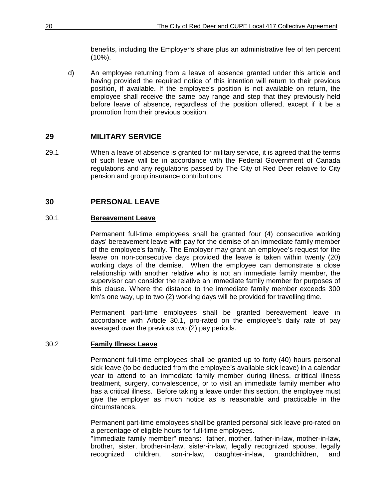benefits, including the Employer's share plus an administrative fee of ten percent  $(10\%)$ .

d) An employee returning from a leave of absence granted under this article and having provided the required notice of this intention will return to their previous position, if available. If the employee's position is not available on return, the employee shall receive the same pay range and step that they previously held before leave of absence, regardless of the position offered, except if it be a promotion from their previous position.

## <span id="page-26-0"></span>**29 MILITARY SERVICE**

29.1 When a leave of absence is granted for military service, it is agreed that the terms of such leave will be in accordance with the Federal Government of Canada regulations and any regulations passed by The City of Red Deer relative to City pension and group insurance contributions.

## <span id="page-26-1"></span>**30 PERSONAL LEAVE**

## <span id="page-26-2"></span>30.1 **Bereavement Leave**

Permanent full-time employees shall be granted four (4) consecutive working days' bereavement leave with pay for the demise of an immediate family member of the employee's family. The Employer may grant an employee's request for the leave on non-consecutive days provided the leave is taken within twenty (20) working days of the demise. When the employee can demonstrate a close relationship with another relative who is not an immediate family member, the supervisor can consider the relative an immediate family member for purposes of this clause. Where the distance to the immediate family member exceeds 300 km's one way, up to two (2) working days will be provided for travelling time.

Permanent part-time employees shall be granted bereavement leave in accordance with Article 30.1, pro-rated on the employee's daily rate of pay averaged over the previous two (2) pay periods.

#### <span id="page-26-3"></span>30.2 **Family Illness Leave**

Permanent full-time employees shall be granted up to forty (40) hours personal sick leave (to be deducted from the employee's available sick leave) in a calendar year to attend to an immediate family member during illness, crititical illness treatment, surgery, convalescence, or to visit an immediate family member who has a critical illness. Before taking a leave under this section, the employee must give the employer as much notice as is reasonable and practicable in the circumstances.

Permanent part-time employees shall be granted personal sick leave pro-rated on a percentage of eligible hours for full-time employees.

"Immediate family member" means: father, mother, father-in-law, mother-in-law, brother, sister, brother-in-law, sister-in-law, legally recognized spouse, legally recognized children, son-in-law, daughter-in-law, grandchildren, and recognized children, son-in-law, daughter-in-law, grandchildren, and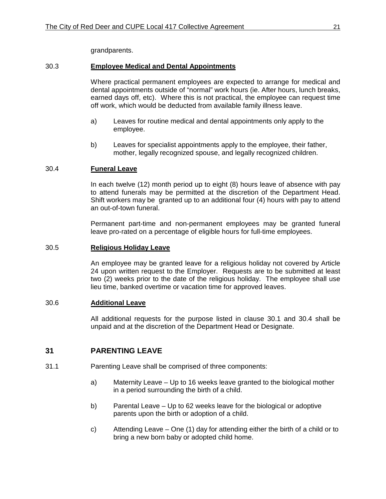grandparents.

#### <span id="page-27-0"></span>30.3 **Employee Medical and Dental Appointments**

Where practical permanent employees are expected to arrange for medical and dental appointments outside of "normal" work hours (ie. After hours, lunch breaks, earned days off, etc). Where this is not practical, the employee can request time off work, which would be deducted from available family illness leave.

- a) Leaves for routine medical and dental appointments only apply to the employee.
- b) Leaves for specialist appointments apply to the employee, their father, mother, legally recognized spouse, and legally recognized children.

#### <span id="page-27-1"></span>30.4 **Funeral Leave**

In each twelve (12) month period up to eight (8) hours leave of absence with pay to attend funerals may be permitted at the discretion of the Department Head. Shift workers may be granted up to an additional four (4) hours with pay to attend an out-of-town funeral.

Permanent part-time and non-permanent employees may be granted funeral leave pro-rated on a percentage of eligible hours for full-time employees.

#### <span id="page-27-2"></span>30.5 **Religious Holiday Leave**

An employee may be granted leave for a religious holiday not covered by Article 24 upon written request to the Employer. Requests are to be submitted at least two (2) weeks prior to the date of the religious holiday. The employee shall use lieu time, banked overtime or vacation time for approved leaves.

#### <span id="page-27-3"></span>30.6 **Additional Leave**

All additional requests for the purpose listed in clause 30.1 and 30.4 shall be unpaid and at the discretion of the Department Head or Designate.

#### <span id="page-27-4"></span>**31 PARENTING LEAVE**

- 31.1 Parenting Leave shall be comprised of three components:
	- a) Maternity Leave Up to 16 weeks leave granted to the biological mother in a period surrounding the birth of a child.
	- b) Parental Leave Up to 62 weeks leave for the biological or adoptive parents upon the birth or adoption of a child.
	- c) Attending Leave One (1) day for attending either the birth of a child or to bring a new born baby or adopted child home.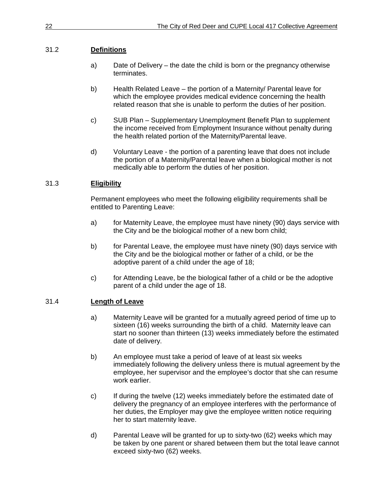## 31.2 **Definitions**

- a) Date of Delivery the date the child is born or the pregnancy otherwise terminates.
- b) Health Related Leave the portion of a Maternity/ Parental leave for which the employee provides medical evidence concerning the health related reason that she is unable to perform the duties of her position.
- c) SUB Plan Supplementary Unemployment Benefit Plan to supplement the income received from Employment Insurance without penalty during the health related portion of the Maternity/Parental leave.
- d) Voluntary Leave the portion of a parenting leave that does not include the portion of a Maternity/Parental leave when a biological mother is not medically able to perform the duties of her position.

## 31.3 **Eligibility**

Permanent employees who meet the following eligibility requirements shall be entitled to Parenting Leave:

- a) for Maternity Leave, the employee must have ninety (90) days service with the City and be the biological mother of a new born child;
- b) for Parental Leave, the employee must have ninety (90) days service with the City and be the biological mother or father of a child, or be the adoptive parent of a child under the age of 18;
- c) for Attending Leave, be the biological father of a child or be the adoptive parent of a child under the age of 18.

## 31.4 **Length of Leave**

- a) Maternity Leave will be granted for a mutually agreed period of time up to sixteen (16) weeks surrounding the birth of a child. Maternity leave can start no sooner than thirteen (13) weeks immediately before the estimated date of delivery.
- b) An employee must take a period of leave of at least six weeks immediately following the delivery unless there is mutual agreement by the employee, her supervisor and the employee's doctor that she can resume work earlier.
- c) If during the twelve (12) weeks immediately before the estimated date of delivery the pregnancy of an employee interferes with the performance of her duties, the Employer may give the employee written notice requiring her to start maternity leave.
- d) Parental Leave will be granted for up to sixty-two (62) weeks which may be taken by one parent or shared between them but the total leave cannot exceed sixty-two (62) weeks.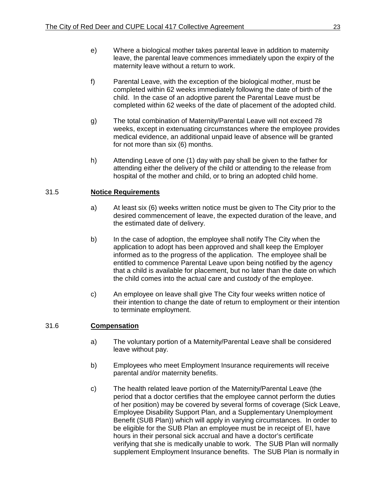- e) Where a biological mother takes parental leave in addition to maternity leave, the parental leave commences immediately upon the expiry of the maternity leave without a return to work.
- f) Parental Leave, with the exception of the biological mother, must be completed within 62 weeks immediately following the date of birth of the child. In the case of an adoptive parent the Parental Leave must be completed within 62 weeks of the date of placement of the adopted child.
- g) The total combination of Maternity/Parental Leave will not exceed 78 weeks, except in extenuating circumstances where the employee provides medical evidence, an additional unpaid leave of absence will be granted for not more than six (6) months.
- h) Attending Leave of one (1) day with pay shall be given to the father for attending either the delivery of the child or attending to the release from hospital of the mother and child, or to bring an adopted child home.

## 31.5 **Notice Requirements**

- a) At least six (6) weeks written notice must be given to The City prior to the desired commencement of leave, the expected duration of the leave, and the estimated date of delivery.
- b) In the case of adoption, the employee shall notify The City when the application to adopt has been approved and shall keep the Employer informed as to the progress of the application. The employee shall be entitled to commence Parental Leave upon being notified by the agency that a child is available for placement, but no later than the date on which the child comes into the actual care and custody of the employee.
- c) An employee on leave shall give The City four weeks written notice of their intention to change the date of return to employment or their intention to terminate employment.

## 31.6 **Compensation**

- a) The voluntary portion of a Maternity/Parental Leave shall be considered leave without pay.
- b) Employees who meet Employment Insurance requirements will receive parental and/or maternity benefits.
- c) The health related leave portion of the Maternity/Parental Leave (the period that a doctor certifies that the employee cannot perform the duties of her position) may be covered by several forms of coverage (Sick Leave, Employee Disability Support Plan, and a Supplementary Unemployment Benefit (SUB Plan)) which will apply in varying circumstances. In order to be eligible for the SUB Plan an employee must be in receipt of EI, have hours in their personal sick accrual and have a doctor's certificate verifying that she is medically unable to work. The SUB Plan will normally supplement Employment Insurance benefits. The SUB Plan is normally in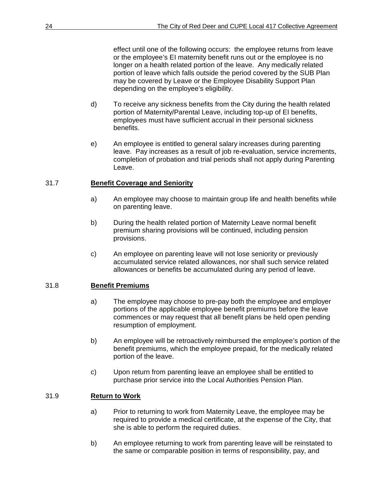effect until one of the following occurs: the employee returns from leave or the employee's EI maternity benefit runs out or the employee is no longer on a health related portion of the leave. Any medically related portion of leave which falls outside the period covered by the SUB Plan may be covered by Leave or the Employee Disability Support Plan depending on the employee's eligibility.

- d) To receive any sickness benefits from the City during the health related portion of Maternity/Parental Leave, including top-up of EI benefits, employees must have sufficient accrual in their personal sickness benefits.
- e) An employee is entitled to general salary increases during parenting leave. Pay increases as a result of job re-evaluation, service increments, completion of probation and trial periods shall not apply during Parenting Leave.

#### 31.7 **Benefit Coverage and Seniority**

- a) An employee may choose to maintain group life and health benefits while on parenting leave.
- b) During the health related portion of Maternity Leave normal benefit premium sharing provisions will be continued, including pension provisions.
- c) An employee on parenting leave will not lose seniority or previously accumulated service related allowances, nor shall such service related allowances or benefits be accumulated during any period of leave.

#### 31.8 **Benefit Premiums**

- a) The employee may choose to pre-pay both the employee and employer portions of the applicable employee benefit premiums before the leave commences or may request that all benefit plans be held open pending resumption of employment.
- b) An employee will be retroactively reimbursed the employee's portion of the benefit premiums, which the employee prepaid, for the medically related portion of the leave.
- c) Upon return from parenting leave an employee shall be entitled to purchase prior service into the Local Authorities Pension Plan.

#### 31.9 **Return to Work**

- a) Prior to returning to work from Maternity Leave, the employee may be required to provide a medical certificate, at the expense of the City, that she is able to perform the required duties.
- b) An employee returning to work from parenting leave will be reinstated to the same or comparable position in terms of responsibility, pay, and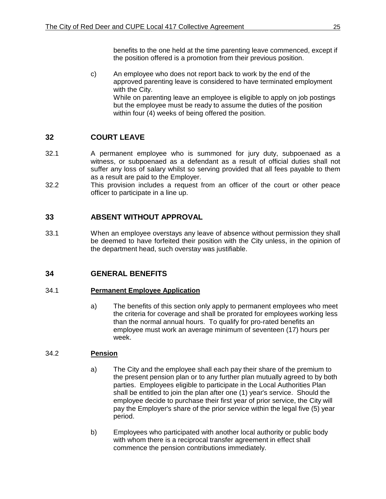benefits to the one held at the time parenting leave commenced, except if the position offered is a promotion from their previous position.

c) An employee who does not report back to work by the end of the approved parenting leave is considered to have terminated employment with the City. While on parenting leave an employee is eligible to apply on job postings but the employee must be ready to assume the duties of the position within four (4) weeks of being offered the position.

## <span id="page-31-0"></span>**32 COURT LEAVE**

- 32.1 A permanent employee who is summoned for jury duty, subpoenaed as a witness, or subpoenaed as a defendant as a result of official duties shall not suffer any loss of salary whilst so serving provided that all fees payable to them as a result are paid to the Employer.
- 32.2 This provision includes a request from an officer of the court or other peace officer to participate in a line up.

## <span id="page-31-1"></span>**33 ABSENT WITHOUT APPROVAL**

33.1 When an employee overstays any leave of absence without permission they shall be deemed to have forfeited their position with the City unless, in the opinion of the department head, such overstay was justifiable.

## <span id="page-31-2"></span>**34 GENERAL BENEFITS**

## <span id="page-31-3"></span>34.1 **Permanent Employee Application**

a) The benefits of this section only apply to permanent employees who meet the criteria for coverage and shall be prorated for employees working less than the normal annual hours. To qualify for pro-rated benefits an employee must work an average minimum of seventeen (17) hours per week.

## <span id="page-31-4"></span>34.2 **Pension**

- a) The City and the employee shall each pay their share of the premium to the present pension plan or to any further plan mutually agreed to by both parties. Employees eligible to participate in the Local Authorities Plan shall be entitled to join the plan after one (1) year's service. Should the employee decide to purchase their first year of prior service, the City will pay the Employer's share of the prior service within the legal five (5) year period.
- b) Employees who participated with another local authority or public body with whom there is a reciprocal transfer agreement in effect shall commence the pension contributions immediately.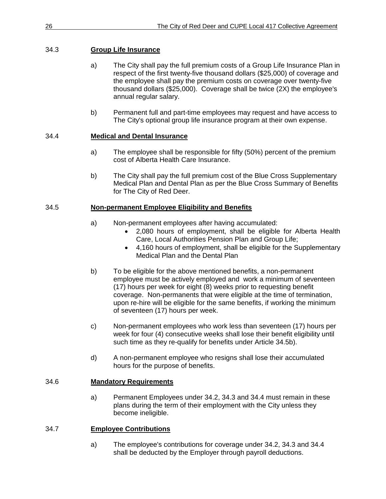#### <span id="page-32-0"></span>34.3 **Group Life Insurance**

- a) The City shall pay the full premium costs of a Group Life Insurance Plan in respect of the first twenty-five thousand dollars (\$25,000) of coverage and the employee shall pay the premium costs on coverage over twenty-five thousand dollars (\$25,000). Coverage shall be twice (2X) the employee's annual regular salary.
- b) Permanent full and part-time employees may request and have access to The City's optional group life insurance program at their own expense.

#### <span id="page-32-1"></span>34.4 **Medical and Dental Insurance**

- a) The employee shall be responsible for fifty (50%) percent of the premium cost of Alberta Health Care Insurance.
- b) The City shall pay the full premium cost of the Blue Cross Supplementary Medical Plan and Dental Plan as per the Blue Cross Summary of Benefits for The City of Red Deer.

#### <span id="page-32-2"></span>34.5 **Non-permanent Employee Eligibility and Benefits**

- a) Non-permanent employees after having accumulated:
	- 2,080 hours of employment, shall be eligible for Alberta Health Care, Local Authorities Pension Plan and Group Life;
	- 4,160 hours of employment, shall be eligible for the Supplementary Medical Plan and the Dental Plan
- b) To be eligible for the above mentioned benefits, a non-permanent employee must be actively employed and work a minimum of seventeen (17) hours per week for eight (8) weeks prior to requesting benefit coverage. Non-permanents that were eligible at the time of termination, upon re-hire will be eligible for the same benefits, if working the minimum of seventeen (17) hours per week.
- c) Non-permanent employees who work less than seventeen (17) hours per week for four (4) consecutive weeks shall lose their benefit eligibility until such time as they re-qualify for benefits under Article 34.5b).
- d) A non-permanent employee who resigns shall lose their accumulated hours for the purpose of benefits.

#### <span id="page-32-3"></span>34.6 **Mandatory Requirements**

a) Permanent Employees under 34.2, 34.3 and 34.4 must remain in these plans during the term of their employment with the City unless they become ineligible.

#### <span id="page-32-4"></span>34.7 **Employee Contributions**

a) The employee's contributions for coverage under 34.2, 34.3 and 34.4 shall be deducted by the Employer through payroll deductions.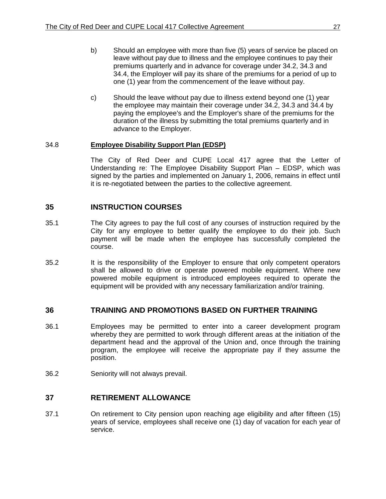- b) Should an employee with more than five (5) years of service be placed on leave without pay due to illness and the employee continues to pay their premiums quarterly and in advance for coverage under 34.2, 34.3 and 34.4, the Employer will pay its share of the premiums for a period of up to one (1) year from the commencement of the leave without pay.
- c) Should the leave without pay due to illness extend beyond one (1) year the employee may maintain their coverage under 34.2, 34.3 and 34.4 by paying the employee's and the Employer's share of the premiums for the duration of the illness by submitting the total premiums quarterly and in advance to the Employer.

#### <span id="page-33-0"></span>34.8 **Employee Disability Support Plan (EDSP)**

The City of Red Deer and CUPE Local 417 agree that the Letter of Understanding re: The Employee Disability Support Plan – EDSP, which was signed by the parties and implemented on January 1, 2006, remains in effect until it is re-negotiated between the parties to the collective agreement.

## <span id="page-33-1"></span>**35 INSTRUCTION COURSES**

- 35.1 The City agrees to pay the full cost of any courses of instruction required by the City for any employee to better qualify the employee to do their job. Such payment will be made when the employee has successfully completed the course.
- 35.2 It is the responsibility of the Employer to ensure that only competent operators shall be allowed to drive or operate powered mobile equipment. Where new powered mobile equipment is introduced employees required to operate the equipment will be provided with any necessary familiarization and/or training.

#### <span id="page-33-2"></span>**36 TRAINING AND PROMOTIONS BASED ON FURTHER TRAINING**

- 36.1 Employees may be permitted to enter into a career development program whereby they are permitted to work through different areas at the initiation of the department head and the approval of the Union and, once through the training program, the employee will receive the appropriate pay if they assume the position.
- 36.2 Seniority will not always prevail.

#### <span id="page-33-3"></span>**37 RETIREMENT ALLOWANCE**

37.1 On retirement to City pension upon reaching age eligibility and after fifteen (15) years of service, employees shall receive one (1) day of vacation for each year of service.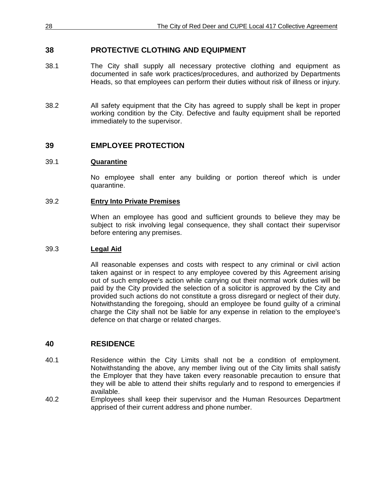## <span id="page-34-0"></span>**38 PROTECTIVE CLOTHING AND EQUIPMENT**

- 38.1 The City shall supply all necessary protective clothing and equipment as documented in safe work practices/procedures, and authorized by Departments Heads, so that employees can perform their duties without risk of illness or injury.
- 38.2 All safety equipment that the City has agreed to supply shall be kept in proper working condition by the City. Defective and faulty equipment shall be reported immediately to the supervisor.

#### <span id="page-34-1"></span>**39 EMPLOYEE PROTECTION**

#### <span id="page-34-2"></span>39.1 **Quarantine**

No employee shall enter any building or portion thereof which is under quarantine.

#### <span id="page-34-3"></span>39.2 **Entry Into Private Premises**

When an employee has good and sufficient grounds to believe they may be subject to risk involving legal consequence, they shall contact their supervisor before entering any premises.

#### <span id="page-34-4"></span>39.3 **Legal Aid**

All reasonable expenses and costs with respect to any criminal or civil action taken against or in respect to any employee covered by this Agreement arising out of such employee's action while carrying out their normal work duties will be paid by the City provided the selection of a solicitor is approved by the City and provided such actions do not constitute a gross disregard or neglect of their duty. Notwithstanding the foregoing, should an employee be found guilty of a criminal charge the City shall not be liable for any expense in relation to the employee's defence on that charge or related charges.

#### <span id="page-34-5"></span>**40 RESIDENCE**

- 40.1 Residence within the City Limits shall not be a condition of employment. Notwithstanding the above, any member living out of the City limits shall satisfy the Employer that they have taken every reasonable precaution to ensure that they will be able to attend their shifts regularly and to respond to emergencies if available.
- 40.2 Employees shall keep their supervisor and the Human Resources Department apprised of their current address and phone number.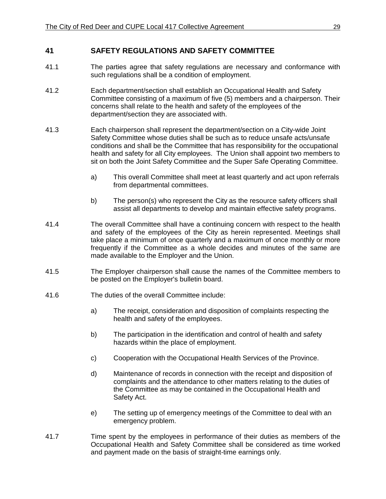#### <span id="page-35-0"></span>**41 SAFETY REGULATIONS AND SAFETY COMMITTEE**

- 41.1 The parties agree that safety regulations are necessary and conformance with such regulations shall be a condition of employment.
- 41.2 Each department/section shall establish an Occupational Health and Safety Committee consisting of a maximum of five (5) members and a chairperson. Their concerns shall relate to the health and safety of the employees of the department/section they are associated with.
- 41.3 Each chairperson shall represent the department/section on a City-wide Joint Safety Committee whose duties shall be such as to reduce unsafe acts/unsafe conditions and shall be the Committee that has responsibility for the occupational health and safety for all City employees. The Union shall appoint two members to sit on both the Joint Safety Committee and the Super Safe Operating Committee.
	- a) This overall Committee shall meet at least quarterly and act upon referrals from departmental committees.
	- b) The person(s) who represent the City as the resource safety officers shall assist all departments to develop and maintain effective safety programs.
- 41.4 The overall Committee shall have a continuing concern with respect to the health and safety of the employees of the City as herein represented. Meetings shall take place a minimum of once quarterly and a maximum of once monthly or more frequently if the Committee as a whole decides and minutes of the same are made available to the Employer and the Union.
- 41.5 The Employer chairperson shall cause the names of the Committee members to be posted on the Employer's bulletin board.
- 41.6 The duties of the overall Committee include:
	- a) The receipt, consideration and disposition of complaints respecting the health and safety of the employees.
	- b) The participation in the identification and control of health and safety hazards within the place of employment.
	- c) Cooperation with the Occupational Health Services of the Province.
	- d) Maintenance of records in connection with the receipt and disposition of complaints and the attendance to other matters relating to the duties of the Committee as may be contained in the Occupational Health and Safety Act.
	- e) The setting up of emergency meetings of the Committee to deal with an emergency problem.
- 41.7 Time spent by the employees in performance of their duties as members of the Occupational Health and Safety Committee shall be considered as time worked and payment made on the basis of straight-time earnings only.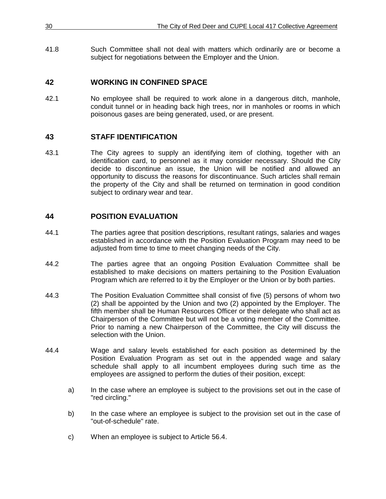41.8 Such Committee shall not deal with matters which ordinarily are or become a subject for negotiations between the Employer and the Union.

# **42 WORKING IN CONFINED SPACE**

42.1 No employee shall be required to work alone in a dangerous ditch, manhole, conduit tunnel or in heading back high trees, nor in manholes or rooms in which poisonous gases are being generated, used, or are present.

# **43 STAFF IDENTIFICATION**

43.1 The City agrees to supply an identifying item of clothing, together with an identification card, to personnel as it may consider necessary. Should the City decide to discontinue an issue, the Union will be notified and allowed an opportunity to discuss the reasons for discontinuance. Such articles shall remain the property of the City and shall be returned on termination in good condition subject to ordinary wear and tear.

# **44 POSITION EVALUATION**

- 44.1 The parties agree that position descriptions, resultant ratings, salaries and wages established in accordance with the Position Evaluation Program may need to be adjusted from time to time to meet changing needs of the City.
- 44.2 The parties agree that an ongoing Position Evaluation Committee shall be established to make decisions on matters pertaining to the Position Evaluation Program which are referred to it by the Employer or the Union or by both parties.
- 44.3 The Position Evaluation Committee shall consist of five (5) persons of whom two (2) shall be appointed by the Union and two (2) appointed by the Employer. The fifth member shall be Human Resources Officer or their delegate who shall act as Chairperson of the Committee but will not be a voting member of the Committee. Prior to naming a new Chairperson of the Committee, the City will discuss the selection with the Union.
- 44.4 Wage and salary levels established for each position as determined by the Position Evaluation Program as set out in the appended wage and salary schedule shall apply to all incumbent employees during such time as the employees are assigned to perform the duties of their position, except:
	- a) In the case where an employee is subject to the provisions set out in the case of "red circling."
	- b) In the case where an employee is subject to the provision set out in the case of "out-of-schedule" rate.
	- c) When an employee is subject to Article 56.4.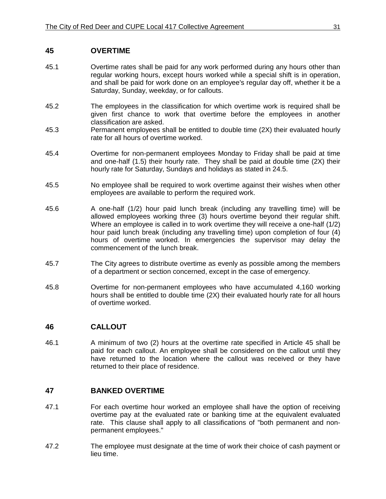## **45 OVERTIME**

- 45.1 Overtime rates shall be paid for any work performed during any hours other than regular working hours, except hours worked while a special shift is in operation, and shall be paid for work done on an employee's regular day off, whether it be a Saturday, Sunday, weekday, or for callouts.
- 45.2 The employees in the classification for which overtime work is required shall be given first chance to work that overtime before the employees in another classification are asked.
- 45.3 Permanent employees shall be entitled to double time (2X) their evaluated hourly rate for all hours of overtime worked.
- 45.4 Overtime for non-permanent employees Monday to Friday shall be paid at time and one-half (1.5) their hourly rate. They shall be paid at double time (2X) their hourly rate for Saturday, Sundays and holidays as stated in 24.5.
- 45.5 No employee shall be required to work overtime against their wishes when other employees are available to perform the required work.
- 45.6 A one-half (1/2) hour paid lunch break (including any travelling time) will be allowed employees working three (3) hours overtime beyond their regular shift. Where an employee is called in to work overtime they will receive a one-half (1/2) hour paid lunch break (including any travelling time) upon completion of four (4) hours of overtime worked. In emergencies the supervisor may delay the commencement of the lunch break.
- 45.7 The City agrees to distribute overtime as evenly as possible among the members of a department or section concerned, except in the case of emergency.
- 45.8 Overtime for non-permanent employees who have accumulated 4,160 working hours shall be entitled to double time (2X) their evaluated hourly rate for all hours of overtime worked.

#### **46 CALLOUT**

46.1 A minimum of two (2) hours at the overtime rate specified in Article 45 shall be paid for each callout. An employee shall be considered on the callout until they have returned to the location where the callout was received or they have returned to their place of residence.

#### **47 BANKED OVERTIME**

- 47.1 For each overtime hour worked an employee shall have the option of receiving overtime pay at the evaluated rate or banking time at the equivalent evaluated rate. This clause shall apply to all classifications of "both permanent and nonpermanent employees."
- 47.2 The employee must designate at the time of work their choice of cash payment or lieu time.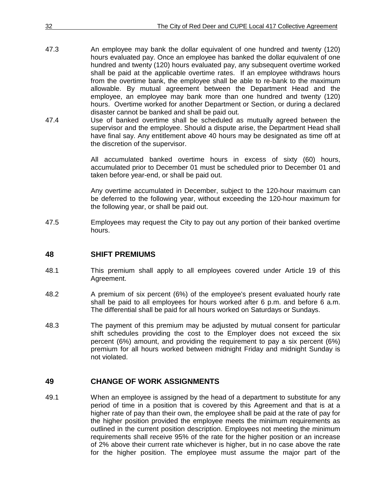| 32   | The City of Red Deer and CUPE Local 417 Collective Agreement                                                                                                                                                                                                                                                                                                                                          |
|------|-------------------------------------------------------------------------------------------------------------------------------------------------------------------------------------------------------------------------------------------------------------------------------------------------------------------------------------------------------------------------------------------------------|
| 47.3 | An employee may bank the dollar equivalent of one hundred and twenty (120)                                                                                                                                                                                                                                                                                                                            |
|      | hours evaluated pay. Once an employee has banked the dollar equivalent of one<br>hundred and twenty (120) hours evaluated pay, any subsequent overtime worked<br>shall be paid at the applicable overtime rates. If an employee withdraws hours<br>from the overtime bank, the employee shall be able to re-bank to the maximum<br>allowable. By mutual agreement between the Department Head and the |
|      | employee, an employee may bank more than one hundred and twenty (120)<br>hours. Overtime worked for another Department or Section, or during a declared<br>disaster cannot be banked and shall be paid out.                                                                                                                                                                                           |
| 47.4 | Use of banked overtime shall be scheduled as mutually agreed between the<br>supervisor and the employee. Should a dispute arise, the Department Head shall<br>have final say. Any entitlement above 40 hours may be designated as time off at<br>the discretion of the supervisor.                                                                                                                    |
|      |                                                                                                                                                                                                                                                                                                                                                                                                       |

All accumulated banked overtime hours in excess of sixty (60) hours, accumulated prior to December 01 must be scheduled prior to December 01 and taken before year-end, or shall be paid out.

Any overtime accumulated in December, subject to the 120-hour maximum can be deferred to the following year, without exceeding the 120-hour maximum for the following year, or shall be paid out.

47.5 Employees may request the City to pay out any portion of their banked overtime hours.

#### **48 SHIFT PREMIUMS**

- 48.1 This premium shall apply to all employees covered under Article 19 of this Agreement.
- 48.2 A premium of six percent (6%) of the employee's present evaluated hourly rate shall be paid to all employees for hours worked after 6 p.m. and before 6 a.m. The differential shall be paid for all hours worked on Saturdays or Sundays.
- 48.3 The payment of this premium may be adjusted by mutual consent for particular shift schedules providing the cost to the Employer does not exceed the six percent (6%) amount, and providing the requirement to pay a six percent (6%) premium for all hours worked between midnight Friday and midnight Sunday is not violated.

#### **49 CHANGE OF WORK ASSIGNMENTS**

49.1 When an employee is assigned by the head of a department to substitute for any period of time in a position that is covered by this Agreement and that is at a higher rate of pay than their own, the employee shall be paid at the rate of pay for the higher position provided the employee meets the minimum requirements as outlined in the current position description. Employees not meeting the minimum requirements shall receive 95% of the rate for the higher position or an increase of 2% above their current rate whichever is higher, but in no case above the rate for the higher position. The employee must assume the major part of the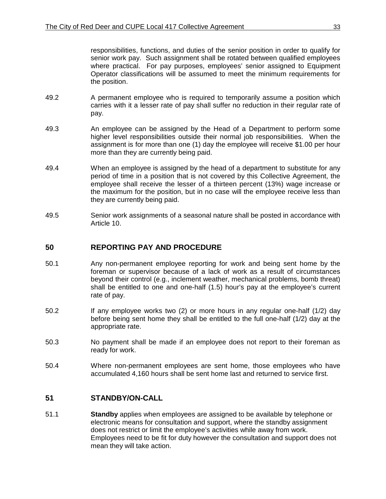responsibilities, functions, and duties of the senior position in order to qualify for senior work pay. Such assignment shall be rotated between qualified employees where practical. For pay purposes, employees' senior assigned to Equipment Operator classifications will be assumed to meet the minimum requirements for the position.

- 49.2 A permanent employee who is required to temporarily assume a position which carries with it a lesser rate of pay shall suffer no reduction in their regular rate of pay.
- 49.3 An employee can be assigned by the Head of a Department to perform some higher level responsibilities outside their normal job responsibilities. When the assignment is for more than one (1) day the employee will receive \$1.00 per hour more than they are currently being paid.
- 49.4 When an employee is assigned by the head of a department to substitute for any period of time in a position that is not covered by this Collective Agreement, the employee shall receive the lesser of a thirteen percent (13%) wage increase or the maximum for the position, but in no case will the employee receive less than they are currently being paid.
- 49.5 Senior work assignments of a seasonal nature shall be posted in accordance with Article 10.

#### **50 REPORTING PAY AND PROCEDURE**

- 50.1 Any non-permanent employee reporting for work and being sent home by the foreman or supervisor because of a lack of work as a result of circumstances beyond their control (e.g., inclement weather, mechanical problems, bomb threat) shall be entitled to one and one-half (1.5) hour's pay at the employee's current rate of pay.
- 50.2 If any employee works two (2) or more hours in any regular one-half (1/2) day before being sent home they shall be entitled to the full one-half (1/2) day at the appropriate rate.
- 50.3 No payment shall be made if an employee does not report to their foreman as ready for work.
- 50.4 Where non-permanent employees are sent home, those employees who have accumulated 4,160 hours shall be sent home last and returned to service first.

#### **51 STANDBY/ON-CALL**

51.1 **Standby** applies when employees are assigned to be available by telephone or electronic means for consultation and support, where the standby assignment does not restrict or limit the employee's activities while away from work. Employees need to be fit for duty however the consultation and support does not mean they will take action.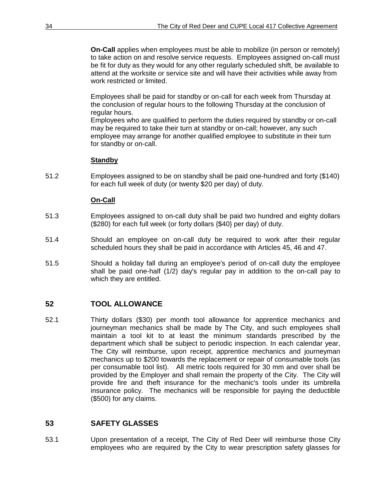**On-Call** applies when employees must be able to mobilize (in person or remotely) to take action on and resolve service requests. Employees assigned on-call must be fit for duty as they would for any other regularly scheduled shift, be available to attend at the worksite or service site and will have their activities while away from work restricted or limited.

Employees shall be paid for standby or on-call for each week from Thursday at the conclusion of regular hours to the following Thursday at the conclusion of regular hours.

Employees who are qualified to perform the duties required by standby or on-call may be required to take their turn at standby or on-call; however, any such employee may arrange for another qualified employee to substitute in their turn for standby or on-call.

#### **Standby**

51.2 Employees assigned to be on standby shall be paid one-hundred and forty (\$140) for each full week of duty (or twenty \$20 per day) of duty.

#### **On-Call**

- 51.3 Employees assigned to on-call duty shall be paid two hundred and eighty dollars (\$280) for each full week (or forty dollars {\$40} per day) of duty.
- 51.4 Should an employee on on-call duty be required to work after their regular scheduled hours they shall be paid in accordance with Articles 45, 46 and 47.
- 51.5 Should a holiday fall during an employee's period of on-call duty the employee shall be paid one-half (1/2) day's regular pay in addition to the on-call pay to which they are entitled.

#### **52 TOOL ALLOWANCE**

52.1 Thirty dollars (\$30) per month tool allowance for apprentice mechanics and journeyman mechanics shall be made by The City, and such employees shall maintain a tool kit to at least the minimum standards prescribed by the department which shall be subject to periodic inspection. In each calendar year, The City will reimburse, upon receipt, apprentice mechanics and journeyman mechanics up to \$200 towards the replacement or repair of consumable tools (as per consumable tool list). All metric tools required for 30 mm and over shall be provided by the Employer and shall remain the property of the City. The City will provide fire and theft insurance for the mechanic's tools under its umbrella insurance policy. The mechanics will be responsible for paying the deductible (\$500) for any claims.

# **53 SAFETY GLASSES**

53.1 Upon presentation of a receipt, The City of Red Deer will reimburse those City employees who are required by the City to wear prescription safety glasses for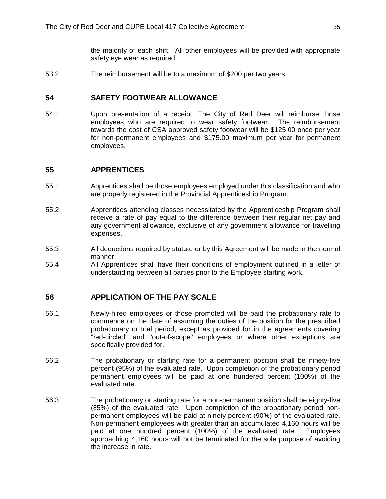the majority of each shift. All other employees will be provided with appropriate safety eye wear as required.

53.2 The reimbursement will be to a maximum of \$200 per two years.

#### **54 SAFETY FOOTWEAR ALLOWANCE**

54.1 Upon presentation of a receipt, The City of Red Deer will reimburse those employees who are required to wear safety footwear. The reimbursement towards the cost of CSA approved safety footwear will be \$125.00 once per year for non-permanent employees and \$175.00 maximum per year for permanent employees.

#### **55 APPRENTICES**

- 55.1 Apprentices shall be those employees employed under this classification and who are properly registered in the Provincial Apprenticeship Program.
- 55.2 Apprentices attending classes necessitated by the Apprenticeship Program shall receive a rate of pay equal to the difference between their regular net pay and any government allowance, exclusive of any government allowance for travelling expenses.
- 55.3 All deductions required by statute or by this Agreement will be made in the normal manner.
- 55.4 All Apprentices shall have their conditions of employment outlined in a letter of understanding between all parties prior to the Employee starting work.

#### **56 APPLICATION OF THE PAY SCALE**

- 56.1 Newly-hired employees or those promoted will be paid the probationary rate to commence on the date of assuming the duties of the position for the prescribed probationary or trial period, except as provided for in the agreements covering "red-circled" and "out-of-scope" employees or where other exceptions are specifically provided for.
- 56.2 The probationary or starting rate for a permanent position shall be ninety-five percent (95%) of the evaluated rate. Upon completion of the probationary period permanent employees will be paid at one hundered percent (100%) of the evaluated rate.
- 56.3 The probationary or starting rate for a non-permanent position shall be eighty-five (85%) of the evaluated rate. Upon completion of the probationary period nonpermanent employees will be paid at ninety percent (90%) of the evaluated rate. Non-permanent employees with greater than an accumulated 4,160 hours will be paid at one hundred percent (100%) of the evaluated rate. Employees approaching 4,160 hours will not be terminated for the sole purpose of avoiding the increase in rate.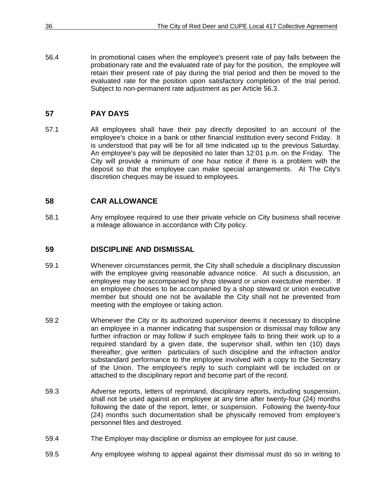56.4 In promotional cases when the employee's present rate of pay falls between the probationary rate and the evaluated rate of pay for the position, the employee will retain their present rate of pay during the trial period and then be moved to the evaluated rate for the position upon satisfactory completion of the trial period. Subject to non-permanent rate adjustment as per Article 56.3.

# **57 PAY DAYS**

57.1 All employees shall have their pay directly deposited to an account of the employee's choice in a bank or other financial institution every second Friday. It is understood that pay will be for all time indicated up to the previous Saturday. An employee's pay will be deposited no later than 12:01 p.m. on the Friday. The City will provide a minimum of one hour notice if there is a problem with the deposit so that the employee can make special arrangements. At The City's discretion cheques may be issued to employees.

# **58 CAR ALLOWANCE**

58.1 Any employee required to use their private vehicle on City business shall receive a mileage allowance in accordance with City policy.

# **59 DISCIPLINE AND DISMISSAL**

- 59.1 Whenever circumstances permit, the City shall schedule a disciplinary discussion with the employee giving reasonable advance notice. At such a discussion, an employee may be accompanied by shop steward or union exectutive member. If an employee chooses to be accompanied by a shop steward or union executive member but should one not be available the City shall not be prevented from meeting with the employee or taking action.
- 59.2 Whenever the City or its authorized supervisor deems it necessary to discipline an employee in a manner indicating that suspension or dismissal may follow any further infraction or may follow if such employee fails to bring their work up to a required standard by a given date, the supervisor shall, within ten (10) days thereafter, give written particulars of such discipline and the infraction and/or substandard performance to the employee involved with a copy to the Secretary of the Union. The employee's reply to such complaint will be included on or attached to the disciplinary report and become part of the record.
- 59.3 Adverse reports, letters of reprimand, disciplinary reports, including suspension, shall not be used against an employee at any time after twenty-four (24) months following the date of the report, letter, or suspension. Following the twenty-four (24) months such documentation shall be physically removed from employee's personnel files and destroyed.
- 59.4 The Employer may discipline or dismiss an employee for just cause.
- 59.5 Any employee wishing to appeal against their dismissal must do so in writing to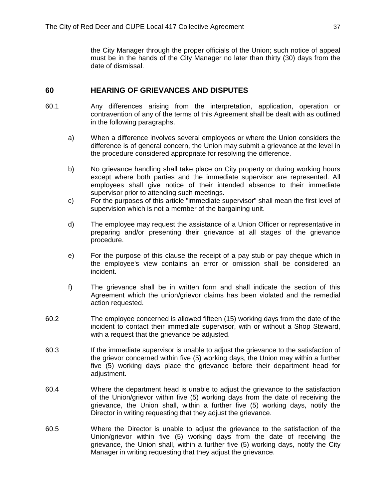the City Manager through the proper officials of the Union; such notice of appeal must be in the hands of the City Manager no later than thirty (30) days from the date of dismissal.

## **60 HEARING OF GRIEVANCES AND DISPUTES**

- 60.1 Any differences arising from the interpretation, application, operation or contravention of any of the terms of this Agreement shall be dealt with as outlined in the following paragraphs.
	- a) When a difference involves several employees or where the Union considers the difference is of general concern, the Union may submit a grievance at the level in the procedure considered appropriate for resolving the difference.
	- b) No grievance handling shall take place on City property or during working hours except where both parties and the immediate supervisor are represented. All employees shall give notice of their intended absence to their immediate supervisor prior to attending such meetings.
	- c) For the purposes of this article "immediate supervisor" shall mean the first level of supervision which is not a member of the bargaining unit.
	- d) The employee may request the assistance of a Union Officer or representative in preparing and/or presenting their grievance at all stages of the grievance procedure.
	- e) For the purpose of this clause the receipt of a pay stub or pay cheque which in the employee's view contains an error or omission shall be considered an incident.
	- f) The grievance shall be in written form and shall indicate the section of this Agreement which the union/grievor claims has been violated and the remedial action requested.
- 60.2 The employee concerned is allowed fifteen (15) working days from the date of the incident to contact their immediate supervisor, with or without a Shop Steward, with a request that the grievance be adjusted.
- 60.3 If the immediate supervisor is unable to adjust the grievance to the satisfaction of the grievor concerned within five (5) working days, the Union may within a further five (5) working days place the grievance before their department head for adjustment.
- 60.4 Where the department head is unable to adjust the grievance to the satisfaction of the Union/grievor within five (5) working days from the date of receiving the grievance, the Union shall, within a further five (5) working days, notify the Director in writing requesting that they adjust the grievance.
- 60.5 Where the Director is unable to adjust the grievance to the satisfaction of the Union/grievor within five (5) working days from the date of receiving the grievance, the Union shall, within a further five (5) working days, notify the City Manager in writing requesting that they adjust the grievance.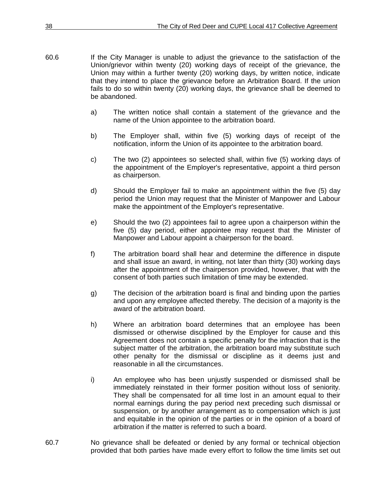- 60.6 If the City Manager is unable to adjust the grievance to the satisfaction of the Union/grievor within twenty (20) working days of receipt of the grievance, the Union may within a further twenty (20) working days, by written notice, indicate that they intend to place the grievance before an Arbitration Board. If the union fails to do so within twenty (20) working days, the grievance shall be deemed to be abandoned.
	- a) The written notice shall contain a statement of the grievance and the name of the Union appointee to the arbitration board.
	- b) The Employer shall, within five (5) working days of receipt of the notification, inform the Union of its appointee to the arbitration board.
	- c) The two (2) appointees so selected shall, within five (5) working days of the appointment of the Employer's representative, appoint a third person as chairperson.
	- d) Should the Employer fail to make an appointment within the five (5) day period the Union may request that the Minister of Manpower and Labour make the appointment of the Employer's representative.
	- e) Should the two (2) appointees fail to agree upon a chairperson within the five (5) day period, either appointee may request that the Minister of Manpower and Labour appoint a chairperson for the board.
	- f) The arbitration board shall hear and determine the difference in dispute and shall issue an award, in writing, not later than thirty (30) working days after the appointment of the chairperson provided, however, that with the consent of both parties such limitation of time may be extended.
	- g) The decision of the arbitration board is final and binding upon the parties and upon any employee affected thereby. The decision of a majority is the award of the arbitration board.
	- h) Where an arbitration board determines that an employee has been dismissed or otherwise disciplined by the Employer for cause and this Agreement does not contain a specific penalty for the infraction that is the subject matter of the arbitration, the arbitration board may substitute such other penalty for the dismissal or discipline as it deems just and reasonable in all the circumstances.
	- i) An employee who has been unjustly suspended or dismissed shall be immediately reinstated in their former position without loss of seniority. They shall be compensated for all time lost in an amount equal to their normal earnings during the pay period next preceding such dismissal or suspension, or by another arrangement as to compensation which is just and equitable in the opinion of the parties or in the opinion of a board of arbitration if the matter is referred to such a board.
- 60.7 No grievance shall be defeated or denied by any formal or technical objection provided that both parties have made every effort to follow the time limits set out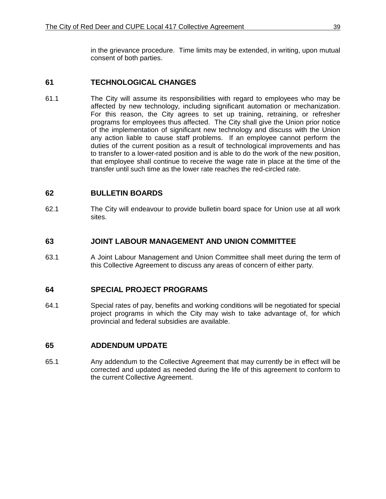in the grievance procedure. Time limits may be extended, in writing, upon mutual consent of both parties.

### **61 TECHNOLOGICAL CHANGES**

61.1 The City will assume its responsibilities with regard to employees who may be affected by new technology, including significant automation or mechanization. For this reason, the City agrees to set up training, retraining, or refresher programs for employees thus affected. The City shall give the Union prior notice of the implementation of significant new technology and discuss with the Union any action liable to cause staff problems. If an employee cannot perform the duties of the current position as a result of technological improvements and has to transfer to a lower-rated position and is able to do the work of the new position, that employee shall continue to receive the wage rate in place at the time of the transfer until such time as the lower rate reaches the red-circled rate.

#### **62 BULLETIN BOARDS**

62.1 The City will endeavour to provide bulletin board space for Union use at all work sites.

### **63 JOINT LABOUR MANAGEMENT AND UNION COMMITTEE**

63.1 A Joint Labour Management and Union Committee shall meet during the term of this Collective Agreement to discuss any areas of concern of either party.

#### **64 SPECIAL PROJECT PROGRAMS**

64.1 Special rates of pay, benefits and working conditions will be negotiated for special project programs in which the City may wish to take advantage of, for which provincial and federal subsidies are available.

# **65 ADDENDUM UPDATE**

65.1 Any addendum to the Collective Agreement that may currently be in effect will be corrected and updated as needed during the life of this agreement to conform to the current Collective Agreement.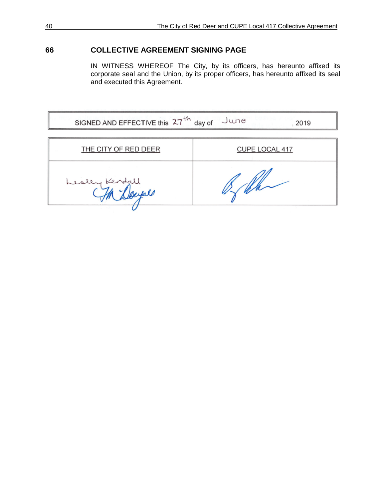# **66 COLLECTIVE AGREEMENT SIGNING PAGE**

IN WITNESS WHEREOF The City, by its officers, has hereunto affixed its corporate seal and the Union, by its proper officers, has hereunto affixed its seal and executed this Agreement.

| SIGNED AND EFFECTIVE this 27 <sup>th</sup> day of June<br>, 2019 |                |  |  |  |
|------------------------------------------------------------------|----------------|--|--|--|
| THE CITY OF RED DEER                                             | CUPE LOCAL 417 |  |  |  |
|                                                                  |                |  |  |  |
| Lesley Kendall                                                   |                |  |  |  |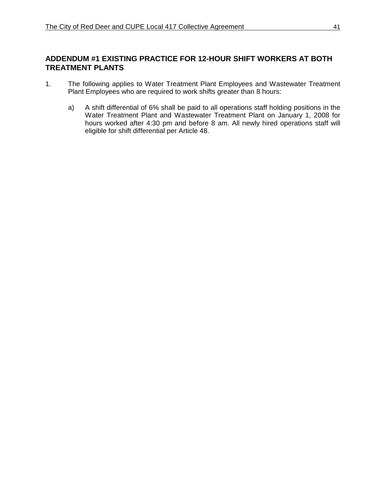# **ADDENDUM #1 EXISTING PRACTICE FOR 12-HOUR SHIFT WORKERS AT BOTH TREATMENT PLANTS**

- 1. The following applies to Water Treatment Plant Employees and Wastewater Treatment Plant Employees who are required to work shifts greater than 8 hours:
	- a) A shift differential of 6% shall be paid to all operations staff holding positions in the Water Treatment Plant and Wastewater Treatment Plant on January 1, 2008 for hours worked after 4:30 pm and before 8 am. All newly hired operations staff will eligible for shift differential per Article 48.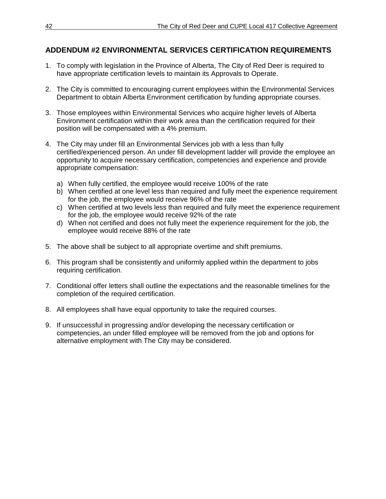# **ADDENDUM #2 ENVIRONMENTAL SERVICES CERTIFICATION REQUIREMENTS**

- 1. To comply with legislation in the Province of Alberta, The City of Red Deer is required to have appropriate certification levels to maintain its Approvals to Operate.
- 2. The City is committed to encouraging current employees within the Environmental Services Department to obtain Alberta Environment certification by funding appropriate courses.
- 3. Those employees within Environmental Services who acquire higher levels of Alberta Environment certification within their work area than the certification required for their position will be compensated with a 4% premium.
- 4. The City may under fill an Environmental Services job with a less than fully certified/experienced person. An under fill development ladder will provide the employee an opportunity to acquire necessary certification, competencies and experience and provide appropriate compensation:
	- a) When fully certified, the employee would receive 100% of the rate
	- b) When certified at one level less than required and fully meet the experience requirement for the job, the employee would receive 96% of the rate
	- c) When certified at two levels less than required and fully meet the experience requirement for the job, the employee would receive 92% of the rate
	- d) When not certified and does not fully meet the experience requirement for the job, the employee would receive 88% of the rate
- 5. The above shall be subject to all appropriate overtime and shift premiums.
- 6. This program shall be consistently and uniformly applied within the department to jobs requiring certification.
- 7. Conditional offer letters shall outline the expectations and the reasonable timelines for the completion of the required certification.
- 8. All employees shall have equal opportunity to take the required courses.
- 9. If unsuccessful in progressing and/or developing the necessary certification or competencies, an under filled employee will be removed from the job and options for alternative employment with The City may be considered.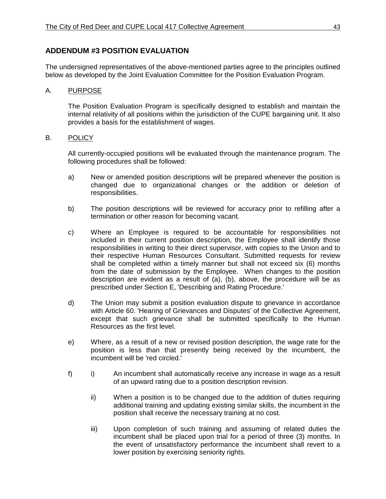# **ADDENDUM #3 POSITION EVALUATION**

The undersigned representatives of the above-mentioned parties agree to the principles outlined below as developed by the Joint Evaluation Committee for the Position Evaluation Program.

#### A. PURPOSE

The Position Evaluation Program is specifically designed to establish and maintain the internal relativity of all positions within the jurisdiction of the CUPE bargaining unit. It also provides a basis for the establishment of wages.

#### B. POLICY

All currently-occupied positions will be evaluated through the maintenance program. The following procedures shall be followed:

- a) New or amended position descriptions will be prepared whenever the position is changed due to organizational changes or the addition or deletion of responsibilities.
- b) The position descriptions will be reviewed for accuracy prior to refilling after a termination or other reason for becoming vacant.
- c) Where an Employee is required to be accountable for responsibilities not included in their current position description, the Employee shall identify those responsibilities in writing to their direct supervisor, with copies to the Union and to their respective Human Resources Consultant. Submitted requests for review shall be completed within a timely manner but shall not exceed six (6) months from the date of submission by the Employee. When changes to the position description are evident as a result of (a), (b), above, the procedure will be as prescribed under Section E, 'Describing and Rating Procedure.'
- d) The Union may submit a position evaluation dispute to grievance in accordance with Article 60. 'Hearing of Grievances and Disputes' of the Collective Agreement, except that such grievance shall be submitted specifically to the Human Resources as the first level.
- e) Where, as a result of a new or revised position description, the wage rate for the position is less than that presently being received by the incumbent, the incumbent will be 'red circled.'
- f) i) An incumbent shall automatically receive any increase in wage as a result of an upward rating due to a position description revision.
	- ii) When a position is to be changed due to the addition of duties requiring additional training and updating existing similar skills, the incumbent in the position shall receive the necessary training at no cost.
	- iii) Upon completion of such training and assuming of related duties the incumbent shall be placed upon trial for a period of three (3) months. In the event of unsatisfactory performance the incumbent shall revert to a lower position by exercising seniority rights.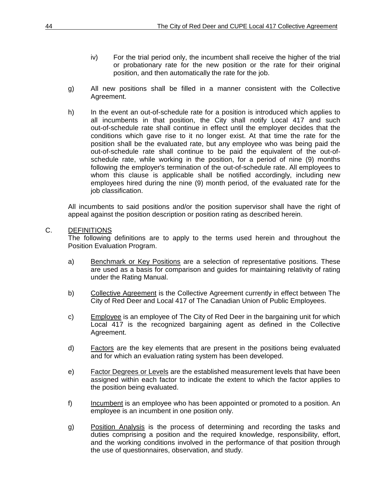- iv) For the trial period only, the incumbent shall receive the higher of the trial or probationary rate for the new position or the rate for their original position, and then automatically the rate for the job.
- g) All new positions shall be filled in a manner consistent with the Collective Agreement.
- h) In the event an out-of-schedule rate for a position is introduced which applies to all incumbents in that position, the City shall notify Local 417 and such out-of-schedule rate shall continue in effect until the employer decides that the conditions which gave rise to it no longer exist. At that time the rate for the position shall be the evaluated rate, but any employee who was being paid the out-of-schedule rate shall continue to be paid the equivalent of the out-ofschedule rate, while working in the position, for a period of nine (9) months following the employer's termination of the out-of-schedule rate. All employees to whom this clause is applicable shall be notified accordingly, including new employees hired during the nine (9) month period, of the evaluated rate for the job classification.

All incumbents to said positions and/or the position supervisor shall have the right of appeal against the position description or position rating as described herein.

#### C. DEFINITIONS

The following definitions are to apply to the terms used herein and throughout the Position Evaluation Program.

- a) Benchmark or Key Positions are a selection of representative positions. These are used as a basis for comparison and guides for maintaining relativity of rating under the Rating Manual.
- b) Collective Agreement is the Collective Agreement currently in effect between The City of Red Deer and Local 417 of The Canadian Union of Public Employees.
- c) Employee is an employee of The City of Red Deer in the bargaining unit for which Local 417 is the recognized bargaining agent as defined in the Collective Agreement.
- d) Eactors are the key elements that are present in the positions being evaluated and for which an evaluation rating system has been developed.
- e) Factor Degrees or Levels are the established measurement levels that have been assigned within each factor to indicate the extent to which the factor applies to the position being evaluated.
- f) Incumbent is an employee who has been appointed or promoted to a position. An employee is an incumbent in one position only.
- g) Position Analysis is the process of determining and recording the tasks and duties comprising a position and the required knowledge, responsibility, effort, and the working conditions involved in the performance of that position through the use of questionnaires, observation, and study.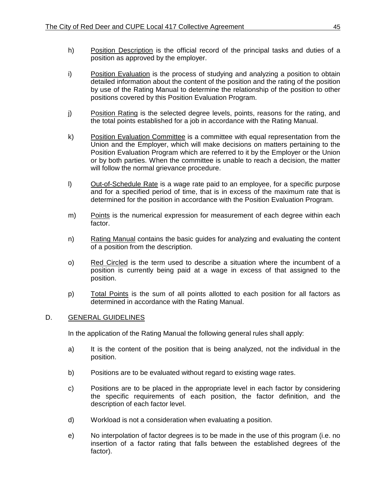- h) Position Description is the official record of the principal tasks and duties of a position as approved by the employer.
- i) Position Evaluation is the process of studying and analyzing a position to obtain detailed information about the content of the position and the rating of the position by use of the Rating Manual to determine the relationship of the position to other positions covered by this Position Evaluation Program.
- j) Position Rating is the selected degree levels, points, reasons for the rating, and the total points established for a job in accordance with the Rating Manual.
- k) Position Evaluation Committee is a committee with equal representation from the Union and the Employer, which will make decisions on matters pertaining to the Position Evaluation Program which are referred to it by the Employer or the Union or by both parties. When the committee is unable to reach a decision, the matter will follow the normal grievance procedure.
- I) Out-of-Schedule Rate is a wage rate paid to an employee, for a specific purpose and for a specified period of time, that is in excess of the maximum rate that is determined for the position in accordance with the Position Evaluation Program.
- m) Points is the numerical expression for measurement of each degree within each factor.
- n) Rating Manual contains the basic guides for analyzing and evaluating the content of a position from the description.
- o) Red Circled is the term used to describe a situation where the incumbent of a position is currently being paid at a wage in excess of that assigned to the position.
- p) Total Points is the sum of all points allotted to each position for all factors as determined in accordance with the Rating Manual.

#### D. GENERAL GUIDELINES

In the application of the Rating Manual the following general rules shall apply:

- a) It is the content of the position that is being analyzed, not the individual in the position.
- b) Positions are to be evaluated without regard to existing wage rates.
- c) Positions are to be placed in the appropriate level in each factor by considering the specific requirements of each position, the factor definition, and the description of each factor level.
- d) Workload is not a consideration when evaluating a position.
- e) No interpolation of factor degrees is to be made in the use of this program (i.e. no insertion of a factor rating that falls between the established degrees of the factor).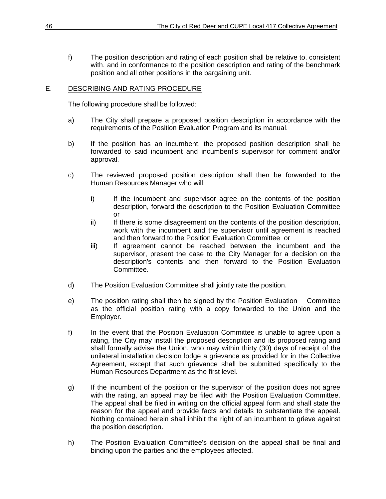f) The position description and rating of each position shall be relative to, consistent with, and in conformance to the position description and rating of the benchmark position and all other positions in the bargaining unit.

#### E. DESCRIBING AND RATING PROCEDURE

The following procedure shall be followed:

- a) The City shall prepare a proposed position description in accordance with the requirements of the Position Evaluation Program and its manual.
- b) If the position has an incumbent, the proposed position description shall be forwarded to said incumbent and incumbent's supervisor for comment and/or approval.
- c) The reviewed proposed position description shall then be forwarded to the Human Resources Manager who will:
	- i) If the incumbent and supervisor agree on the contents of the position description, forward the description to the Position Evaluation Committee or
	- ii) If there is some disagreement on the contents of the position description, work with the incumbent and the supervisor until agreement is reached and then forward to the Position Evaluation Committee or
	- iii) If agreement cannot be reached between the incumbent and the supervisor, present the case to the City Manager for a decision on the description's contents and then forward to the Position Evaluation Committee.
- d) The Position Evaluation Committee shall jointly rate the position.
- e) The position rating shall then be signed by the Position Evaluation Committee as the official position rating with a copy forwarded to the Union and the Employer.
- f) In the event that the Position Evaluation Committee is unable to agree upon a rating, the City may install the proposed description and its proposed rating and shall formally advise the Union, who may within thirty (30) days of receipt of the unilateral installation decision lodge a grievance as provided for in the Collective Agreement, except that such grievance shall be submitted specifically to the Human Resources Department as the first level.
- g) If the incumbent of the position or the supervisor of the position does not agree with the rating, an appeal may be filed with the Position Evaluation Committee. The appeal shall be filed in writing on the official appeal form and shall state the reason for the appeal and provide facts and details to substantiate the appeal. Nothing contained herein shall inhibit the right of an incumbent to grieve against the position description.
- h) The Position Evaluation Committee's decision on the appeal shall be final and binding upon the parties and the employees affected.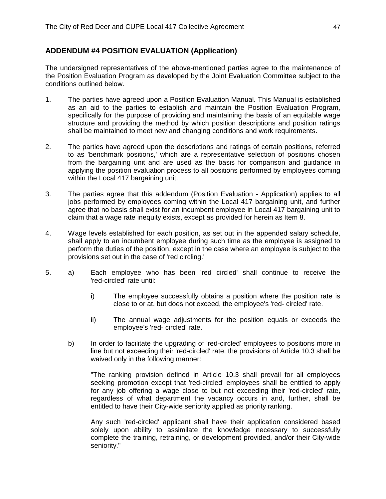# **ADDENDUM #4 POSITION EVALUATION (Application)**

The undersigned representatives of the above-mentioned parties agree to the maintenance of the Position Evaluation Program as developed by the Joint Evaluation Committee subject to the conditions outlined below.

- 1. The parties have agreed upon a Position Evaluation Manual. This Manual is established as an aid to the parties to establish and maintain the Position Evaluation Program, specifically for the purpose of providing and maintaining the basis of an equitable wage structure and providing the method by which position descriptions and position ratings shall be maintained to meet new and changing conditions and work requirements.
- 2. The parties have agreed upon the descriptions and ratings of certain positions, referred to as 'benchmark positions,' which are a representative selection of positions chosen from the bargaining unit and are used as the basis for comparison and guidance in applying the position evaluation process to all positions performed by employees coming within the Local 417 bargaining unit.
- 3. The parties agree that this addendum (Position Evaluation Application) applies to all jobs performed by employees coming within the Local 417 bargaining unit, and further agree that no basis shall exist for an incumbent employee in Local 417 bargaining unit to claim that a wage rate inequity exists, except as provided for herein as Item 8.
- 4. Wage levels established for each position, as set out in the appended salary schedule, shall apply to an incumbent employee during such time as the employee is assigned to perform the duties of the position, except in the case where an employee is subject to the provisions set out in the case of 'red circling.'
- 5. a) Each employee who has been 'red circled' shall continue to receive the 'red-circled' rate until:
	- i) The employee successfully obtains a position where the position rate is close to or at, but does not exceed, the employee's 'red- circled' rate.
	- ii) The annual wage adjustments for the position equals or exceeds the employee's 'red- circled' rate.
	- b) In order to facilitate the upgrading of 'red-circled' employees to positions more in line but not exceeding their 'red-circled' rate, the provisions of Article 10.3 shall be waived only in the following manner:

"The ranking provision defined in Article 10.3 shall prevail for all employees seeking promotion except that 'red-circled' employees shall be entitled to apply for any job offering a wage close to but not exceeding their 'red-circled' rate, regardless of what department the vacancy occurs in and, further, shall be entitled to have their City-wide seniority applied as priority ranking.

Any such 'red-circled' applicant shall have their application considered based solely upon ability to assimilate the knowledge necessary to successfully complete the training, retraining, or development provided, and/or their City-wide seniority."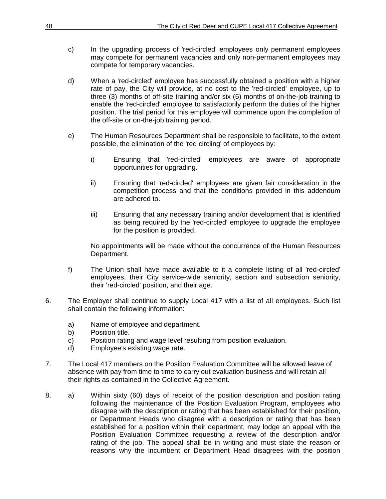- c) In the upgrading process of 'red-circled' employees only permanent employees may compete for permanent vacancies and only non-permanent employees may compete for temporary vacancies.
- d) When a 'red-circled' employee has successfully obtained a position with a higher rate of pay, the City will provide, at no cost to the 'red-circled' employee, up to three (3) months of off-site training and/or six (6) months of on-the-job training to enable the 'red-circled' employee to satisfactorily perform the duties of the higher position. The trial period for this employee will commence upon the completion of the off-site or on-the-job training period.
- e) The Human Resources Department shall be responsible to facilitate, to the extent possible, the elimination of the 'red circling' of employees by:
	- i) Ensuring that 'red-circled' employees are aware of appropriate opportunities for upgrading.
	- ii) Ensuring that 'red-circled' employees are given fair consideration in the competition process and that the conditions provided in this addendum are adhered to.
	- iii) Ensuring that any necessary training and/or development that is identified as being required by the 'red-circled' employee to upgrade the employee for the position is provided.

No appointments will be made without the concurrence of the Human Resources Department.

- f) The Union shall have made available to it a complete listing of all 'red-circled' employees, their City service-wide seniority, section and subsection seniority, their 'red-circled' position, and their age.
- 6. The Employer shall continue to supply Local 417 with a list of all employees. Such list shall contain the following information:
	- a) Name of employee and department.
	- b) Position title.
	- c) Position rating and wage level resulting from position evaluation.
	- d) Employee's existing wage rate.
- 7. The Local 417 members on the Position Evaluation Committee will be allowed leave of absence with pay from time to time to carry out evaluation business and will retain all their rights as contained in the Collective Agreement.
- 8. a) Within sixty (60) days of receipt of the position description and position rating following the maintenance of the Position Evaluation Program, employees who disagree with the description or rating that has been established for their position, or Department Heads who disagree with a description or rating that has been established for a position within their department, may lodge an appeal with the Position Evaluation Committee requesting a review of the description and/or rating of the job. The appeal shall be in writing and must state the reason or reasons why the incumbent or Department Head disagrees with the position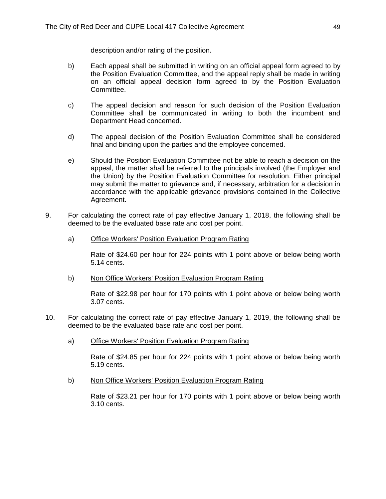description and/or rating of the position.

- b) Each appeal shall be submitted in writing on an official appeal form agreed to by the Position Evaluation Committee, and the appeal reply shall be made in writing on an official appeal decision form agreed to by the Position Evaluation Committee.
- c) The appeal decision and reason for such decision of the Position Evaluation Committee shall be communicated in writing to both the incumbent and Department Head concerned.
- d) The appeal decision of the Position Evaluation Committee shall be considered final and binding upon the parties and the employee concerned.
- e) Should the Position Evaluation Committee not be able to reach a decision on the appeal, the matter shall be referred to the principals involved (the Employer and the Union) by the Position Evaluation Committee for resolution. Either principal may submit the matter to grievance and, if necessary, arbitration for a decision in accordance with the applicable grievance provisions contained in the Collective Agreement.
- 9. For calculating the correct rate of pay effective January 1, 2018, the following shall be deemed to be the evaluated base rate and cost per point.
	- a) Office Workers' Position Evaluation Program Rating

Rate of \$24.60 per hour for 224 points with 1 point above or below being worth 5.14 cents.

b) Non Office Workers' Position Evaluation Program Rating

Rate of \$22.98 per hour for 170 points with 1 point above or below being worth 3.07 cents.

- 10. For calculating the correct rate of pay effective January 1, 2019, the following shall be deemed to be the evaluated base rate and cost per point.
	- a) Office Workers' Position Evaluation Program Rating

Rate of \$24.85 per hour for 224 points with 1 point above or below being worth 5.19 cents.

b) Non Office Workers' Position Evaluation Program Rating

Rate of \$23.21 per hour for 170 points with 1 point above or below being worth 3.10 cents.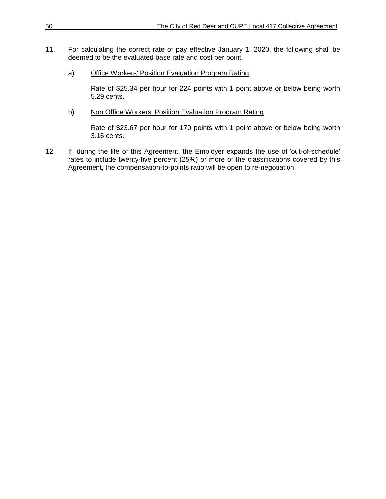- 11. For calculating the correct rate of pay effective January 1, 2020, the following shall be deemed to be the evaluated base rate and cost per point.
	- a) Office Workers' Position Evaluation Program Rating

Rate of \$25.34 per hour for 224 points with 1 point above or below being worth 5.29 cents.

b) Non Office Workers' Position Evaluation Program Rating

Rate of \$23.67 per hour for 170 points with 1 point above or below being worth 3.16 cents.

12. If, during the life of this Agreement, the Employer expands the use of 'out-of-schedule' rates to include twenty-five percent (25%) or more of the classifications covered by this Agreement, the compensation-to-points ratio will be open to re-negotiation.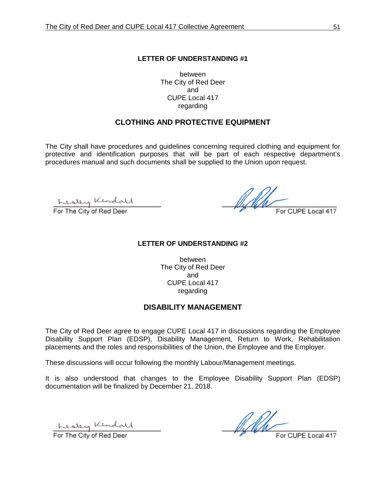between The City of Red Deer and CUPE Local 417 regarding

#### **CLOTHING AND PROTECTIVE EQUIPMENT**

The City shall have procedures and guidelines concerning required clothing and equipment for protective and identification purposes that will be part of each respective department's procedures manual and such documents shall be supplied to the Union upon request.

Kesley Kendall

 $M_{\star}$  For CUPE Local 417

#### **LETTER OF UNDERSTANDING #2**

between The City of Red Deer and CUPE Local 417 regarding

#### **DISABILITY MANAGEMENT**

The City of Red Deer agree to engage CUPE Local 417 in discussions regarding the Employee Disability Support Plan (EDSP), Disability Management, Return to Work, Rehabilitation placements and the roles and responsibilities of the Union, the Employee and the Employer.

These discussions will occur following the monthly Labour/Management meetings.

It is also understood that changes to the Employee Disability Support Plan (EDSP) documentation will be finalized by December 21, 2018.

Kesley Kendall

 $M_{\textrm{For CUPE Local 417}}$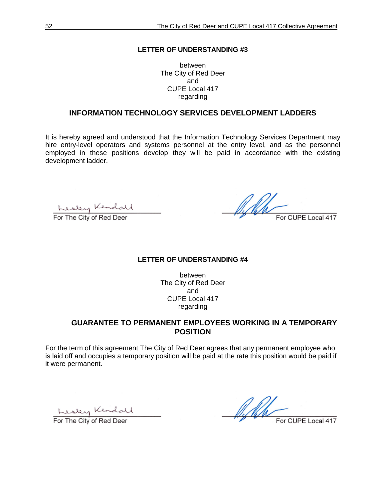between The City of Red Deer and CUPE Local 417 regarding

#### **INFORMATION TECHNOLOGY SERVICES DEVELOPMENT LADDERS**

It is hereby agreed and understood that the Information Technology Services Department may hire entry-level operators and systems personnel at the entry level, and as the personnel employed in these positions develop they will be paid in accordance with the existing development ladder.

Kesley Kendall

ff N.H For CUPE Local 417

#### **LETTER OF UNDERSTANDING #4**

between The City of Red Deer and CUPE Local 417 regarding

# **GUARANTEE TO PERMANENT EMPLOYEES WORKING IN A TEMPORARY POSITION**

For the term of this agreement The City of Red Deer agrees that any permanent employee who is laid off and occupies a temporary position will be paid at the rate this position would be paid if it were permanent.

<u>Lustey</u> Kendall

All For CUPE Local 417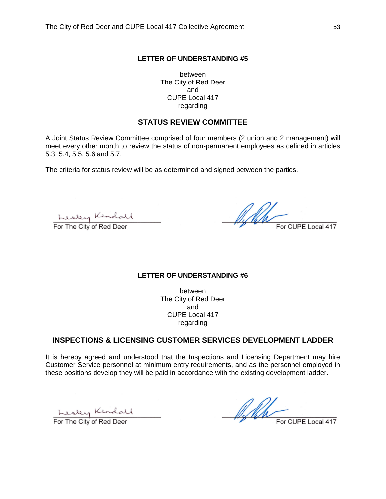between The City of Red Deer and CUPE Local 417 regarding

#### **STATUS REVIEW COMMITTEE**

A Joint Status Review Committee comprised of four members (2 union and 2 management) will meet every other month to review the status of non-permanent employees as defined in articles 5.3, 5.4, 5.5, 5.6 and 5.7.

The criteria for status review will be as determined and signed between the parties.

Kesley Kendall

All For CUPE Local 417

#### **LETTER OF UNDERSTANDING #6**

between The City of Red Deer and CUPE Local 417 regarding

#### **INSPECTIONS & LICENSING CUSTOMER SERVICES DEVELOPMENT LADDER**

It is hereby agreed and understood that the Inspections and Licensing Department may hire Customer Service personnel at minimum entry requirements, and as the personnel employed in these positions develop they will be paid in accordance with the existing development ladder.

<u>Lesley</u> Kendall

 $M$  For CUPE Local 417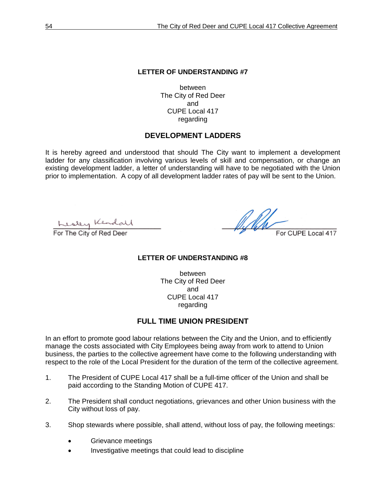between The City of Red Deer and CUPE Local 417 regarding

#### **DEVELOPMENT LADDERS**

It is hereby agreed and understood that should The City want to implement a development ladder for any classification involving various levels of skill and compensation, or change an existing development ladder, a letter of understanding will have to be negotiated with the Union prior to implementation. A copy of all development ladder rates of pay will be sent to the Union.

Kesley Kendall

Alhor CUPE Local 417

#### **LETTER OF UNDERSTANDING #8**

between The City of Red Deer and CUPE Local 417 regarding

#### **FULL TIME UNION PRESIDENT**

In an effort to promote good labour relations between the City and the Union, and to efficiently manage the costs associated with City Employees being away from work to attend to Union business, the parties to the collective agreement have come to the following understanding with respect to the role of the Local President for the duration of the term of the collective agreement.

- 1. The President of CUPE Local 417 shall be a full-time officer of the Union and shall be paid according to the Standing Motion of CUPE 417.
- 2. The President shall conduct negotiations, grievances and other Union business with the City without loss of pay.
- 3. Shop stewards where possible, shall attend, without loss of pay, the following meetings:
	- Grievance meetings
	- Investigative meetings that could lead to discipline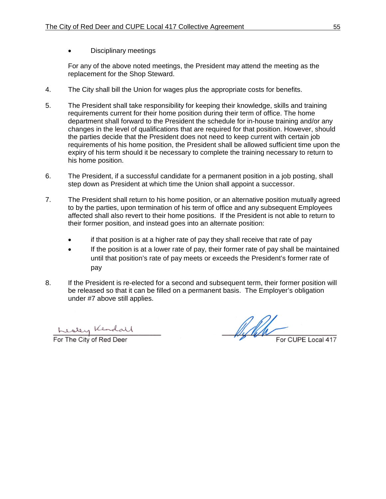• Disciplinary meetings

For any of the above noted meetings, the President may attend the meeting as the replacement for the Shop Steward.

- 4. The City shall bill the Union for wages plus the appropriate costs for benefits.
- 5. The President shall take responsibility for keeping their knowledge, skills and training requirements current for their home position during their term of office. The home department shall forward to the President the schedule for in-house training and/or any changes in the level of qualifications that are required for that position. However, should the parties decide that the President does not need to keep current with certain job requirements of his home position, the President shall be allowed sufficient time upon the expiry of his term should it be necessary to complete the training necessary to return to his home position.
- 6. The President, if a successful candidate for a permanent position in a job posting, shall step down as President at which time the Union shall appoint a successor.
- 7. The President shall return to his home position, or an alternative position mutually agreed to by the parties, upon termination of his term of office and any subsequent Employees affected shall also revert to their home positions. If the President is not able to return to their former position, and instead goes into an alternate position:
	- if that position is at a higher rate of pay they shall receive that rate of pay
	- If the position is at a lower rate of pay, their former rate of pay shall be maintained until that position's rate of pay meets or exceeds the President's former rate of pay
- 8. If the President is re-elected for a second and subsequent term, their former position will be released so that it can be filled on a permanent basis. The Employer's obligation under #7 above still applies.

Kesley Kendall

With For CUPE Local 417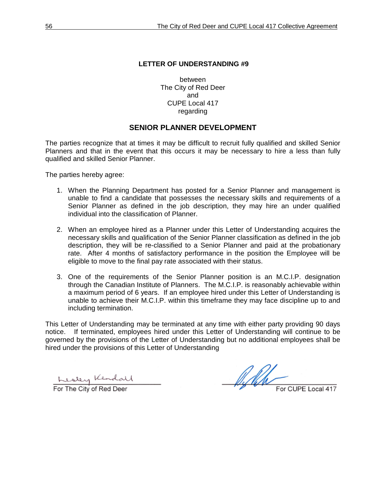between The City of Red Deer and CUPE Local 417 regarding

#### **SENIOR PLANNER DEVELOPMENT**

The parties recognize that at times it may be difficult to recruit fully qualified and skilled Senior Planners and that in the event that this occurs it may be necessary to hire a less than fully qualified and skilled Senior Planner.

The parties hereby agree:

- 1. When the Planning Department has posted for a Senior Planner and management is unable to find a candidate that possesses the necessary skills and requirements of a Senior Planner as defined in the job description, they may hire an under qualified individual into the classification of Planner.
- 2. When an employee hired as a Planner under this Letter of Understanding acquires the necessary skills and qualification of the Senior Planner classification as defined in the job description, they will be re-classified to a Senior Planner and paid at the probationary rate. After 4 months of satisfactory performance in the position the Employee will be eligible to move to the final pay rate associated with their status.
- 3. One of the requirements of the Senior Planner position is an M.C.I.P. designation through the Canadian Institute of Planners. The M.C.I.P. is reasonably achievable within a maximum period of 6 years. If an employee hired under this Letter of Understanding is unable to achieve their M.C.I.P. within this timeframe they may face discipline up to and including termination.

This Letter of Understanding may be terminated at any time with either party providing 90 days notice. If terminated, employees hired under this Letter of Understanding will continue to be governed by the provisions of the Letter of Understanding but no additional employees shall be hired under the provisions of this Letter of Understanding

Kesley Kendall

Wh For CUPE Local 417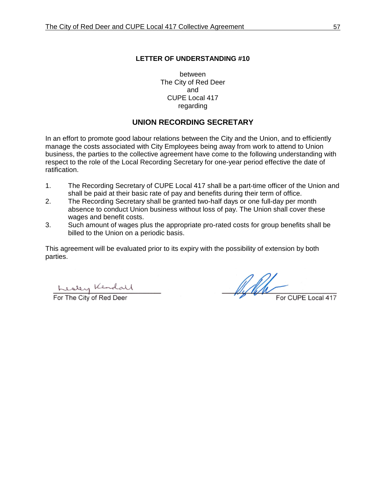between The City of Red Deer and CUPE Local 417 regarding

# **UNION RECORDING SECRETARY**

In an effort to promote good labour relations between the City and the Union, and to efficiently manage the costs associated with City Employees being away from work to attend to Union business, the parties to the collective agreement have come to the following understanding with respect to the role of the Local Recording Secretary for one-year period effective the date of ratification.

- 1. The Recording Secretary of CUPE Local 417 shall be a part-time officer of the Union and shall be paid at their basic rate of pay and benefits during their term of office.
- 2. The Recording Secretary shall be granted two-half days or one full-day per month absence to conduct Union business without loss of pay. The Union shall cover these wages and benefit costs.
- 3. Such amount of wages plus the appropriate pro-rated costs for group benefits shall be billed to the Union on a periodic basis.

This agreement will be evaluated prior to its expiry with the possibility of extension by both parties.

Kesley Kendall

Af Poli For CUPE Local 417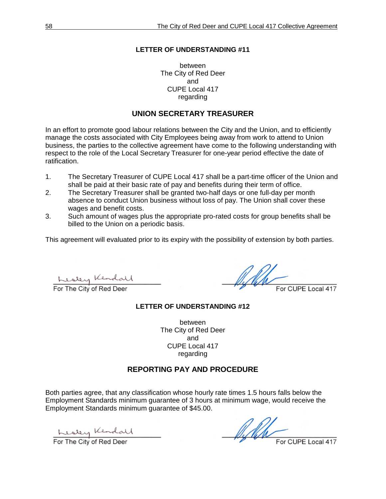between The City of Red Deer and CUPE Local 417 regarding

### **UNION SECRETARY TREASURER**

In an effort to promote good labour relations between the City and the Union, and to efficiently manage the costs associated with City Employees being away from work to attend to Union business, the parties to the collective agreement have come to the following understanding with respect to the role of the Local Secretary Treasurer for one-year period effective the date of ratification.

- 1. The Secretary Treasurer of CUPE Local 417 shall be a part-time officer of the Union and shall be paid at their basic rate of pay and benefits during their term of office.
- 2. The Secretary Treasurer shall be granted two-half days or one full-day per month absence to conduct Union business without loss of pay. The Union shall cover these wages and benefit costs.
- 3. Such amount of wages plus the appropriate pro-rated costs for group benefits shall be billed to the Union on a periodic basis.

This agreement will evaluated prior to its expiry with the possibility of extension by both parties.

<u>Lustery</u> Kendall

For CUPE Local 417

#### **LETTER OF UNDERSTANDING #12**

between The City of Red Deer and CUPE Local 417 regarding

#### **REPORTING PAY AND PROCEDURE**

Both parties agree, that any classification whose hourly rate times 1.5 hours falls below the Employment Standards minimum guarantee of 3 hours at minimum wage, would receive the Employment Standards minimum guarantee of \$45.00.

Kesley Kendall

Wh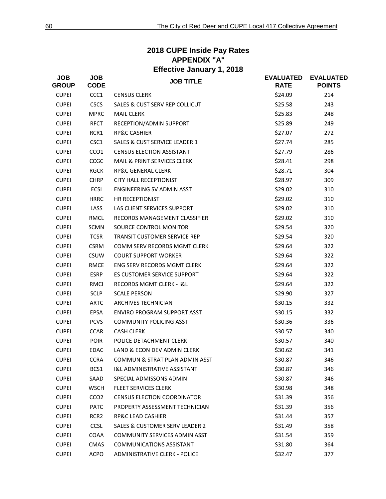| <b>Effective January 1, 2018</b> |                           |                                           |                                 |                                   |  |
|----------------------------------|---------------------------|-------------------------------------------|---------------------------------|-----------------------------------|--|
| <b>JOB</b><br><b>GROUP</b>       | <b>JOB</b><br><b>CODE</b> | <b>JOB TITLE</b>                          | <b>EVALUATED</b><br><b>RATE</b> | <b>EVALUATED</b><br><b>POINTS</b> |  |
| <b>CUPEI</b>                     | CCC1                      | <b>CENSUS CLERK</b>                       | \$24.09                         | 214                               |  |
| <b>CUPEI</b>                     | <b>CSCS</b>               | <b>SALES &amp; CUST SERV REP COLLICUT</b> | \$25.58                         | 243                               |  |
| <b>CUPEI</b>                     | <b>MPRC</b>               | <b>MAIL CLERK</b>                         | \$25.83                         | 248                               |  |
| <b>CUPEI</b>                     | <b>RFCT</b>               | RECEPTION/ADMIN SUPPORT                   | \$25.89                         | 249                               |  |
| <b>CUPEI</b>                     | RCR1                      | <b>RP&amp;C CASHIER</b>                   | \$27.07                         | 272                               |  |
| <b>CUPEI</b>                     | CSC1                      | <b>SALES &amp; CUST SERVICE LEADER 1</b>  | \$27.74                         | 285                               |  |
| <b>CUPEI</b>                     | CCO1                      | <b>CENSUS ELECTION ASSISTANT</b>          | \$27.79                         | 286                               |  |
| <b>CUPEI</b>                     | CCGC                      | <b>MAIL &amp; PRINT SERVICES CLERK</b>    | \$28.41                         | 298                               |  |
| <b>CUPEI</b>                     | <b>RGCK</b>               | <b>RP&amp;C GENERAL CLERK</b>             | \$28.71                         | 304                               |  |
| <b>CUPEI</b>                     | <b>CHRP</b>               | <b>CITY HALL RECEPTIONIST</b>             | \$28.97                         | 309                               |  |
| <b>CUPEI</b>                     | <b>ECSI</b>               | <b>ENGINEERING SV ADMIN ASST</b>          | \$29.02                         | 310                               |  |
| <b>CUPEI</b>                     | <b>HRRC</b>               | HR RECEPTIONIST                           | \$29.02                         | 310                               |  |
| <b>CUPEI</b>                     | LASS                      | LAS CLIENT SERVICES SUPPORT               | \$29.02                         | 310                               |  |
| <b>CUPEI</b>                     | RMCL                      | RECORDS MANAGEMENT CLASSIFIER             | \$29.02                         | 310                               |  |
| <b>CUPEI</b>                     | <b>SCMN</b>               | SOURCE CONTROL MONITOR                    | \$29.54                         | 320                               |  |
| <b>CUPEI</b>                     | <b>TCSR</b>               | <b>TRANSIT CUSTOMER SERVICE REP</b>       | \$29.54                         | 320                               |  |
| <b>CUPEI</b>                     | <b>CSRM</b>               | COMM SERV RECORDS MGMT CLERK              | \$29.64                         | 322                               |  |
| <b>CUPEI</b>                     | <b>CSUW</b>               | <b>COURT SUPPORT WORKER</b>               | \$29.64                         | 322                               |  |
| <b>CUPEI</b>                     | <b>RMCE</b>               | ENG SERV RECORDS MGMT CLERK               | \$29.64                         | 322                               |  |
| <b>CUPEI</b>                     | <b>ESRP</b>               | <b>ES CUSTOMER SERVICE SUPPORT</b>        | \$29.64                         | 322                               |  |
| <b>CUPEI</b>                     | <b>RMCI</b>               | <b>RECORDS MGMT CLERK - I&amp;L</b>       | \$29.64                         | 322                               |  |
| <b>CUPEI</b>                     | <b>SCLP</b>               | <b>SCALE PERSON</b>                       | \$29.90                         | 327                               |  |
| <b>CUPEI</b>                     | <b>ARTC</b>               | <b>ARCHIVES TECHNICIAN</b>                | \$30.15                         | 332                               |  |
| <b>CUPEI</b>                     | <b>EPSA</b>               | <b>ENVIRO PROGRAM SUPPORT ASST</b>        | \$30.15                         | 332                               |  |
| <b>CUPEI</b>                     | <b>PCVS</b>               | <b>COMMUNITY POLICING ASST</b>            | \$30.36                         | 336                               |  |
| <b>CUPEI</b>                     | <b>CCAR</b>               | <b>CASH CLERK</b>                         | \$30.57                         | 340                               |  |
| <b>CUPEI</b>                     | <b>POIR</b>               | POLICE DETACHMENT CLERK                   | \$30.57                         | 340                               |  |
| <b>CUPEI</b>                     | <b>EDAC</b>               | LAND & ECON DEV ADMIN CLERK               | \$30.62                         | 341                               |  |
| <b>CUPEI</b>                     | <b>CCRA</b>               | COMMUN & STRAT PLAN ADMIN ASST            | \$30.87                         | 346                               |  |
| <b>CUPEI</b>                     | BCS1                      | <b>I&amp;L ADMINISTRATIVE ASSISTANT</b>   | \$30.87                         | 346                               |  |
| <b>CUPEI</b>                     | SAAD                      | SPECIAL ADMISSONS ADMIN                   | \$30.87                         | 346                               |  |
| <b>CUPEI</b>                     | <b>WSCH</b>               | <b>FLEET SERVICES CLERK</b>               | \$30.98                         | 348                               |  |
| <b>CUPEI</b>                     | CCO <sub>2</sub>          | <b>CENSUS ELECTION COORDINATOR</b>        | \$31.39                         | 356                               |  |
| <b>CUPEI</b>                     | <b>PATC</b>               | PROPERTY ASSESSMENT TECHNICIAN            | \$31.39                         | 356                               |  |
| <b>CUPEI</b>                     | RCR <sub>2</sub>          | <b>RP&amp;C LEAD CASHIER</b>              | \$31.44                         | 357                               |  |
| <b>CUPEI</b>                     | <b>CCSL</b>               | SALES & CUSTOMER SERV LEADER 2            | \$31.49                         | 358                               |  |
| <b>CUPEI</b>                     | COAA                      | <b>COMMUNITY SERVICES ADMIN ASST</b>      | \$31.54                         | 359                               |  |
| <b>CUPEI</b>                     | CMAS                      | <b>COMMUNICATIONS ASSISTANT</b>           | \$31.80                         | 364                               |  |
| <b>CUPEI</b>                     | ACPO                      | ADMINISTRATIVE CLERK - POLICE             | \$32.47                         | 377                               |  |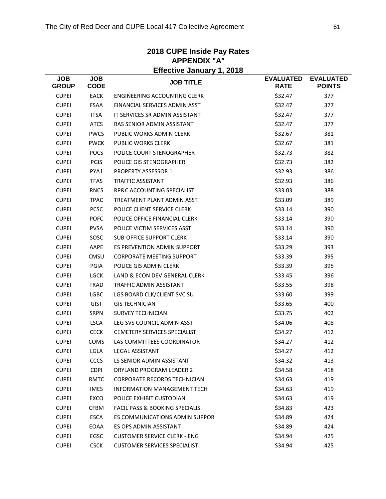| Effective January 1, 2018  |                           |                                           |                                 |                                   |  |
|----------------------------|---------------------------|-------------------------------------------|---------------------------------|-----------------------------------|--|
| <b>JOB</b><br><b>GROUP</b> | <b>JOB</b><br><b>CODE</b> | <b>JOB TITLE</b>                          | <b>EVALUATED</b><br><b>RATE</b> | <b>EVALUATED</b><br><b>POINTS</b> |  |
| <b>CUPEI</b>               | <b>EACK</b>               | <b>ENGINEERING ACCOUNTING CLERK</b>       | \$32.47                         | 377                               |  |
| <b>CUPEI</b>               | <b>FSAA</b>               | FINANCIAL SERVICES ADMIN ASST             | \$32.47                         | 377                               |  |
| <b>CUPEI</b>               | <b>ITSA</b>               | IT SERVICES SR ADMIN ASSISTANT            | \$32.47                         | 377                               |  |
| <b>CUPEI</b>               | <b>ATCS</b>               | RAS SENIOR ADMIN ASSISTANT                | \$32.47                         | 377                               |  |
| <b>CUPEI</b>               | <b>PWCS</b>               | PUBLIC WORKS ADMIN CLERK                  | \$32.67                         | 381                               |  |
| <b>CUPEI</b>               | <b>PWCK</b>               | <b>PUBLIC WORKS CLERK</b>                 | \$32.67                         | 381                               |  |
| <b>CUPEI</b>               | <b>POCS</b>               | POLICE COURT STENOGRAPHER                 | \$32.73                         | 382                               |  |
| <b>CUPEI</b>               | <b>PGIS</b>               | POLICE GIS STENOGRAPHER                   | \$32.73                         | 382                               |  |
| <b>CUPEI</b>               | PYA1                      | <b>PROPERTY ASSESSOR 1</b>                | \$32.93                         | 386                               |  |
| <b>CUPEI</b>               | <b>TFAS</b>               | <b>TRAFFIC ASSISTANT</b>                  | \$32.93                         | 386                               |  |
| <b>CUPEI</b>               | <b>RNCS</b>               | RP&C ACCOUNTING SPECIALIST                | \$33.03                         | 388                               |  |
| <b>CUPEI</b>               | <b>TPAC</b>               | TREATMENT PLANT ADMIN ASST                | \$33.09                         | 389                               |  |
| <b>CUPEI</b>               | <b>PCSC</b>               | POLICE CLIENT SERVICE CLERK               | \$33.14                         | 390                               |  |
| <b>CUPEI</b>               | <b>POFC</b>               | POLICE OFFICE FINANCIAL CLERK             | \$33.14                         | 390                               |  |
| <b>CUPEI</b>               | <b>PVSA</b>               | POLICE VICTIM SERVICES ASST               | \$33.14                         | 390                               |  |
| <b>CUPEI</b>               | SOSC                      | <b>SUB-OFFICE SUPPORT CLERK</b>           | \$33.14                         | 390                               |  |
| <b>CUPEI</b>               | AAPE                      | ES PREVENTION ADMIN SUPPORT               | \$33.29                         | 393                               |  |
| <b>CUPEI</b>               | <b>CMSU</b>               | <b>CORPORATE MEETING SUPPORT</b>          | \$33.39                         | 395                               |  |
| <b>CUPEI</b>               | PGIA                      | POLICE GIS ADMIN CLERK                    | \$33.39                         | 395                               |  |
| <b>CUPEI</b>               | <b>LGCK</b>               | LAND & ECON DEV GENERAL CLERK             | \$33.45                         | 396                               |  |
| <b>CUPEI</b>               | <b>TRAD</b>               | TRAFFIC ADMIN ASSISTANT                   | \$33.55                         | 398                               |  |
| <b>CUPEI</b>               | <b>LGBC</b>               | LGS BOARD CLK/CLIENT SVC SU               | \$33.60                         | 399                               |  |
| <b>CUPEI</b>               | <b>GIST</b>               | <b>GIS TECHNICIAN</b>                     | \$33.65                         | 400                               |  |
| <b>CUPEI</b>               | <b>SRPN</b>               | <b>SURVEY TECHNICIAN</b>                  | \$33.75                         | 402                               |  |
| <b>CUPEI</b>               | <b>LSCA</b>               | LEG SVS COUNCIL ADMIN ASST                | \$34.06                         | 408                               |  |
| <b>CUPEI</b>               | <b>CECK</b>               | <b>CEMETERY SERVICES SPECIALIST</b>       | \$34.27                         | 412                               |  |
| <b>CUPEI</b>               | <b>COMS</b>               | LAS COMMITTEES COORDINATOR                | \$34.27                         | 412                               |  |
| <b>CUPEI</b>               | LGLA                      | <b>LEGAL ASSISTANT</b>                    | \$34.27                         | 412                               |  |
| <b>CUPEI</b>               | <b>CCCS</b>               | LS SENIOR ADMIN ASSISTANT                 | \$34.32                         | 413                               |  |
| <b>CUPEI</b>               | <b>CDPI</b>               | DRYLAND PROGRAM LEADER 2                  | \$34.58                         | 418                               |  |
| <b>CUPEI</b>               | RMTC                      | <b>CORPORATE RECORDS TECHNICIAN</b>       | \$34.63                         | 419                               |  |
| <b>CUPEI</b>               | <b>IMES</b>               | <b>INFORMATION MANAGEMENT TECH</b>        | \$34.63                         | 419                               |  |
| <b>CUPEI</b>               | EXCO                      | POLICE EXHIBIT CUSTODIAN                  | \$34.63                         | 419                               |  |
| <b>CUPEI</b>               | <b>CFBM</b>               | <b>FACIL PASS &amp; BOOKING SPECIALIS</b> | \$34.83                         | 423                               |  |
| <b>CUPEI</b>               | ESCA                      | ES COMMUNICATIONS ADMIN SUPPOR            | \$34.89                         | 424                               |  |
| <b>CUPEI</b>               | EOAA                      | ES OPS ADMIN ASSISTANT                    | \$34.89                         | 424                               |  |
| <b>CUPEI</b>               | EGSC                      | <b>CUSTOMER SERVICE CLERK - ENG</b>       | \$34.94                         | 425                               |  |
| <b>CUPEI</b>               | <b>CSCK</b>               | <b>CUSTOMER SERVICES SPECIALIST</b>       | \$34.94                         | 425                               |  |

# **2018 CUPE Inside Pay Rates APPENDIX "A" Effective January 1, 2018**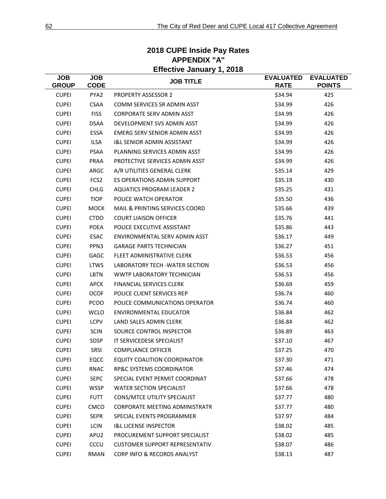| Effective January 1, 2018  |                           |                                       |                                 |                                   |
|----------------------------|---------------------------|---------------------------------------|---------------------------------|-----------------------------------|
| <b>JOB</b><br><b>GROUP</b> | <b>JOB</b><br><b>CODE</b> | <b>JOB TITLE</b>                      | <b>EVALUATED</b><br><b>RATE</b> | <b>EVALUATED</b><br><b>POINTS</b> |
| <b>CUPEI</b>               | PYA2                      | <b>PROPERTY ASSESSOR 2</b>            | \$34.94                         | 425                               |
| <b>CUPEI</b>               | <b>CSAA</b>               | COMM SERVICES SR ADMIN ASST           | \$34.99                         | 426                               |
| <b>CUPEI</b>               | <b>FISS</b>               | <b>CORPORATE SERV ADMIN ASST</b>      | \$34.99                         | 426                               |
| <b>CUPEI</b>               | <b>DSAA</b>               | DEVELOPMENT SVS ADMIN ASST            | \$34.99                         | 426                               |
| <b>CUPEI</b>               | ESSA                      | EMERG SERV SENIOR ADMIN ASST          | \$34.99                         | 426                               |
| <b>CUPEI</b>               | <b>ILSA</b>               | <b>I&amp;L SENIOR ADMIN ASSISTANT</b> | \$34.99                         | 426                               |
| <b>CUPEI</b>               | <b>PSAA</b>               | PLANNING SERVICES ADMIN ASST          | \$34.99                         | 426                               |
| <b>CUPEI</b>               | PRAA                      | PROTECTIVE SERVICES ADMIN ASST        | \$34.99                         | 426                               |
| <b>CUPEI</b>               | ARGC                      | A/R UTILITIES GENERAL CLERK           | \$35.14                         | 429                               |
| <b>CUPEI</b>               | FCS <sub>2</sub>          | ES OPERATIONS ADMIN SUPPORT           | \$35.19                         | 430                               |
| <b>CUPEI</b>               | <b>CHLG</b>               | <b>AQUATICS PROGRAM LEADER 2</b>      | \$35.25                         | 431                               |
| <b>CUPEI</b>               | <b>TIOP</b>               | POLICE WATCH OPERATOR                 | \$35.50                         | 436                               |
| <b>CUPEI</b>               | <b>MOCK</b>               | MAIL & PRINTING SERVICES COORD        | \$35.66                         | 439                               |
| <b>CUPEI</b>               | <b>CTDO</b>               | <b>COURT LIAISON OFFICER</b>          | \$35.76                         | 441                               |
| <b>CUPEI</b>               | <b>POEA</b>               | POLICE EXECUTIVE ASSISTANT            | \$35.86                         | 443                               |
| <b>CUPEI</b>               | <b>ESAC</b>               | ENVIRONMENTAL SERV ADMIN ASST         | \$36.17                         | 449                               |
| <b>CUPEI</b>               | PPN3                      | <b>GARAGE PARTS TECHNICIAN</b>        | \$36.27                         | 451                               |
| <b>CUPEI</b>               | <b>GAGC</b>               | FLEET ADMINISTRATIVE CLERK            | \$36.53                         | 456                               |
| <b>CUPEI</b>               | LTWS                      | LABORATORY TECH - WATER SECTION       | \$36.53                         | 456                               |
| <b>CUPEI</b>               | <b>LBTN</b>               | WWTP LABORATORY TECHNICIAN            | \$36.53                         | 456                               |
| <b>CUPEI</b>               | <b>APCK</b>               | <b>FINANCIAL SERVICES CLERK</b>       | \$36.69                         | 459                               |
| <b>CUPEI</b>               | <b>OCOF</b>               | POLICE CLIENT SERVICES REP            | \$36.74                         | 460                               |
| <b>CUPEI</b>               | <b>PCOO</b>               | POLICE COMMUNICATIONS OPERATOR        | \$36.74                         | 460                               |
| <b>CUPEI</b>               | <b>WCLO</b>               | <b>ENVIRONMENTAL EDUCATOR</b>         | \$36.84                         | 462                               |
| <b>CUPEI</b>               | LCPV                      | LAND SALES ADMIN CLERK                | \$36.84                         | 462                               |
| <b>CUPEI</b>               | <b>SCIN</b>               | SOURCE CONTROL INSPECTOR              | \$36.89                         | 463                               |
| <b>CUPEI</b>               | <b>SDSP</b>               | IT SERVICEDESK SPECIALIST             | \$37.10                         | 467                               |
| <b>CUPEI</b>               | SRSI                      | <b>COMPLIANCE OFFICER</b>             | \$37.25                         | 470                               |
| <b>CUPEI</b>               | EQCC                      | <b>EQUITY COALITION COORDINATOR</b>   | \$37.30                         | 471                               |
| <b>CUPEI</b>               | RNAC                      | RP&C SYSTEMS COORDINATOR              | \$37.46                         | 474                               |
| <b>CUPEI</b>               | <b>SEPC</b>               | SPECIAL EVENT PERMIT COORDINAT        | \$37.66                         | 478                               |
| <b>CUPEI</b>               | <b>WSSP</b>               | <b>WATER SECTION SPECIALIST</b>       | \$37.66                         | 478                               |
| <b>CUPEI</b>               | <b>FUTT</b>               | CONS/MTCE UTILITY SPECIALIST          | \$37.77                         | 480                               |
| <b>CUPEI</b>               | CMCO                      | <b>CORPORATE MEETING ADMINISTRATR</b> | \$37.77                         | 480                               |
| <b>CUPEI</b>               | <b>SEPR</b>               | SPECIAL EVENTS PROGRAMMER             | \$37.97                         | 484                               |
| <b>CUPEI</b>               | LCIN                      | <b>I&amp;L LICENSE INSPECTOR</b>      | \$38.02                         | 485                               |
| <b>CUPEI</b>               | APU2                      | PROCUREMENT SUPPORT SPECIALIST        | \$38.02                         | 485                               |
| <b>CUPEI</b>               | CCCU                      | <b>CUSTOMER SUPPORT REPRESENTATIV</b> | \$38.07                         | 486                               |
| <b>CUPEI</b>               | RMAN                      | CORP INFO & RECORDS ANALYST           | \$38.13                         | 487                               |

# **2018 CUPE Inside Pay Rates APPENDIX "A" Effective January 1, 2018**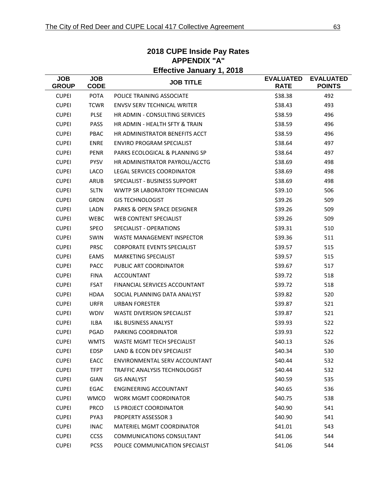| <b>Effective January 1, 2018</b> |                           |                                        |                                 |                                   |  |
|----------------------------------|---------------------------|----------------------------------------|---------------------------------|-----------------------------------|--|
| <b>JOB</b><br><b>GROUP</b>       | <b>JOB</b><br><b>CODE</b> | <b>JOB TITLE</b>                       | <b>EVALUATED</b><br><b>RATE</b> | <b>EVALUATED</b><br><b>POINTS</b> |  |
| <b>CUPEI</b>                     | <b>POTA</b>               | POLICE TRAINING ASSOCIATE              | \$38.38                         | 492                               |  |
| <b>CUPEI</b>                     | <b>TCWR</b>               | <b>ENVSV SERV TECHNICAL WRITER</b>     | \$38.43                         | 493                               |  |
| <b>CUPEI</b>                     | <b>PLSE</b>               | HR ADMIN - CONSULTING SERVICES         | \$38.59                         | 496                               |  |
| <b>CUPEI</b>                     | PASS                      | HR ADMIN - HEALTH SFTY & TRAIN         | \$38.59                         | 496                               |  |
| <b>CUPEI</b>                     | PBAC                      | HR ADMINISTRATOR BENEFITS ACCT         | \$38.59                         | 496                               |  |
| <b>CUPEI</b>                     | <b>ENRE</b>               | ENVIRO PROGRAM SPECIALIST              | \$38.64                         | 497                               |  |
| <b>CUPEI</b>                     | <b>PENR</b>               | PARKS ECOLOGICAL & PLANNING SP         | \$38.64                         | 497                               |  |
| <b>CUPEI</b>                     | <b>PYSV</b>               | HR ADMINISTRATOR PAYROLL/ACCTG         | \$38.69                         | 498                               |  |
| <b>CUPEI</b>                     | LACO                      | <b>LEGAL SERVICES COORDINATOR</b>      | \$38.69                         | 498                               |  |
| <b>CUPEI</b>                     | ARUB                      | SPECIALIST - BUSINESS SUPPORT          | \$38.69                         | 498                               |  |
| <b>CUPEI</b>                     | <b>SLTN</b>               | WWTP SR LABORATORY TECHNICIAN          | \$39.10                         | 506                               |  |
| <b>CUPEI</b>                     | <b>GRDN</b>               | <b>GIS TECHNOLOGIST</b>                | \$39.26                         | 509                               |  |
| <b>CUPEI</b>                     | <b>LADN</b>               | <b>PARKS &amp; OPEN SPACE DESIGNER</b> | \$39.26                         | 509                               |  |
| <b>CUPEI</b>                     | <b>WEBC</b>               | <b>WEB CONTENT SPECIALIST</b>          | \$39.26                         | 509                               |  |
| <b>CUPEI</b>                     | <b>SPEO</b>               | <b>SPECIALIST - OPERATIONS</b>         | \$39.31                         | 510                               |  |
| <b>CUPEI</b>                     | SWIN                      | <b>WASTE MANAGEMENT INSPECTOR</b>      | \$39.36                         | 511                               |  |
| <b>CUPEI</b>                     | <b>PRSC</b>               | <b>CORPORATE EVENTS SPECIALIST</b>     | \$39.57                         | 515                               |  |
| <b>CUPEI</b>                     | EAMS                      | <b>MARKETING SPECIALIST</b>            | \$39.57                         | 515                               |  |
| <b>CUPEI</b>                     | <b>PACC</b>               | PUBLIC ART COORDINATOR                 | \$39.67                         | 517                               |  |
| <b>CUPEI</b>                     | <b>FINA</b>               | <b>ACCOUNTANT</b>                      | \$39.72                         | 518                               |  |
| <b>CUPEI</b>                     | <b>FSAT</b>               | FINANCIAL SERVICES ACCOUNTANT          | \$39.72                         | 518                               |  |
| <b>CUPEI</b>                     | <b>HDAA</b>               | SOCIAL PLANNING DATA ANALYST           | \$39.82                         | 520                               |  |
| <b>CUPEI</b>                     | <b>URFR</b>               | <b>URBAN FORESTER</b>                  | \$39.87                         | 521                               |  |
| <b>CUPEI</b>                     | <b>WDIV</b>               | <b>WASTE DIVERSION SPECIALIST</b>      | \$39.87                         | 521                               |  |
| <b>CUPEI</b>                     | <b>ILBA</b>               | <b>I&amp;L BUSINESS ANALYST</b>        | \$39.93                         | 522                               |  |
| <b>CUPEI</b>                     | PGAD                      | PARKING COORDINATOR                    | \$39.93                         | 522                               |  |
| <b>CUPEI</b>                     | <b>WMTS</b>               | WASTE MGMT TECH SPECIALIST             | \$40.13                         | 526                               |  |
| <b>CUPEI</b>                     | EDSP                      | LAND & ECON DEV SPECIALIST             | \$40.34                         | 530                               |  |
| <b>CUPEI</b>                     | <b>EACC</b>               | ENVIRONMENTAL SERV ACCOUNTANT          | \$40.44                         | 532                               |  |
| <b>CUPEI</b>                     | <b>TFPT</b>               | TRAFFIC ANALYSIS TECHNOLOGIST          | \$40.44                         | 532                               |  |
| <b>CUPEI</b>                     | GIAN                      | <b>GIS ANALYST</b>                     | \$40.59                         | 535                               |  |
| <b>CUPEI</b>                     | EGAC                      | <b>ENGINEERING ACCOUNTANT</b>          | \$40.65                         | 536                               |  |
| <b>CUPEI</b>                     | <b>WMCO</b>               | <b>WORK MGMT COORDINATOR</b>           | \$40.75                         | 538                               |  |
| <b>CUPEI</b>                     | <b>PRCO</b>               | LS PROJECT COORDINATOR                 | \$40.90                         | 541                               |  |
| <b>CUPEI</b>                     | PYA3                      | <b>PROPERTY ASSESSOR 3</b>             | \$40.90                         | 541                               |  |
| <b>CUPEI</b>                     | <b>INAC</b>               | MATERIEL MGMT COORDINATOR              | \$41.01                         | 543                               |  |
| <b>CUPEI</b>                     | <b>CCSS</b>               | <b>COMMUNICATIONS CONSULTANT</b>       | \$41.06                         | 544                               |  |
| <b>CUPEI</b>                     | <b>PCSS</b>               | POLICE COMMUNICATION SPECIALST         | \$41.06                         | 544                               |  |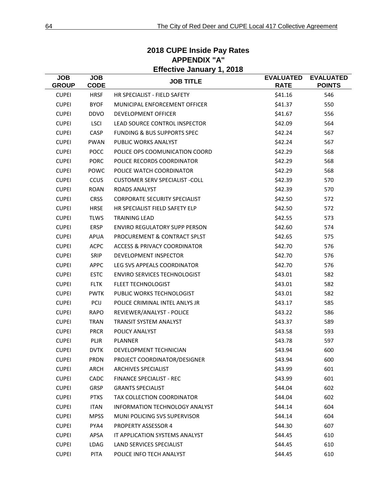| <b>Effective January 1, 2018</b> |                           |                                        |                                 |                                   |  |
|----------------------------------|---------------------------|----------------------------------------|---------------------------------|-----------------------------------|--|
| <b>JOB</b><br><b>GROUP</b>       | <b>JOB</b><br><b>CODE</b> | <b>JOB TITLE</b>                       | <b>EVALUATED</b><br><b>RATE</b> | <b>EVALUATED</b><br><b>POINTS</b> |  |
| <b>CUPEI</b>                     | <b>HRSF</b>               | HR SPECIALIST - FIELD SAFETY           | \$41.16                         | 546                               |  |
| <b>CUPEI</b>                     | <b>BYOF</b>               | MUNICIPAL ENFORCEMENT OFFICER          | \$41.37                         | 550                               |  |
| <b>CUPEI</b>                     | <b>DDVO</b>               | <b>DEVELOPMENT OFFICER</b>             | \$41.67                         | 556                               |  |
| <b>CUPEI</b>                     | <b>LSCI</b>               | LEAD SOURCE CONTROL INSPECTOR          | \$42.09                         | 564                               |  |
| <b>CUPEI</b>                     | CASP                      | <b>FUNDING &amp; BUS SUPPORTS SPEC</b> | \$42.24                         | 567                               |  |
| <b>CUPEI</b>                     | <b>PWAN</b>               | PUBLIC WORKS ANALYST                   | \$42.24                         | 567                               |  |
| <b>CUPEI</b>                     | <b>POCC</b>               | POLICE OPS COOMUNICATION COORD         | \$42.29                         | 568                               |  |
| <b>CUPEI</b>                     | <b>PORC</b>               | POLICE RECORDS COORDINATOR             | \$42.29                         | 568                               |  |
| <b>CUPEI</b>                     | POWC                      | POLICE WATCH COORDINATOR               | \$42.29                         | 568                               |  |
| <b>CUPEI</b>                     | <b>CCUS</b>               | <b>CUSTOMER SERV SPECIALIST -COLL</b>  | \$42.39                         | 570                               |  |
| <b>CUPEI</b>                     | <b>ROAN</b>               | <b>ROADS ANALYST</b>                   | \$42.39                         | 570                               |  |
| <b>CUPEI</b>                     | <b>CRSS</b>               | <b>CORPORATE SECURITY SPECIALIST</b>   | \$42.50                         | 572                               |  |
| <b>CUPEI</b>                     | <b>HRSE</b>               | HR SPECIALIST FIELD SAFETY ELP         | \$42.50                         | 572                               |  |
| <b>CUPEI</b>                     | <b>TLWS</b>               | <b>TRAINING LEAD</b>                   | \$42.55                         | 573                               |  |
| <b>CUPEI</b>                     | <b>ERSP</b>               | <b>ENVIRO REGULATORY SUPP PERSON</b>   | \$42.60                         | 574                               |  |
| <b>CUPEI</b>                     | <b>APUA</b>               | PROCUREMENT & CONTRACT SPLST           | \$42.65                         | 575                               |  |
| <b>CUPEI</b>                     | <b>ACPC</b>               | ACCESS & PRIVACY COORDINATOR           | \$42.70                         | 576                               |  |
| <b>CUPEI</b>                     | SRIP                      | <b>DEVELOPMENT INSPECTOR</b>           | \$42.70                         | 576                               |  |
| <b>CUPEI</b>                     | <b>APPC</b>               | LEG SVS APPEALS COORDINATOR            | \$42.70                         | 576                               |  |
| <b>CUPEI</b>                     | <b>ESTC</b>               | <b>ENVIRO SERVICES TECHNOLOGIST</b>    | \$43.01                         | 582                               |  |
| <b>CUPEI</b>                     | <b>FLTK</b>               | <b>FLEET TECHNOLOGIST</b>              | \$43.01                         | 582                               |  |
| <b>CUPEI</b>                     | <b>PWTK</b>               | PUBLIC WORKS TECHNOLOGIST              | \$43.01                         | 582                               |  |
| <b>CUPEI</b>                     | PCIJ                      | POLICE CRIMINAL INTEL ANLYS JR         | \$43.17                         | 585                               |  |
| <b>CUPEI</b>                     | <b>RAPO</b>               | REVIEWER/ANALYST - POLICE              | \$43.22                         | 586                               |  |
| <b>CUPEI</b>                     | <b>TRAN</b>               | <b>TRANSIT SYSTEM ANALYST</b>          | \$43.37                         | 589                               |  |
| <b>CUPEI</b>                     | <b>PRCR</b>               | POLICY ANALYST                         | \$43.58                         | 593                               |  |
| <b>CUPEI</b>                     | <b>PLJR</b>               | <b>PLANNER</b>                         | \$43.78                         | 597                               |  |
| <b>CUPEI</b>                     | <b>DVTK</b>               | DEVELOPMENT TECHNICIAN                 | \$43.94                         | 600                               |  |
| <b>CUPEI</b>                     | <b>PRDN</b>               | PROJECT COORDINATOR/DESIGNER           | \$43.94                         | 600                               |  |
| <b>CUPEI</b>                     | ARCH                      | <b>ARCHIVES SPECIALIST</b>             | \$43.99                         | 601                               |  |
| <b>CUPEI</b>                     | CADC                      | <b>FINANCE SPECIALIST - REC</b>        | \$43.99                         | 601                               |  |
| <b>CUPEI</b>                     | <b>GRSP</b>               | <b>GRANTS SPECIALIST</b>               | \$44.04                         | 602                               |  |
| <b>CUPEI</b>                     | <b>PTXS</b>               | TAX COLLECTION COORDINATOR             | \$44.04                         | 602                               |  |
| <b>CUPEI</b>                     | <b>ITAN</b>               | <b>INFORMATION TECHNOLOGY ANALYST</b>  | \$44.14                         | 604                               |  |
| <b>CUPEI</b>                     | <b>MPSS</b>               | MUNI POLICING SVS SUPERVISOR           | \$44.14                         | 604                               |  |
| <b>CUPEI</b>                     | PYA4                      | PROPERTY ASSESSOR 4                    | \$44.30                         | 607                               |  |
| <b>CUPEI</b>                     | APSA                      | IT APPLICATION SYSTEMS ANALYST         | \$44.45                         | 610                               |  |
| <b>CUPEI</b>                     | LDAG                      | LAND SERVICES SPECIALIST               | \$44.45                         | 610                               |  |
| <b>CUPEI</b>                     | PITA                      | POLICE INFO TECH ANALYST               | \$44.45                         | 610                               |  |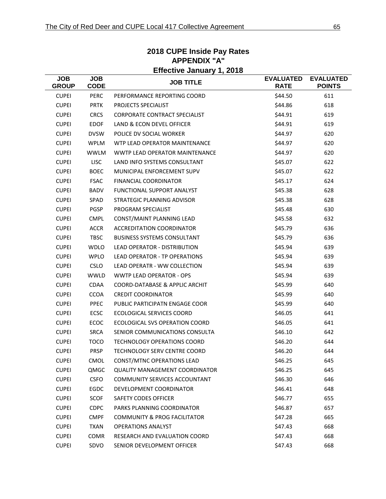| <b>Effective January 1, 2018</b> |                           |                                         |                                 |                                   |  |
|----------------------------------|---------------------------|-----------------------------------------|---------------------------------|-----------------------------------|--|
| <b>JOB</b><br><b>GROUP</b>       | <b>JOB</b><br><b>CODE</b> | <b>JOB TITLE</b>                        | <b>EVALUATED</b><br><b>RATE</b> | <b>EVALUATED</b><br><b>POINTS</b> |  |
| <b>CUPEI</b>                     | <b>PERC</b>               | PERFORMANCE REPORTING COORD             | \$44.50                         | 611                               |  |
| <b>CUPEI</b>                     | <b>PRTK</b>               | PROJECTS SPECIALIST                     | \$44.86                         | 618                               |  |
| <b>CUPEI</b>                     | <b>CRCS</b>               | <b>CORPORATE CONTRACT SPECIALIST</b>    | \$44.91                         | 619                               |  |
| <b>CUPEI</b>                     | <b>EDOF</b>               | LAND & ECON DEVEL OFFICER               | \$44.91                         | 619                               |  |
| <b>CUPEI</b>                     | <b>DVSW</b>               | POLICE DV SOCIAL WORKER                 | \$44.97                         | 620                               |  |
| <b>CUPEI</b>                     | <b>WPLM</b>               | WTP LEAD OPERATOR MAINTENANCE           | \$44.97                         | 620                               |  |
| <b>CUPEI</b>                     | <b>WWLM</b>               | <b>WWTP LEAD OPERATOR MAINTENANCE</b>   | \$44.97                         | 620                               |  |
| <b>CUPEI</b>                     | <b>LISC</b>               | LAND INFO SYSTEMS CONSULTANT            | \$45.07                         | 622                               |  |
| <b>CUPEI</b>                     | <b>BOEC</b>               | MUNICIPAL ENFORCEMENT SUPV              | \$45.07                         | 622                               |  |
| <b>CUPEI</b>                     | <b>FSAC</b>               | <b>FINANCIAL COORDINATOR</b>            | \$45.17                         | 624                               |  |
| <b>CUPEI</b>                     | <b>BADV</b>               | <b>FUNCTIONAL SUPPORT ANALYST</b>       | \$45.38                         | 628                               |  |
| <b>CUPEI</b>                     | SPAD                      | STRATEGIC PLANNING ADVISOR              | \$45.38                         | 628                               |  |
| <b>CUPEI</b>                     | PGSP                      | PROGRAM SPECIALIST                      | \$45.48                         | 630                               |  |
| <b>CUPEI</b>                     | <b>CMPL</b>               | CONST/MAINT PLANNING LEAD               | \$45.58                         | 632                               |  |
| <b>CUPEI</b>                     | <b>ACCR</b>               | <b>ACCREDITATION COORDINATOR</b>        | \$45.79                         | 636                               |  |
| <b>CUPEI</b>                     | <b>TBSC</b>               | <b>BUSINESS SYSTEMS CONSULTANT</b>      | \$45.79                         | 636                               |  |
| <b>CUPEI</b>                     | <b>WDLO</b>               | <b>LEAD OPERATOR - DISTRIBUTION</b>     | \$45.94                         | 639                               |  |
| <b>CUPEI</b>                     | <b>WPLO</b>               | <b>LEAD OPERATOR - TP OPERATIONS</b>    | \$45.94                         | 639                               |  |
| <b>CUPEI</b>                     | <b>CSLO</b>               | <b>LEAD OPERATR - WW COLLECTION</b>     | \$45.94                         | 639                               |  |
| <b>CUPEI</b>                     | <b>WWLD</b>               | <b>WWTP LEAD OPERATOR - OPS</b>         | \$45.94                         | 639                               |  |
| <b>CUPEI</b>                     | <b>CDAA</b>               | COORD-DATABASE & APPLIC ARCHIT          | \$45.99                         | 640                               |  |
| <b>CUPEI</b>                     | <b>CCOA</b>               | <b>CREDIT COORDINATOR</b>               | \$45.99                         | 640                               |  |
| <b>CUPEI</b>                     | PPEC                      | PUBLIC PARTICIPATN ENGAGE COOR          | \$45.99                         | 640                               |  |
| <b>CUPEI</b>                     | <b>ECSC</b>               | ECOLOGICAL SERVICES COORD               | \$46.05                         | 641                               |  |
| <b>CUPEI</b>                     | ECOC                      | ECOLOGICAL SVS OPERATION COORD          | \$46.05                         | 641                               |  |
| <b>CUPEI</b>                     | <b>SRCA</b>               | SENIOR COMMUNICATIONS CONSULTA          | \$46.10                         | 642                               |  |
| <b>CUPEI</b>                     | <b>TOCO</b>               | <b>TECHNOLOGY OPERATIONS COORD</b>      | \$46.20                         | 644                               |  |
| <b>CUPEI</b>                     | PRSP                      | TECHNOLOGY SERV CENTRE COORD            | \$46.20                         | 644                               |  |
| <b>CUPEI</b>                     | <b>CMOL</b>               | CONST/MTNC OPERATIONS LEAD              | \$46.25                         | 645                               |  |
| <b>CUPEI</b>                     | QMGC                      | <b>QUALITY MANAGEMENT COORDINATOR</b>   | \$46.25                         | 645                               |  |
| <b>CUPEI</b>                     | <b>CSFO</b>               | <b>COMMUNITY SERVICES ACCOUNTANT</b>    | \$46.30                         | 646                               |  |
| <b>CUPEI</b>                     | EGDC                      | DEVELOPMENT COORDINATOR                 | \$46.41                         | 648                               |  |
| <b>CUPEI</b>                     | <b>SCOF</b>               | SAFETY CODES OFFICER                    | \$46.77                         | 655                               |  |
| <b>CUPEI</b>                     | <b>CDPC</b>               | PARKS PLANNING COORDINATOR              | \$46.87                         | 657                               |  |
| <b>CUPEI</b>                     | <b>CMPF</b>               | <b>COMMUNITY &amp; PROG FACILITATOR</b> | \$47.28                         | 665                               |  |
| <b>CUPEI</b>                     | <b>TXAN</b>               | <b>OPERATIONS ANALYST</b>               | \$47.43                         | 668                               |  |
| <b>CUPEI</b>                     | COMR                      | RESEARCH AND EVALUATION COORD           | \$47.43                         | 668                               |  |
| <b>CUPEI</b>                     | SDVO                      | SENIOR DEVELOPMENT OFFICER              | \$47.43                         | 668                               |  |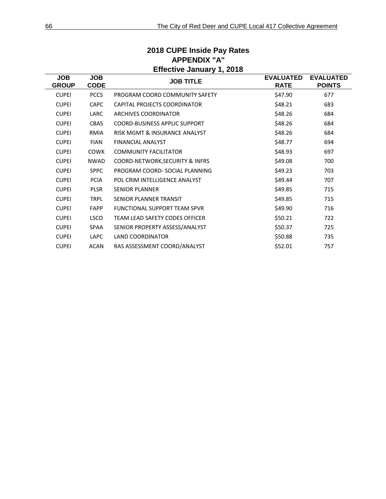|                            | <b>Effective January 1, 2018</b> |                                       |                                 |                                   |  |  |  |
|----------------------------|----------------------------------|---------------------------------------|---------------------------------|-----------------------------------|--|--|--|
| <b>JOB</b><br><b>GROUP</b> | <b>JOB</b><br><b>CODE</b>        | <b>JOB TITLE</b>                      | <b>EVALUATED</b><br><b>RATE</b> | <b>EVALUATED</b><br><b>POINTS</b> |  |  |  |
| <b>CUPEI</b>               | <b>PCCS</b>                      | PROGRAM COORD COMMUNITY SAFETY        | \$47.90                         | 677                               |  |  |  |
| <b>CUPEI</b>               | <b>CAPC</b>                      | CAPITAL PROJECTS COORDINATOR          | \$48.21                         | 683                               |  |  |  |
| <b>CUPEI</b>               | <b>LARC</b>                      | ARCHIVES COORDINATOR                  | \$48.26                         | 684                               |  |  |  |
| <b>CUPEI</b>               | <b>CBAS</b>                      | <b>COORD-BUSINESS APPLIC SUPPORT</b>  | \$48.26                         | 684                               |  |  |  |
| <b>CUPEI</b>               | <b>RMIA</b>                      | RISK MGMT & INSURANCE ANALYST         | \$48.26                         | 684                               |  |  |  |
| <b>CUPEI</b>               | <b>FIAN</b>                      | <b>FINANCIAL ANALYST</b>              | \$48.77                         | 694                               |  |  |  |
| <b>CUPEI</b>               | <b>COWK</b>                      | <b>COMMUNITY FACILITATOR</b>          | \$48.93                         | 697                               |  |  |  |
| <b>CUPEI</b>               | <b>NWAD</b>                      | COORD-NETWORK, SECURITY & INFRS       | \$49.08                         | 700                               |  |  |  |
| <b>CUPEI</b>               | <b>SPPC</b>                      | PROGRAM COORD- SOCIAL PLANNING        | \$49.23                         | 703                               |  |  |  |
| <b>CUPEI</b>               | <b>PCIA</b>                      | POL CRIM INTELLIGENCE ANALYST         | \$49.44                         | 707                               |  |  |  |
| <b>CUPEI</b>               | <b>PLSR</b>                      | <b>SENIOR PLANNER</b>                 | \$49.85                         | 715                               |  |  |  |
| <b>CUPEI</b>               | <b>TRPL</b>                      | SENIOR PLANNER TRANSIT                | \$49.85                         | 715                               |  |  |  |
| <b>CUPEI</b>               | <b>FAPP</b>                      | <b>FUNCTIONAL SUPPORT TEAM SPVR</b>   | \$49.90                         | 716                               |  |  |  |
| <b>CUPEI</b>               | <b>LSCO</b>                      | <b>TEAM LEAD SAFETY CODES OFFICER</b> | \$50.21                         | 722                               |  |  |  |
| <b>CUPEI</b>               | <b>SPAA</b>                      | SENIOR PROPERTY ASSESS/ANALYST        | \$50.37                         | 725                               |  |  |  |
| <b>CUPEI</b>               | <b>LAPC</b>                      | <b>LAND COORDINATOR</b>               | \$50.88                         | 735                               |  |  |  |
| <b>CUPEI</b>               | <b>ACAN</b>                      | RAS ASSESSMENT COORD/ANALYST          | \$52.01                         | 757                               |  |  |  |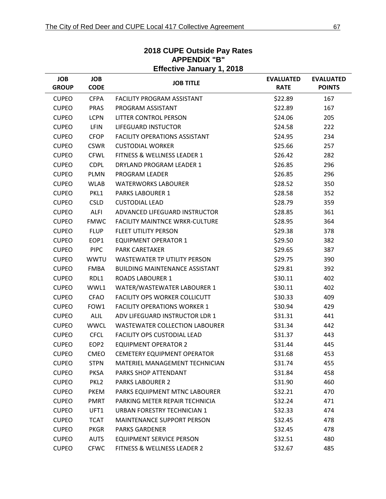| APPENDIX "B"<br><b>Effective January 1, 2018</b> |                           |                                       |                                 |                                   |  |  |
|--------------------------------------------------|---------------------------|---------------------------------------|---------------------------------|-----------------------------------|--|--|
| <b>JOB</b><br><b>GROUP</b>                       | <b>JOB</b><br><b>CODE</b> | <b>JOB TITLE</b>                      | <b>EVALUATED</b><br><b>RATE</b> | <b>EVALUATED</b><br><b>POINTS</b> |  |  |
| <b>CUPEO</b>                                     | <b>CFPA</b>               | <b>FACILITY PROGRAM ASSISTANT</b>     | \$22.89                         | 167                               |  |  |
| <b>CUPEO</b>                                     | <b>PRAS</b>               | PROGRAM ASSISTANT                     | \$22.89                         | 167                               |  |  |
| <b>CUPEO</b>                                     | <b>LCPN</b>               | LITTER CONTROL PERSON                 | \$24.06                         | 205                               |  |  |
| <b>CUPEO</b>                                     | <b>LFIN</b>               | <b>LIFEGUARD INSTUCTOR</b>            | \$24.58                         | 222                               |  |  |
| <b>CUPEO</b>                                     | <b>CFOP</b>               | <b>FACILITY OPERATIONS ASSISTANT</b>  | \$24.95                         | 234                               |  |  |
| <b>CUPEO</b>                                     | <b>CSWR</b>               | <b>CUSTODIAL WORKER</b>               | \$25.66                         | 257                               |  |  |
| <b>CUPEO</b>                                     | <b>CFWL</b>               | FITNESS & WELLNESS LEADER 1           | \$26.42                         | 282                               |  |  |
| <b>CUPEO</b>                                     | <b>CDPL</b>               | DRYLAND PROGRAM LEADER 1              | \$26.85                         | 296                               |  |  |
| <b>CUPEO</b>                                     | <b>PLMN</b>               | PROGRAM LEADER                        | \$26.85                         | 296                               |  |  |
| <b>CUPEO</b>                                     | <b>WLAB</b>               | <b>WATERWORKS LABOURER</b>            | \$28.52                         | 350                               |  |  |
| <b>CUPEO</b>                                     | PKL1                      | <b>PARKS LABOURER 1</b>               | \$28.58                         | 352                               |  |  |
| <b>CUPEO</b>                                     | <b>CSLD</b>               | <b>CUSTODIAL LEAD</b>                 | \$28.79                         | 359                               |  |  |
| <b>CUPEO</b>                                     | <b>ALFI</b>               | ADVANCED LIFEGUARD INSTRUCTOR         | \$28.85                         | 361                               |  |  |
| <b>CUPEO</b>                                     | <b>FMWC</b>               | <b>FACILITY MAINTNCE WRKR-CULTURE</b> | \$28.95                         | 364                               |  |  |
| <b>CUPEO</b>                                     | <b>FLUP</b>               | <b>FLEET UTILITY PERSON</b>           | \$29.38                         | 378                               |  |  |
| <b>CUPEO</b>                                     | EOP1                      | <b>EQUIPMENT OPERATOR 1</b>           | \$29.50                         | 382                               |  |  |
| <b>CUPEO</b>                                     | <b>PIPC</b>               | <b>PARK CARETAKER</b>                 | \$29.65                         | 387                               |  |  |
| <b>CUPEO</b>                                     | <b>WWTU</b>               | <b>WASTEWATER TP UTILITY PERSON</b>   | \$29.75                         | 390                               |  |  |
| <b>CUPEO</b>                                     | <b>FMBA</b>               | <b>BUILDING MAINTENANCE ASSISTANT</b> | \$29.81                         | 392                               |  |  |
| <b>CUPEO</b>                                     | RDL1                      | <b>ROADS LABOURER 1</b>               | \$30.11                         | 402                               |  |  |
| <b>CUPEO</b>                                     | WWL1                      | WATER/WASTEWATER LABOURER 1           | \$30.11                         | 402                               |  |  |
| <b>CUPEO</b>                                     | <b>CFAO</b>               | <b>FACILITY OPS WORKER COLLICUTT</b>  | \$30.33                         | 409                               |  |  |
| <b>CUPEO</b>                                     | FOW1                      | <b>FACILITY OPERATIONS WORKER 1</b>   | \$30.94                         | 429                               |  |  |
| <b>CUPEO</b>                                     | <b>ALIL</b>               | ADV LIFEGUARD INSTRUCTOR LDR 1        | \$31.31                         | 441                               |  |  |
| <b>CUPEO</b>                                     | <b>WWCL</b>               | <b>WASTEWATER COLLECTION LABOURER</b> | \$31.34                         | 442                               |  |  |
| <b>CUPEO</b>                                     | <b>CFCL</b>               | <b>FACILITY OPS CUSTODIAL LEAD</b>    | \$31.37                         | 443                               |  |  |
| <b>CUPEO</b>                                     | EOP <sub>2</sub>          | <b>EQUIPMENT OPERATOR 2</b>           | \$31.44                         | 445                               |  |  |
| <b>CUPEO</b>                                     | <b>CMEO</b>               | <b>CEMETERY EQUIPMENT OPERATOR</b>    | \$31.68                         | 453                               |  |  |
| <b>CUPEO</b>                                     | <b>STPN</b>               | MATERIEL MANAGEMENT TECHNICIAN        | \$31.74                         | 455                               |  |  |
| <b>CUPEO</b>                                     | <b>PKSA</b>               | PARKS SHOP ATTENDANT                  | \$31.84                         | 458                               |  |  |
| <b>CUPEO</b>                                     | PKL <sub>2</sub>          | <b>PARKS LABOURER 2</b>               | \$31.90                         | 460                               |  |  |
| <b>CUPEO</b>                                     | <b>PKEM</b>               | PARKS EQUIPMENT MTNC LABOURER         | \$32.21                         | 470                               |  |  |
| <b>CUPEO</b>                                     | <b>PMRT</b>               | PARKING METER REPAIR TECHNICIA        | \$32.24                         | 471                               |  |  |
| <b>CUPEO</b>                                     | UFT1                      | URBAN FORESTRY TECHNICIAN 1           | \$32.33                         | 474                               |  |  |
| <b>CUPEO</b>                                     | <b>TCAT</b>               | MAINTENANCE SUPPORT PERSON            | \$32.45                         | 478                               |  |  |
| <b>CUPEO</b>                                     | <b>PKGR</b>               | <b>PARKS GARDENER</b>                 | \$32.45                         | 478                               |  |  |
| <b>CUPEO</b>                                     | <b>AUTS</b>               | <b>EQUIPMENT SERVICE PERSON</b>       | \$32.51                         | 480                               |  |  |
| <b>CUPEO</b>                                     | <b>CFWC</b>               | FITNESS & WELLNESS LEADER 2           | \$32.67                         | 485                               |  |  |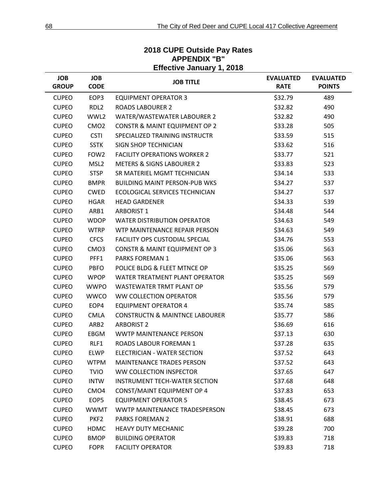| LIIGUUVG JAIIUAI J. J. LUTU |                           |                                           |                                 |                                   |  |
|-----------------------------|---------------------------|-------------------------------------------|---------------------------------|-----------------------------------|--|
| <b>JOB</b><br><b>GROUP</b>  | <b>JOB</b><br><b>CODE</b> | <b>JOB TITLE</b>                          | <b>EVALUATED</b><br><b>RATE</b> | <b>EVALUATED</b><br><b>POINTS</b> |  |
| <b>CUPEO</b>                | EOP3                      | <b>EQUIPMENT OPERATOR 3</b>               | \$32.79                         | 489                               |  |
| <b>CUPEO</b>                | RDL <sub>2</sub>          | <b>ROADS LABOURER 2</b>                   | \$32.82                         | 490                               |  |
| <b>CUPEO</b>                | WWL2                      | WATER/WASTEWATER LABOURER 2               | \$32.82                         | 490                               |  |
| <b>CUPEO</b>                | CMO <sub>2</sub>          | <b>CONSTR &amp; MAINT EQUIPMENT OP 2</b>  | \$33.28                         | 505                               |  |
| <b>CUPEO</b>                | <b>CSTI</b>               | SPECIALIZED TRAINING INSTRUCTR            | \$33.59                         | 515                               |  |
| <b>CUPEO</b>                | <b>SSTK</b>               | <b>SIGN SHOP TECHNICIAN</b>               | \$33.62                         | 516                               |  |
| <b>CUPEO</b>                | FOW <sub>2</sub>          | <b>FACILITY OPERATIONS WORKER 2</b>       | \$33.77                         | 521                               |  |
| <b>CUPEO</b>                | MSL <sub>2</sub>          | <b>METERS &amp; SIGNS LABOURER 2</b>      | \$33.83                         | 523                               |  |
| <b>CUPEO</b>                | <b>STSP</b>               | SR MATERIEL MGMT TECHNICIAN               | \$34.14                         | 533                               |  |
| <b>CUPEO</b>                | <b>BMPR</b>               | <b>BUILDING MAINT PERSON-PUB WKS</b>      | \$34.27                         | 537                               |  |
| <b>CUPEO</b>                | <b>CWED</b>               | ECOLOGICAL SERVICES TECHNICIAN            | \$34.27                         | 537                               |  |
| <b>CUPEO</b>                | <b>HGAR</b>               | <b>HEAD GARDENER</b>                      | \$34.33                         | 539                               |  |
| <b>CUPEO</b>                | ARB1                      | <b>ARBORIST 1</b>                         | \$34.48                         | 544                               |  |
| <b>CUPEO</b>                | <b>WDOP</b>               | <b>WATER DISTRIBUTION OPERATOR</b>        | \$34.63                         | 549                               |  |
| <b>CUPEO</b>                | <b>WTRP</b>               | WTP MAINTENANCE REPAIR PERSON             | \$34.63                         | 549                               |  |
| <b>CUPEO</b>                | <b>CFCS</b>               | <b>FACILITY OPS CUSTODIAL SPECIAL</b>     | \$34.76                         | 553                               |  |
| <b>CUPEO</b>                | CMO <sub>3</sub>          | <b>CONSTR &amp; MAINT EQUIPMENT OP 3</b>  | \$35.06                         | 563                               |  |
| <b>CUPEO</b>                | PFF1                      | PARKS FOREMAN 1                           | \$35.06                         | 563                               |  |
| <b>CUPEO</b>                | <b>PBFO</b>               | POLICE BLDG & FLEET MTNCE OP              | \$35.25                         | 569                               |  |
| <b>CUPEO</b>                | <b>WPOP</b>               | WATER TREATMENT PLANT OPERATOR            | \$35.25                         | 569                               |  |
| <b>CUPEO</b>                | <b>WWPO</b>               | <b>WASTEWATER TRMT PLANT OP</b>           | \$35.56                         | 579                               |  |
| <b>CUPEO</b>                | <b>WWCO</b>               | WW COLLECTION OPERATOR                    | \$35.56                         | 579                               |  |
| <b>CUPEO</b>                | EOP4                      | <b>EQUIPMENT OPERATOR 4</b>               | \$35.74                         | 585                               |  |
| <b>CUPEO</b>                | <b>CMLA</b>               | <b>CONSTRUCTN &amp; MAINTNCE LABOURER</b> | \$35.77                         | 586                               |  |
| <b>CUPEO</b>                | ARB <sub>2</sub>          | <b>ARBORIST 2</b>                         | \$36.69                         | 616                               |  |
| <b>CUPEO</b>                | EBGM                      | WWTP MAINTENANCE PERSON                   | \$37.13                         | 630                               |  |
| <b>CUPEO</b>                | RLF1                      | ROADS LABOUR FOREMAN 1                    | \$37.28                         | 635                               |  |
| <b>CUPEO</b>                | <b>ELWP</b>               | <b>ELECTRICIAN - WATER SECTION</b>        | \$37.52                         | 643                               |  |
| <b>CUPEO</b>                | <b>WTPM</b>               | <b>MAINTENANCE TRADES PERSON</b>          | \$37.52                         | 643                               |  |
| <b>CUPEO</b>                | <b>TVIO</b>               | <b>WW COLLECTION INSPECTOR</b>            | \$37.65                         | 647                               |  |
| <b>CUPEO</b>                | <b>INTW</b>               | <b>INSTRUMENT TECH-WATER SECTION</b>      | \$37.68                         | 648                               |  |
| <b>CUPEO</b>                | CMO <sub>4</sub>          | CONST/MAINT EQUIPMENT OP 4                | \$37.83                         | 653                               |  |
| <b>CUPEO</b>                | EOP5                      | <b>EQUIPMENT OPERATOR 5</b>               | \$38.45                         | 673                               |  |
| <b>CUPEO</b>                | <b>WWMT</b>               | <b>WWTP MAINTENANCE TRADESPERSON</b>      | \$38.45                         | 673                               |  |
| <b>CUPEO</b>                | PKF <sub>2</sub>          | <b>PARKS FOREMAN 2</b>                    | \$38.91                         | 688                               |  |
| <b>CUPEO</b>                | <b>HDMC</b>               | <b>HEAVY DUTY MECHANIC</b>                | \$39.28                         | 700                               |  |
| <b>CUPEO</b>                | <b>BMOP</b>               | <b>BUILDING OPERATOR</b>                  | \$39.83                         | 718                               |  |
| <b>CUPEO</b>                | <b>FOPR</b>               | <b>FACILITY OPERATOR</b>                  | \$39.83                         | 718                               |  |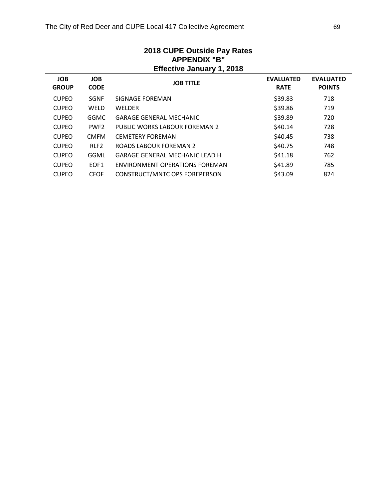| APPENDIX "B"<br><b>Effective January 1, 2018</b> |                           |                                       |                                 |                                   |  |  |
|--------------------------------------------------|---------------------------|---------------------------------------|---------------------------------|-----------------------------------|--|--|
| <b>JOB</b><br><b>GROUP</b>                       | <b>JOB</b><br><b>CODE</b> | <b>JOB TITLE</b>                      | <b>EVALUATED</b><br><b>RATE</b> | <b>EVALUATED</b><br><b>POINTS</b> |  |  |
| <b>CUPEO</b>                                     | <b>SGNF</b>               | SIGNAGE FOREMAN                       | \$39.83                         | 718                               |  |  |
| <b>CUPEO</b>                                     | <b>WELD</b>               | <b>WELDER</b>                         | \$39.86                         | 719                               |  |  |
| <b>CUPEO</b>                                     | <b>GGMC</b>               | <b>GARAGE GENERAL MECHANIC</b>        | \$39.89                         | 720                               |  |  |
| <b>CUPEO</b>                                     | PWF <sub>2</sub>          | PUBLIC WORKS LABOUR FOREMAN 2         | \$40.14                         | 728                               |  |  |
| <b>CUPEO</b>                                     | <b>CMFM</b>               | <b>CEMETERY FOREMAN</b>               | \$40.45                         | 738                               |  |  |
| <b>CUPEO</b>                                     | RLF <sub>2</sub>          | ROADS LABOUR FOREMAN 2                | \$40.75                         | 748                               |  |  |
| <b>CUPEO</b>                                     | <b>GGML</b>               | <b>GARAGE GENERAL MECHANIC LEAD H</b> | \$41.18                         | 762                               |  |  |
| <b>CUPEO</b>                                     | EOF <sub>1</sub>          | ENVIRONMENT OPERATIONS FOREMAN        | \$41.89                         | 785                               |  |  |
| <b>CUPEO</b>                                     | <b>CFOF</b>               | CONSTRUCT/MNTC OPS FOREPERSON         | \$43.09                         | 824                               |  |  |
|                                                  |                           |                                       |                                 |                                   |  |  |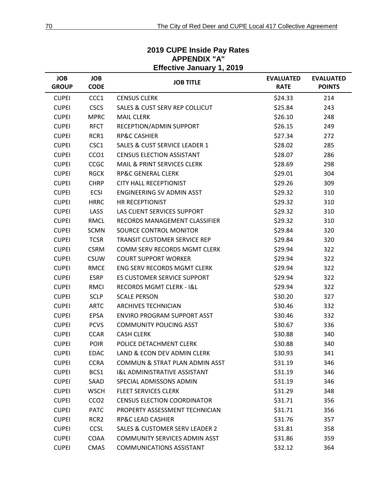| <b>JOB</b><br><b>GROUP</b> | <b>JOB</b><br><b>CODE</b> | $\blacksquare$<br><b>JOB TITLE</b>        | <b>EVALUATED</b><br><b>RATE</b> | <b>EVALUATED</b><br><b>POINTS</b> |
|----------------------------|---------------------------|-------------------------------------------|---------------------------------|-----------------------------------|
| <b>CUPEI</b>               | CCC1                      | <b>CENSUS CLERK</b>                       | \$24.33                         | 214                               |
| <b>CUPEI</b>               | <b>CSCS</b>               | <b>SALES &amp; CUST SERV REP COLLICUT</b> | \$25.84                         | 243                               |
| <b>CUPEI</b>               | <b>MPRC</b>               | <b>MAIL CLERK</b>                         | \$26.10                         | 248                               |
| <b>CUPEI</b>               | <b>RFCT</b>               | RECEPTION/ADMIN SUPPORT                   | \$26.15                         | 249                               |
| <b>CUPEI</b>               | RCR1                      | <b>RP&amp;C CASHIER</b>                   | \$27.34                         | 272                               |
| <b>CUPEI</b>               | CSC1                      | <b>SALES &amp; CUST SERVICE LEADER 1</b>  | \$28.02                         | 285                               |
| <b>CUPEI</b>               | CCO <sub>1</sub>          | <b>CENSUS ELECTION ASSISTANT</b>          | \$28.07                         | 286                               |
| <b>CUPEI</b>               | CCGC                      | MAIL & PRINT SERVICES CLERK               | \$28.69                         | 298                               |
| <b>CUPEI</b>               | <b>RGCK</b>               | <b>RP&amp;C GENERAL CLERK</b>             | \$29.01                         | 304                               |
| <b>CUPEI</b>               | <b>CHRP</b>               | <b>CITY HALL RECEPTIONIST</b>             | \$29.26                         | 309                               |
| <b>CUPEI</b>               | <b>ECSI</b>               | <b>ENGINEERING SV ADMIN ASST</b>          | \$29.32                         | 310                               |
| <b>CUPEI</b>               | <b>HRRC</b>               | HR RECEPTIONIST                           | \$29.32                         | 310                               |
| <b>CUPEI</b>               | LASS                      | LAS CLIENT SERVICES SUPPORT               | \$29.32                         | 310                               |
| <b>CUPEI</b>               | <b>RMCL</b>               | RECORDS MANAGEMENT CLASSIFIER             | \$29.32                         | 310                               |
| <b>CUPEI</b>               | <b>SCMN</b>               | SOURCE CONTROL MONITOR                    | \$29.84                         | 320                               |
| <b>CUPEI</b>               | <b>TCSR</b>               | TRANSIT CUSTOMER SERVICE REP              | \$29.84                         | 320                               |
| <b>CUPEI</b>               | <b>CSRM</b>               | COMM SERV RECORDS MGMT CLERK              | \$29.94                         | 322                               |
| <b>CUPEI</b>               | <b>CSUW</b>               | <b>COURT SUPPORT WORKER</b>               | \$29.94                         | 322                               |
| <b>CUPEI</b>               | <b>RMCE</b>               | <b>ENG SERV RECORDS MGMT CLERK</b>        | \$29.94                         | 322                               |
| <b>CUPEI</b>               | <b>ESRP</b>               | <b>ES CUSTOMER SERVICE SUPPORT</b>        | \$29.94                         | 322                               |
| <b>CUPEI</b>               | <b>RMCI</b>               | RECORDS MGMT CLERK - I&L                  | \$29.94                         | 322                               |
| <b>CUPEI</b>               | <b>SCLP</b>               | <b>SCALE PERSON</b>                       | \$30.20                         | 327                               |
| <b>CUPEI</b>               | <b>ARTC</b>               | <b>ARCHIVES TECHNICIAN</b>                | \$30.46                         | 332                               |
| <b>CUPEI</b>               | EPSA                      | <b>ENVIRO PROGRAM SUPPORT ASST</b>        | \$30.46                         | 332                               |
| <b>CUPEI</b>               | <b>PCVS</b>               | <b>COMMUNITY POLICING ASST</b>            | \$30.67                         | 336                               |
| <b>CUPEI</b>               | <b>CCAR</b>               | <b>CASH CLERK</b>                         | \$30.88                         | 340                               |
| <b>CUPEI</b>               | <b>POIR</b>               | POLICE DETACHMENT CLERK                   | \$30.88                         | 340                               |
| <b>CUPEI</b>               | <b>EDAC</b>               | LAND & ECON DEV ADMIN CLERK               | \$30.93                         | 341                               |
| <b>CUPEI</b>               | <b>CCRA</b>               | COMMUN & STRAT PLAN ADMIN ASST            | \$31.19                         | 346                               |
| <b>CUPEI</b>               | BCS1                      | <b>I&amp;L ADMINISTRATIVE ASSISTANT</b>   | \$31.19                         | 346                               |
| <b>CUPEI</b>               | SAAD                      | SPECIAL ADMISSONS ADMIN                   | \$31.19                         | 346                               |
| <b>CUPEI</b>               | <b>WSCH</b>               | <b>FLEET SERVICES CLERK</b>               | \$31.29                         | 348                               |
| <b>CUPEI</b>               | CCO <sub>2</sub>          | <b>CENSUS ELECTION COORDINATOR</b>        | \$31.71                         | 356                               |
| <b>CUPEI</b>               | <b>PATC</b>               | PROPERTY ASSESSMENT TECHNICIAN            | \$31.71                         | 356                               |
| <b>CUPEI</b>               | RCR <sub>2</sub>          | <b>RP&amp;C LEAD CASHIER</b>              | \$31.76                         | 357                               |
| <b>CUPEI</b>               | <b>CCSL</b>               | <b>SALES &amp; CUSTOMER SERV LEADER 2</b> | \$31.81                         | 358                               |
| <b>CUPEI</b>               | COAA                      | COMMUNITY SERVICES ADMIN ASST             | \$31.86                         | 359                               |
| <b>CUPEI</b>               | <b>CMAS</b>               | <b>COMMUNICATIONS ASSISTANT</b>           | \$32.12                         | 364                               |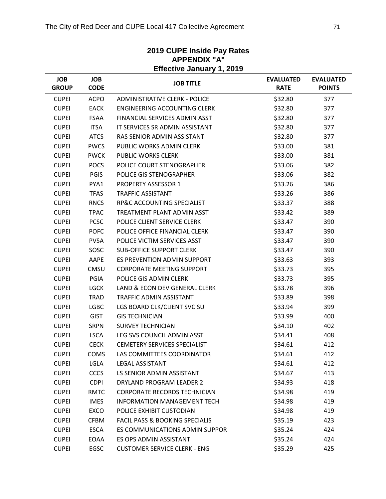|                            | <b>Effective January 1, 2019</b> |                                           |                                 |                                   |  |  |
|----------------------------|----------------------------------|-------------------------------------------|---------------------------------|-----------------------------------|--|--|
| <b>JOB</b><br><b>GROUP</b> | <b>JOB</b><br><b>CODE</b>        | <b>JOB TITLE</b>                          | <b>EVALUATED</b><br><b>RATE</b> | <b>EVALUATED</b><br><b>POINTS</b> |  |  |
| <b>CUPEI</b>               | <b>ACPO</b>                      | <b>ADMINISTRATIVE CLERK - POLICE</b>      | \$32.80                         | 377                               |  |  |
| <b>CUPEI</b>               | <b>EACK</b>                      | <b>ENGINEERING ACCOUNTING CLERK</b>       | \$32.80                         | 377                               |  |  |
| <b>CUPEI</b>               | <b>FSAA</b>                      | FINANCIAL SERVICES ADMIN ASST             | \$32.80                         | 377                               |  |  |
| <b>CUPEI</b>               | <b>ITSA</b>                      | IT SERVICES SR ADMIN ASSISTANT            | \$32.80                         | 377                               |  |  |
| <b>CUPEI</b>               | <b>ATCS</b>                      | RAS SENIOR ADMIN ASSISTANT                | \$32.80                         | 377                               |  |  |
| <b>CUPEI</b>               | <b>PWCS</b>                      | PUBLIC WORKS ADMIN CLERK                  | \$33.00                         | 381                               |  |  |
| <b>CUPEI</b>               | <b>PWCK</b>                      | <b>PUBLIC WORKS CLERK</b>                 | \$33.00                         | 381                               |  |  |
| <b>CUPEI</b>               | <b>POCS</b>                      | POLICE COURT STENOGRAPHER                 | \$33.06                         | 382                               |  |  |
| <b>CUPEI</b>               | <b>PGIS</b>                      | POLICE GIS STENOGRAPHER                   | \$33.06                         | 382                               |  |  |
| <b>CUPEI</b>               | PYA1                             | <b>PROPERTY ASSESSOR 1</b>                | \$33.26                         | 386                               |  |  |
| <b>CUPEI</b>               | <b>TFAS</b>                      | <b>TRAFFIC ASSISTANT</b>                  | \$33.26                         | 386                               |  |  |
| <b>CUPEI</b>               | <b>RNCS</b>                      | RP&C ACCOUNTING SPECIALIST                | \$33.37                         | 388                               |  |  |
| <b>CUPEI</b>               | <b>TPAC</b>                      | TREATMENT PLANT ADMIN ASST                | \$33.42                         | 389                               |  |  |
| <b>CUPEI</b>               | <b>PCSC</b>                      | POLICE CLIENT SERVICE CLERK               | \$33.47                         | 390                               |  |  |
| <b>CUPEI</b>               | <b>POFC</b>                      | POLICE OFFICE FINANCIAL CLERK             | \$33.47                         | 390                               |  |  |
| <b>CUPEI</b>               | <b>PVSA</b>                      | POLICE VICTIM SERVICES ASST               | \$33.47                         | 390                               |  |  |
| <b>CUPEI</b>               | SOSC                             | <b>SUB-OFFICE SUPPORT CLERK</b>           | \$33.47                         | 390                               |  |  |
| <b>CUPEI</b>               | AAPE                             | ES PREVENTION ADMIN SUPPORT               | \$33.63                         | 393                               |  |  |
| <b>CUPEI</b>               | CMSU                             | <b>CORPORATE MEETING SUPPORT</b>          | \$33.73                         | 395                               |  |  |
| <b>CUPEI</b>               | <b>PGIA</b>                      | POLICE GIS ADMIN CLERK                    | \$33.73                         | 395                               |  |  |
| <b>CUPEI</b>               | <b>LGCK</b>                      | LAND & ECON DEV GENERAL CLERK             | \$33.78                         | 396                               |  |  |
| <b>CUPEI</b>               | <b>TRAD</b>                      | TRAFFIC ADMIN ASSISTANT                   | \$33.89                         | 398                               |  |  |
| <b>CUPEI</b>               | <b>LGBC</b>                      | LGS BOARD CLK/CLIENT SVC SU               | \$33.94                         | 399                               |  |  |
| <b>CUPEI</b>               | <b>GIST</b>                      | <b>GIS TECHNICIAN</b>                     | \$33.99                         | 400                               |  |  |
| <b>CUPEI</b>               | <b>SRPN</b>                      | <b>SURVEY TECHNICIAN</b>                  | \$34.10                         | 402                               |  |  |
| <b>CUPEI</b>               | <b>LSCA</b>                      | LEG SVS COUNCIL ADMIN ASST                | \$34.41                         | 408                               |  |  |
| <b>CUPEI</b>               | <b>CECK</b>                      | CEMETERY SERVICES SPECIALIST              | \$34.61                         | 412                               |  |  |
| <b>CUPEI</b>               | <b>COMS</b>                      | LAS COMMITTEES COORDINATOR                | \$34.61                         | 412                               |  |  |
| <b>CUPEI</b>               | LGLA                             | <b>LEGAL ASSISTANT</b>                    | \$34.61                         | 412                               |  |  |
| <b>CUPEI</b>               | <b>CCCS</b>                      | LS SENIOR ADMIN ASSISTANT                 | \$34.67                         | 413                               |  |  |
| <b>CUPEI</b>               | <b>CDPI</b>                      | DRYLAND PROGRAM LEADER 2                  | \$34.93                         | 418                               |  |  |
| <b>CUPEI</b>               | <b>RMTC</b>                      | <b>CORPORATE RECORDS TECHNICIAN</b>       | \$34.98                         | 419                               |  |  |
| <b>CUPEI</b>               | <b>IMES</b>                      | <b>INFORMATION MANAGEMENT TECH</b>        | \$34.98                         | 419                               |  |  |
| <b>CUPEI</b>               | EXCO                             | POLICE EXHIBIT CUSTODIAN                  | \$34.98                         | 419                               |  |  |
| <b>CUPEI</b>               | <b>CFBM</b>                      | <b>FACIL PASS &amp; BOOKING SPECIALIS</b> | \$35.19                         | 423                               |  |  |
| <b>CUPEI</b>               | <b>ESCA</b>                      | ES COMMUNICATIONS ADMIN SUPPOR            | \$35.24                         | 424                               |  |  |
| <b>CUPEI</b>               | EOAA                             | ES OPS ADMIN ASSISTANT                    | \$35.24                         | 424                               |  |  |
| <b>CUPEI</b>               | EGSC                             | <b>CUSTOMER SERVICE CLERK - ENG</b>       | \$35.29                         | 425                               |  |  |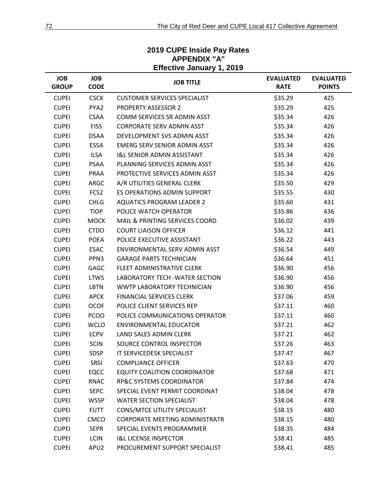|                            | Ellective January 1, 2019 |                                       |                                 |                                   |  |  |  |
|----------------------------|---------------------------|---------------------------------------|---------------------------------|-----------------------------------|--|--|--|
| <b>JOB</b><br><b>GROUP</b> | <b>JOB</b><br><b>CODE</b> | <b>JOB TITLE</b>                      | <b>EVALUATED</b><br><b>RATE</b> | <b>EVALUATED</b><br><b>POINTS</b> |  |  |  |
| <b>CUPEI</b>               | <b>CSCK</b>               | <b>CUSTOMER SERVICES SPECIALIST</b>   | \$35.29                         | 425                               |  |  |  |
| <b>CUPEI</b>               | PYA2                      | <b>PROPERTY ASSESSOR 2</b>            | \$35.29                         | 425                               |  |  |  |
| <b>CUPEI</b>               | <b>CSAA</b>               | COMM SERVICES SR ADMIN ASST           | \$35.34                         | 426                               |  |  |  |
| <b>CUPEI</b>               | <b>FISS</b>               | <b>CORPORATE SERV ADMIN ASST</b>      | \$35.34                         | 426                               |  |  |  |
| <b>CUPEI</b>               | <b>DSAA</b>               | DEVELOPMENT SVS ADMIN ASST            | \$35.34                         | 426                               |  |  |  |
| <b>CUPEI</b>               | ESSA                      | <b>EMERG SERV SENIOR ADMIN ASST</b>   | \$35.34                         | 426                               |  |  |  |
| <b>CUPEI</b>               | <b>ILSA</b>               | <b>I&amp;L SENIOR ADMIN ASSISTANT</b> | \$35.34                         | 426                               |  |  |  |
| <b>CUPEI</b>               | PSAA                      | PLANNING SERVICES ADMIN ASST          | \$35.34                         | 426                               |  |  |  |
| <b>CUPEI</b>               | PRAA                      | PROTECTIVE SERVICES ADMIN ASST        | \$35.34                         | 426                               |  |  |  |
| <b>CUPEI</b>               | ARGC                      | A/R UTILITIES GENERAL CLERK           | \$35.50                         | 429                               |  |  |  |
| <b>CUPEI</b>               | FCS <sub>2</sub>          | ES OPERATIONS ADMIN SUPPORT           | \$35.55                         | 430                               |  |  |  |
| <b>CUPEI</b>               | <b>CHLG</b>               | <b>AQUATICS PROGRAM LEADER 2</b>      | \$35.60                         | 431                               |  |  |  |
| <b>CUPEI</b>               | <b>TIOP</b>               | POLICE WATCH OPERATOR                 | \$35.86                         | 436                               |  |  |  |
| <b>CUPEI</b>               | <b>MOCK</b>               | MAIL & PRINTING SERVICES COORD        | \$36.02                         | 439                               |  |  |  |
| <b>CUPEI</b>               | <b>CTDO</b>               | <b>COURT LIAISON OFFICER</b>          | \$36.12                         | 441                               |  |  |  |
| <b>CUPEI</b>               | <b>POEA</b>               | POLICE EXECUTIVE ASSISTANT            | \$36.22                         | 443                               |  |  |  |
| <b>CUPEI</b>               | <b>ESAC</b>               | ENVIRONMENTAL SERV ADMIN ASST         | \$36.54                         | 449                               |  |  |  |
| <b>CUPEI</b>               | PPN3                      | <b>GARAGE PARTS TECHNICIAN</b>        | \$36.64                         | 451                               |  |  |  |
| <b>CUPEI</b>               | GAGC                      | FLEET ADMINISTRATIVE CLERK            | \$36.90                         | 456                               |  |  |  |
| <b>CUPEI</b>               | <b>LTWS</b>               | LABORATORY TECH - WATER SECTION       | \$36.90                         | 456                               |  |  |  |
| <b>CUPEI</b>               | <b>LBTN</b>               | WWTP LABORATORY TECHNICIAN            | \$36.90                         | 456                               |  |  |  |
| <b>CUPEI</b>               | <b>APCK</b>               | <b>FINANCIAL SERVICES CLERK</b>       | \$37.06                         | 459                               |  |  |  |
| <b>CUPEI</b>               | <b>OCOF</b>               | POLICE CLIENT SERVICES REP            | \$37.11                         | 460                               |  |  |  |
| <b>CUPEI</b>               | <b>PCOO</b>               | POLICE COMMUNICATIONS OPERATOR        | \$37.11                         | 460                               |  |  |  |
| <b>CUPEI</b>               | <b>WCLO</b>               | <b>ENVIRONMENTAL EDUCATOR</b>         | \$37.21                         | 462                               |  |  |  |
| <b>CUPEI</b>               | <b>LCPV</b>               | <b>LAND SALES ADMIN CLERK</b>         | \$37.21                         | 462                               |  |  |  |
| <b>CUPEI</b>               | <b>SCIN</b>               | SOURCE CONTROL INSPECTOR              | \$37.26                         | 463                               |  |  |  |
| <b>CUPEI</b>               | SDSP                      | IT SERVICEDESK SPECIALIST             | \$37.47                         | 467                               |  |  |  |
| <b>CUPEI</b>               | SRSI                      | <b>COMPLIANCE OFFICER</b>             | \$37.63                         | 470                               |  |  |  |
| <b>CUPEI</b>               | <b>EQCC</b>               | <b>EQUITY COALITION COORDINATOR</b>   | \$37.68                         | 471                               |  |  |  |
| <b>CUPEI</b>               | <b>RNAC</b>               | <b>RP&amp;C SYSTEMS COORDINATOR</b>   | \$37.84                         | 474                               |  |  |  |
| <b>CUPEI</b>               | <b>SEPC</b>               | SPECIAL EVENT PERMIT COORDINAT        | \$38.04                         | 478                               |  |  |  |
| <b>CUPEI</b>               | <b>WSSP</b>               | <b>WATER SECTION SPECIALIST</b>       | \$38.04                         | 478                               |  |  |  |
| <b>CUPEI</b>               | <b>FUTT</b>               | <b>CONS/MTCE UTILITY SPECIALIST</b>   | \$38.15                         | 480                               |  |  |  |
| <b>CUPEI</b>               | CMCO                      | <b>CORPORATE MEETING ADMINISTRATR</b> | \$38.15                         | 480                               |  |  |  |
| <b>CUPEI</b>               | <b>SEPR</b>               | SPECIAL EVENTS PROGRAMMER             | \$38.35                         | 484                               |  |  |  |
| <b>CUPEI</b>               | <b>LCIN</b>               | <b>I&amp;L LICENSE INSPECTOR</b>      | \$38.41                         | 485                               |  |  |  |
| <b>CUPEI</b>               | APU2                      | PROCUREMENT SUPPORT SPECIALIST        | \$38.41                         | 485                               |  |  |  |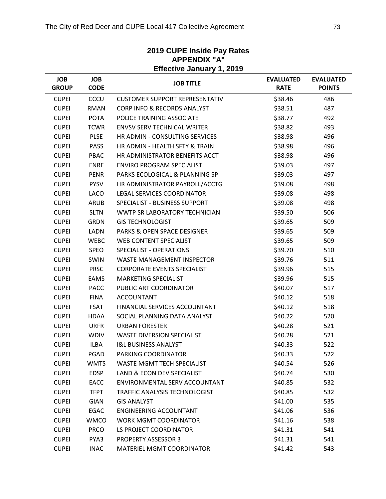| <b>JOB</b><br><b>GROUP</b> | <b>JOB</b><br><b>CODE</b> | <b>JOB TITLE</b>                       | <b>EVALUATED</b><br><b>RATE</b> | <b>EVALUATED</b><br><b>POINTS</b> |
|----------------------------|---------------------------|----------------------------------------|---------------------------------|-----------------------------------|
| <b>CUPEI</b>               | CCCU                      | <b>CUSTOMER SUPPORT REPRESENTATIV</b>  | \$38.46                         | 486                               |
| <b>CUPEI</b>               | <b>RMAN</b>               | <b>CORP INFO &amp; RECORDS ANALYST</b> | \$38.51                         | 487                               |
| <b>CUPEI</b>               | <b>POTA</b>               | POLICE TRAINING ASSOCIATE              | \$38.77                         | 492                               |
| <b>CUPEI</b>               | <b>TCWR</b>               | <b>ENVSV SERV TECHNICAL WRITER</b>     | \$38.82                         | 493                               |
| <b>CUPEI</b>               | <b>PLSE</b>               | HR ADMIN - CONSULTING SERVICES         | \$38.98                         | 496                               |
| <b>CUPEI</b>               | <b>PASS</b>               | HR ADMIN - HEALTH SFTY & TRAIN         | \$38.98                         | 496                               |
| <b>CUPEI</b>               | PBAC                      | HR ADMINISTRATOR BENEFITS ACCT         | \$38.98                         | 496                               |
| <b>CUPEI</b>               | <b>ENRE</b>               | <b>ENVIRO PROGRAM SPECIALIST</b>       | \$39.03                         | 497                               |
| <b>CUPEI</b>               | PENR                      | PARKS ECOLOGICAL & PLANNING SP         | \$39.03                         | 497                               |
| <b>CUPEI</b>               | <b>PYSV</b>               | HR ADMINISTRATOR PAYROLL/ACCTG         | \$39.08                         | 498                               |
| <b>CUPEI</b>               | <b>LACO</b>               | LEGAL SERVICES COORDINATOR             | \$39.08                         | 498                               |
| <b>CUPEI</b>               | ARUB                      | SPECIALIST - BUSINESS SUPPORT          | \$39.08                         | 498                               |
| <b>CUPEI</b>               | <b>SLTN</b>               | WWTP SR LABORATORY TECHNICIAN          | \$39.50                         | 506                               |
| <b>CUPEI</b>               | <b>GRDN</b>               | <b>GIS TECHNOLOGIST</b>                | \$39.65                         | 509                               |
| <b>CUPEI</b>               | <b>LADN</b>               | PARKS & OPEN SPACE DESIGNER            | \$39.65                         | 509                               |
| <b>CUPEI</b>               | <b>WEBC</b>               | WEB CONTENT SPECIALIST                 | \$39.65                         | 509                               |
| <b>CUPEI</b>               | <b>SPEO</b>               | SPECIALIST - OPERATIONS                | \$39.70                         | 510                               |
| <b>CUPEI</b>               | <b>SWIN</b>               | <b>WASTE MANAGEMENT INSPECTOR</b>      | \$39.76                         | 511                               |
| <b>CUPEI</b>               | <b>PRSC</b>               | <b>CORPORATE EVENTS SPECIALIST</b>     | \$39.96                         | 515                               |
| <b>CUPEI</b>               | EAMS                      | <b>MARKETING SPECIALIST</b>            | \$39.96                         | 515                               |
| <b>CUPEI</b>               | <b>PACC</b>               | PUBLIC ART COORDINATOR                 | \$40.07                         | 517                               |
| <b>CUPEI</b>               | <b>FINA</b>               | <b>ACCOUNTANT</b>                      | \$40.12                         | 518                               |
| <b>CUPEI</b>               | <b>FSAT</b>               | FINANCIAL SERVICES ACCOUNTANT          | \$40.12                         | 518                               |
| <b>CUPEI</b>               | <b>HDAA</b>               | SOCIAL PLANNING DATA ANALYST           | \$40.22                         | 520                               |
| <b>CUPEI</b>               | <b>URFR</b>               | <b>URBAN FORESTER</b>                  | \$40.28                         | 521                               |
| <b>CUPEI</b>               | <b>WDIV</b>               | <b>WASTE DIVERSION SPECIALIST</b>      | \$40.28                         | 521                               |
| <b>CUPEI</b>               | <b>ILBA</b>               | <b>I&amp;L BUSINESS ANALYST</b>        | \$40.33                         | 522                               |
| <b>CUPEI</b>               | PGAD                      | PARKING COORDINATOR                    | \$40.33                         | 522                               |
| <b>CUPEI</b>               | <b>WMTS</b>               | <b>WASTE MGMT TECH SPECIALIST</b>      | \$40.54                         | 526                               |
| <b>CUPEI</b>               | EDSP                      | LAND & ECON DEV SPECIALIST             | \$40.74                         | 530                               |
| <b>CUPEI</b>               | <b>EACC</b>               | ENVIRONMENTAL SERV ACCOUNTANT          | \$40.85                         | 532                               |
| <b>CUPEI</b>               | <b>TFPT</b>               | TRAFFIC ANALYSIS TECHNOLOGIST          | \$40.85                         | 532                               |
| <b>CUPEI</b>               | GIAN                      | <b>GIS ANALYST</b>                     | \$41.00                         | 535                               |
| <b>CUPEI</b>               | EGAC                      | <b>ENGINEERING ACCOUNTANT</b>          | \$41.06                         | 536                               |
| <b>CUPEI</b>               | <b>WMCO</b>               | <b>WORK MGMT COORDINATOR</b>           | \$41.16                         | 538                               |
| <b>CUPEI</b>               | <b>PRCO</b>               | LS PROJECT COORDINATOR                 | \$41.31                         | 541                               |
| <b>CUPEI</b>               | PYA3                      | <b>PROPERTY ASSESSOR 3</b>             | \$41.31                         | 541                               |
| <b>CUPEI</b>               | <b>INAC</b>               | MATERIEL MGMT COORDINATOR              | \$41.42                         | 543                               |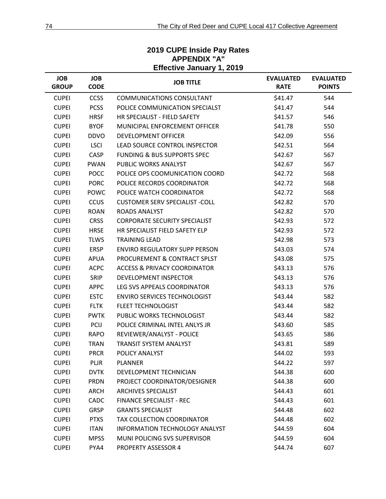| Effective January 1, 2019  |                           |                                         |                                 |                                   |  |  |
|----------------------------|---------------------------|-----------------------------------------|---------------------------------|-----------------------------------|--|--|
| <b>JOB</b><br><b>GROUP</b> | <b>JOB</b><br><b>CODE</b> | <b>JOB TITLE</b>                        | <b>EVALUATED</b><br><b>RATE</b> | <b>EVALUATED</b><br><b>POINTS</b> |  |  |
| <b>CUPEI</b>               | <b>CCSS</b>               | <b>COMMUNICATIONS CONSULTANT</b>        | \$41.47                         | 544                               |  |  |
| <b>CUPEI</b>               | <b>PCSS</b>               | POLICE COMMUNICATION SPECIALST          | \$41.47                         | 544                               |  |  |
| <b>CUPEI</b>               | <b>HRSF</b>               | HR SPECIALIST - FIELD SAFETY            | \$41.57                         | 546                               |  |  |
| <b>CUPEI</b>               | <b>BYOF</b>               | MUNICIPAL ENFORCEMENT OFFICER           | \$41.78                         | 550                               |  |  |
| <b>CUPEI</b>               | <b>DDVO</b>               | <b>DEVELOPMENT OFFICER</b>              | \$42.09                         | 556                               |  |  |
| <b>CUPEI</b>               | <b>LSCI</b>               | LEAD SOURCE CONTROL INSPECTOR           | \$42.51                         | 564                               |  |  |
| <b>CUPEI</b>               | CASP                      | <b>FUNDING &amp; BUS SUPPORTS SPEC</b>  | \$42.67                         | 567                               |  |  |
| <b>CUPEI</b>               | <b>PWAN</b>               | PUBLIC WORKS ANALYST                    | \$42.67                         | 567                               |  |  |
| <b>CUPEI</b>               | <b>POCC</b>               | POLICE OPS COOMUNICATION COORD          | \$42.72                         | 568                               |  |  |
| <b>CUPEI</b>               | <b>PORC</b>               | POLICE RECORDS COORDINATOR              | \$42.72                         | 568                               |  |  |
| <b>CUPEI</b>               | POWC                      | POLICE WATCH COORDINATOR                | \$42.72                         | 568                               |  |  |
| <b>CUPEI</b>               | <b>CCUS</b>               | <b>CUSTOMER SERV SPECIALIST -COLL</b>   | \$42.82                         | 570                               |  |  |
| <b>CUPEI</b>               | <b>ROAN</b>               | <b>ROADS ANALYST</b>                    | \$42.82                         | 570                               |  |  |
| <b>CUPEI</b>               | <b>CRSS</b>               | <b>CORPORATE SECURITY SPECIALIST</b>    | \$42.93                         | 572                               |  |  |
| <b>CUPEI</b>               | <b>HRSE</b>               | HR SPECIALIST FIELD SAFETY ELP          | \$42.93                         | 572                               |  |  |
| <b>CUPEI</b>               | <b>TLWS</b>               | <b>TRAINING LEAD</b>                    | \$42.98                         | 573                               |  |  |
| <b>CUPEI</b>               | <b>ERSP</b>               | <b>ENVIRO REGULATORY SUPP PERSON</b>    | \$43.03                         | 574                               |  |  |
| <b>CUPEI</b>               | <b>APUA</b>               | PROCUREMENT & CONTRACT SPLST            | \$43.08                         | 575                               |  |  |
| <b>CUPEI</b>               | <b>ACPC</b>               | <b>ACCESS &amp; PRIVACY COORDINATOR</b> | \$43.13                         | 576                               |  |  |
| <b>CUPEI</b>               | <b>SRIP</b>               | <b>DEVELOPMENT INSPECTOR</b>            | \$43.13                         | 576                               |  |  |
| <b>CUPEI</b>               | <b>APPC</b>               | LEG SVS APPEALS COORDINATOR             | \$43.13                         | 576                               |  |  |
| <b>CUPEI</b>               | <b>ESTC</b>               | <b>ENVIRO SERVICES TECHNOLOGIST</b>     | \$43.44                         | 582                               |  |  |
| <b>CUPEI</b>               | <b>FLTK</b>               | <b>FLEET TECHNOLOGIST</b>               | \$43.44                         | 582                               |  |  |
| <b>CUPEI</b>               | <b>PWTK</b>               | PUBLIC WORKS TECHNOLOGIST               | \$43.44                         | 582                               |  |  |
| <b>CUPEI</b>               | PCIJ                      | POLICE CRIMINAL INTEL ANLYS JR          | \$43.60                         | 585                               |  |  |
| <b>CUPEI</b>               | <b>RAPO</b>               | REVIEWER/ANALYST - POLICE               | \$43.65                         | 586                               |  |  |
| <b>CUPEI</b>               | <b>TRAN</b>               | TRANSIT SYSTEM ANALYST                  | \$43.81                         | 589                               |  |  |
| <b>CUPEI</b>               | <b>PRCR</b>               | POLICY ANALYST                          | \$44.02                         | 593                               |  |  |
| <b>CUPEI</b>               | <b>PLJR</b>               | <b>PLANNER</b>                          | \$44.22                         | 597                               |  |  |
| <b>CUPEI</b>               | <b>DVTK</b>               | DEVELOPMENT TECHNICIAN                  | \$44.38                         | 600                               |  |  |
| <b>CUPEI</b>               | <b>PRDN</b>               | PROJECT COORDINATOR/DESIGNER            | \$44.38                         | 600                               |  |  |
| <b>CUPEI</b>               | ARCH                      | <b>ARCHIVES SPECIALIST</b>              | \$44.43                         | 601                               |  |  |
| <b>CUPEI</b>               | CADC                      | <b>FINANCE SPECIALIST - REC</b>         | \$44.43                         | 601                               |  |  |
| <b>CUPEI</b>               | <b>GRSP</b>               | <b>GRANTS SPECIALIST</b>                | \$44.48                         | 602                               |  |  |
| <b>CUPEI</b>               | <b>PTXS</b>               | TAX COLLECTION COORDINATOR              | \$44.48                         | 602                               |  |  |
| <b>CUPEI</b>               | <b>ITAN</b>               | INFORMATION TECHNOLOGY ANALYST          | \$44.59                         | 604                               |  |  |
| <b>CUPEI</b>               | <b>MPSS</b>               | MUNI POLICING SVS SUPERVISOR            | \$44.59                         | 604                               |  |  |
| <b>CUPEI</b>               | PYA4                      | PROPERTY ASSESSOR 4                     | \$44.74                         | 607                               |  |  |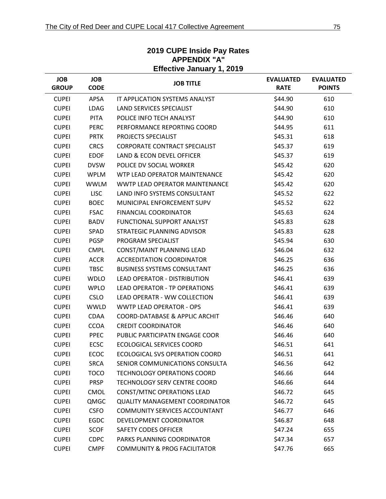|                            | <b>Effective January 1, 2019</b> |                                         |                                 |                                   |  |  |
|----------------------------|----------------------------------|-----------------------------------------|---------------------------------|-----------------------------------|--|--|
| <b>JOB</b><br><b>GROUP</b> | <b>JOB</b><br><b>CODE</b>        | <b>JOB TITLE</b>                        | <b>EVALUATED</b><br><b>RATE</b> | <b>EVALUATED</b><br><b>POINTS</b> |  |  |
| <b>CUPEI</b>               | <b>APSA</b>                      | IT APPLICATION SYSTEMS ANALYST          | \$44.90                         | 610                               |  |  |
| <b>CUPEI</b>               | <b>LDAG</b>                      | LAND SERVICES SPECIALIST                | \$44.90                         | 610                               |  |  |
| <b>CUPEI</b>               | <b>PITA</b>                      | POLICE INFO TECH ANALYST                | \$44.90                         | 610                               |  |  |
| <b>CUPEI</b>               | <b>PERC</b>                      | PERFORMANCE REPORTING COORD             | \$44.95                         | 611                               |  |  |
| <b>CUPEI</b>               | <b>PRTK</b>                      | PROJECTS SPECIALIST                     | \$45.31                         | 618                               |  |  |
| <b>CUPEI</b>               | <b>CRCS</b>                      | <b>CORPORATE CONTRACT SPECIALIST</b>    | \$45.37                         | 619                               |  |  |
| <b>CUPEI</b>               | <b>EDOF</b>                      | LAND & ECON DEVEL OFFICER               | \$45.37                         | 619                               |  |  |
| <b>CUPEI</b>               | <b>DVSW</b>                      | POLICE DV SOCIAL WORKER                 | \$45.42                         | 620                               |  |  |
| <b>CUPEI</b>               | <b>WPLM</b>                      | WTP LEAD OPERATOR MAINTENANCE           | \$45.42                         | 620                               |  |  |
| <b>CUPEI</b>               | <b>WWLM</b>                      | WWTP LEAD OPERATOR MAINTENANCE          | \$45.42                         | 620                               |  |  |
| <b>CUPEI</b>               | <b>LISC</b>                      | LAND INFO SYSTEMS CONSULTANT            | \$45.52                         | 622                               |  |  |
| <b>CUPEI</b>               | <b>BOEC</b>                      | MUNICIPAL ENFORCEMENT SUPV              | \$45.52                         | 622                               |  |  |
| <b>CUPEI</b>               | <b>FSAC</b>                      | <b>FINANCIAL COORDINATOR</b>            | \$45.63                         | 624                               |  |  |
| <b>CUPEI</b>               | <b>BADV</b>                      | FUNCTIONAL SUPPORT ANALYST              | \$45.83                         | 628                               |  |  |
| <b>CUPEI</b>               | SPAD                             | STRATEGIC PLANNING ADVISOR              | \$45.83                         | 628                               |  |  |
| <b>CUPEI</b>               | <b>PGSP</b>                      | PROGRAM SPECIALIST                      | \$45.94                         | 630                               |  |  |
| <b>CUPEI</b>               | <b>CMPL</b>                      | CONST/MAINT PLANNING LEAD               | \$46.04                         | 632                               |  |  |
| <b>CUPEI</b>               | <b>ACCR</b>                      | <b>ACCREDITATION COORDINATOR</b>        | \$46.25                         | 636                               |  |  |
| <b>CUPEI</b>               | <b>TBSC</b>                      | <b>BUSINESS SYSTEMS CONSULTANT</b>      | \$46.25                         | 636                               |  |  |
| <b>CUPEI</b>               | <b>WDLO</b>                      | <b>LEAD OPERATOR - DISTRIBUTION</b>     | \$46.41                         | 639                               |  |  |
| <b>CUPEI</b>               | <b>WPLO</b>                      | LEAD OPERATOR - TP OPERATIONS           | \$46.41                         | 639                               |  |  |
| <b>CUPEI</b>               | <b>CSLO</b>                      | LEAD OPERATR - WW COLLECTION            | \$46.41                         | 639                               |  |  |
| <b>CUPEI</b>               | <b>WWLD</b>                      | <b>WWTP LEAD OPERATOR - OPS</b>         | \$46.41                         | 639                               |  |  |
| <b>CUPEI</b>               | <b>CDAA</b>                      | COORD-DATABASE & APPLIC ARCHIT          | \$46.46                         | 640                               |  |  |
| <b>CUPEI</b>               | <b>CCOA</b>                      | <b>CREDIT COORDINATOR</b>               | \$46.46                         | 640                               |  |  |
| <b>CUPEI</b>               | <b>PPEC</b>                      | PUBLIC PARTICIPATN ENGAGE COOR          | \$46.46                         | 640                               |  |  |
| <b>CUPEI</b>               | <b>ECSC</b>                      | <b>ECOLOGICAL SERVICES COORD</b>        | \$46.51                         | 641                               |  |  |
| <b>CUPEI</b>               | ECOC                             | ECOLOGICAL SVS OPERATION COORD          | \$46.51                         | 641                               |  |  |
| <b>CUPEI</b>               | <b>SRCA</b>                      | SENIOR COMMUNICATIONS CONSULTA          | \$46.56                         | 642                               |  |  |
| <b>CUPEI</b>               | <b>TOCO</b>                      | <b>TECHNOLOGY OPERATIONS COORD</b>      | \$46.66                         | 644                               |  |  |
| <b>CUPEI</b>               | <b>PRSP</b>                      | TECHNOLOGY SERV CENTRE COORD            | \$46.66                         | 644                               |  |  |
| <b>CUPEI</b>               | <b>CMOL</b>                      | <b>CONST/MTNC OPERATIONS LEAD</b>       | \$46.72                         | 645                               |  |  |
| <b>CUPEI</b>               | QMGC                             | <b>QUALITY MANAGEMENT COORDINATOR</b>   | \$46.72                         | 645                               |  |  |
| <b>CUPEI</b>               | <b>CSFO</b>                      | <b>COMMUNITY SERVICES ACCOUNTANT</b>    | \$46.77                         | 646                               |  |  |
| <b>CUPEI</b>               | EGDC                             | DEVELOPMENT COORDINATOR                 | \$46.87                         | 648                               |  |  |
| <b>CUPEI</b>               | <b>SCOF</b>                      | <b>SAFETY CODES OFFICER</b>             | \$47.24                         | 655                               |  |  |
| <b>CUPEI</b>               | <b>CDPC</b>                      | PARKS PLANNING COORDINATOR              | \$47.34                         | 657                               |  |  |
| <b>CUPEI</b>               | <b>CMPF</b>                      | <b>COMMUNITY &amp; PROG FACILITATOR</b> | \$47.76                         | 665                               |  |  |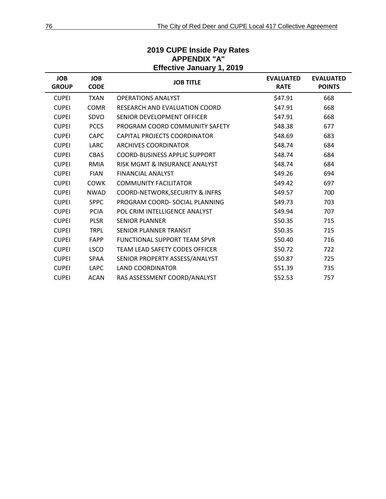| <b>JOB</b><br><b>GROUP</b> | <b>JOB</b><br><b>CODE</b> | <b>JOB TITLE</b>                           | <b>EVALUATED</b><br><b>RATE</b> | <b>EVALUATED</b><br><b>POINTS</b> |
|----------------------------|---------------------------|--------------------------------------------|---------------------------------|-----------------------------------|
| <b>CUPEI</b>               | <b>TXAN</b>               | <b>OPERATIONS ANALYST</b>                  | \$47.91                         | 668                               |
| <b>CUPEI</b>               | <b>COMR</b>               | RESEARCH AND EVALUATION COORD              | \$47.91                         | 668                               |
| <b>CUPEI</b>               | SDVO                      | SENIOR DEVELOPMENT OFFICER                 | \$47.91                         | 668                               |
| <b>CUPEI</b>               | <b>PCCS</b>               | PROGRAM COORD COMMUNITY SAFETY             | \$48.38                         | 677                               |
| <b>CUPEI</b>               | <b>CAPC</b>               | CAPITAL PROJECTS COORDINATOR               | \$48.69                         | 683                               |
| <b>CUPEI</b>               | <b>LARC</b>               | <b>ARCHIVES COORDINATOR</b>                | \$48.74                         | 684                               |
| <b>CUPEI</b>               | <b>CBAS</b>               | <b>COORD-BUSINESS APPLIC SUPPORT</b>       | \$48.74                         | 684                               |
| <b>CUPEI</b>               | <b>RMIA</b>               | RISK MGMT & INSURANCE ANALYST              | \$48.74                         | 684                               |
| <b>CUPEI</b>               | <b>FIAN</b>               | <b>FINANCIAL ANALYST</b>                   | \$49.26                         | 694                               |
| <b>CUPEI</b>               | <b>COWK</b>               | <b>COMMUNITY FACILITATOR</b>               | \$49.42                         | 697                               |
| <b>CUPEI</b>               | <b>NWAD</b>               | <b>COORD-NETWORK, SECURITY &amp; INFRS</b> | \$49.57                         | 700                               |
| <b>CUPEI</b>               | <b>SPPC</b>               | PROGRAM COORD- SOCIAL PLANNING             | \$49.73                         | 703                               |
| <b>CUPEI</b>               | <b>PCIA</b>               | POL CRIM INTELLIGENCE ANALYST              | \$49.94                         | 707                               |
| <b>CUPEI</b>               | <b>PLSR</b>               | <b>SENIOR PLANNER</b>                      | \$50.35                         | 715                               |
| <b>CUPEI</b>               | <b>TRPL</b>               | SENIOR PLANNER TRANSIT                     | \$50.35                         | 715                               |
| <b>CUPEI</b>               | <b>FAPP</b>               | <b>FUNCTIONAL SUPPORT TEAM SPVR</b>        | \$50.40                         | 716                               |
| <b>CUPEI</b>               | <b>LSCO</b>               | TEAM LEAD SAFETY CODES OFFICER             | \$50.72                         | 722                               |
| <b>CUPEI</b>               | <b>SPAA</b>               | SENIOR PROPERTY ASSESS/ANALYST             | \$50.87                         | 725                               |
| <b>CUPEI</b>               | <b>LAPC</b>               | <b>LAND COORDINATOR</b>                    | \$51.39                         | 735                               |
| <b>CUPEI</b>               | <b>ACAN</b>               | RAS ASSESSMENT COORD/ANALYST               | \$52.53                         | 757                               |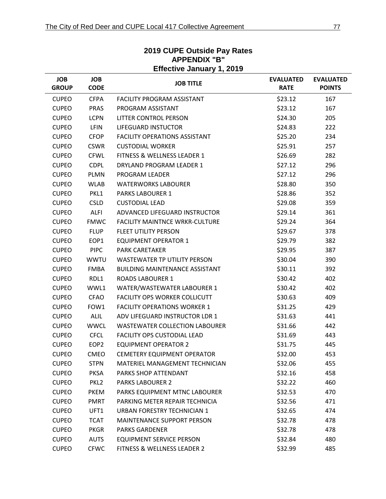|                            | <b>Effective January 1, 2019</b> |                                       |                                 |                                   |  |  |
|----------------------------|----------------------------------|---------------------------------------|---------------------------------|-----------------------------------|--|--|
| <b>JOB</b><br><b>GROUP</b> | <b>JOB</b><br><b>CODE</b>        | <b>JOB TITLE</b>                      | <b>EVALUATED</b><br><b>RATE</b> | <b>EVALUATED</b><br><b>POINTS</b> |  |  |
| <b>CUPEO</b>               | <b>CFPA</b>                      | <b>FACILITY PROGRAM ASSISTANT</b>     | \$23.12                         | 167                               |  |  |
| <b>CUPEO</b>               | <b>PRAS</b>                      | PROGRAM ASSISTANT                     | \$23.12                         | 167                               |  |  |
| <b>CUPEO</b>               | <b>LCPN</b>                      | LITTER CONTROL PERSON                 | \$24.30                         | 205                               |  |  |
| <b>CUPEO</b>               | <b>LFIN</b>                      | <b>LIFEGUARD INSTUCTOR</b>            | \$24.83                         | 222                               |  |  |
| <b>CUPEO</b>               | <b>CFOP</b>                      | <b>FACILITY OPERATIONS ASSISTANT</b>  | \$25.20                         | 234                               |  |  |
| <b>CUPEO</b>               | <b>CSWR</b>                      | <b>CUSTODIAL WORKER</b>               | \$25.91                         | 257                               |  |  |
| <b>CUPEO</b>               | <b>CFWL</b>                      | FITNESS & WELLNESS LEADER 1           | \$26.69                         | 282                               |  |  |
| <b>CUPEO</b>               | <b>CDPL</b>                      | DRYLAND PROGRAM LEADER 1              | \$27.12                         | 296                               |  |  |
| <b>CUPEO</b>               | <b>PLMN</b>                      | PROGRAM LEADER                        | \$27.12                         | 296                               |  |  |
| <b>CUPEO</b>               | <b>WLAB</b>                      | <b>WATERWORKS LABOURER</b>            | \$28.80                         | 350                               |  |  |
| <b>CUPEO</b>               | PKL1                             | <b>PARKS LABOURER 1</b>               | \$28.86                         | 352                               |  |  |
| <b>CUPEO</b>               | <b>CSLD</b>                      | <b>CUSTODIAL LEAD</b>                 | \$29.08                         | 359                               |  |  |
| <b>CUPEO</b>               | <b>ALFI</b>                      | ADVANCED LIFEGUARD INSTRUCTOR         | \$29.14                         | 361                               |  |  |
| <b>CUPEO</b>               | <b>FMWC</b>                      | <b>FACILITY MAINTNCE WRKR-CULTURE</b> | \$29.24                         | 364                               |  |  |
| <b>CUPEO</b>               | <b>FLUP</b>                      | <b>FLEET UTILITY PERSON</b>           | \$29.67                         | 378                               |  |  |
| <b>CUPEO</b>               | EOP1                             | <b>EQUIPMENT OPERATOR 1</b>           | \$29.79                         | 382                               |  |  |
| <b>CUPEO</b>               | <b>PIPC</b>                      | <b>PARK CARETAKER</b>                 | \$29.95                         | 387                               |  |  |
| <b>CUPEO</b>               | <b>WWTU</b>                      | <b>WASTEWATER TP UTILITY PERSON</b>   | \$30.04                         | 390                               |  |  |
| <b>CUPEO</b>               | <b>FMBA</b>                      | <b>BUILDING MAINTENANCE ASSISTANT</b> | \$30.11                         | 392                               |  |  |
| <b>CUPEO</b>               | RDL1                             | <b>ROADS LABOURER 1</b>               | \$30.42                         | 402                               |  |  |
| <b>CUPEO</b>               | WWL1                             | WATER/WASTEWATER LABOURER 1           | \$30.42                         | 402                               |  |  |
| <b>CUPEO</b>               | <b>CFAO</b>                      | <b>FACILITY OPS WORKER COLLICUTT</b>  | \$30.63                         | 409                               |  |  |
| <b>CUPEO</b>               | FOW1                             | <b>FACILITY OPERATIONS WORKER 1</b>   | \$31.25                         | 429                               |  |  |
| <b>CUPEO</b>               | <b>ALIL</b>                      | ADV LIFEGUARD INSTRUCTOR LDR 1        | \$31.63                         | 441                               |  |  |
| <b>CUPEO</b>               | <b>WWCL</b>                      | <b>WASTEWATER COLLECTION LABOURER</b> | \$31.66                         | 442                               |  |  |
| <b>CUPEO</b>               | <b>CFCL</b>                      | <b>FACILITY OPS CUSTODIAL LEAD</b>    | \$31.69                         | 443                               |  |  |
| <b>CUPEO</b>               | EOP <sub>2</sub>                 | <b>EQUIPMENT OPERATOR 2</b>           | \$31.75                         | 445                               |  |  |
| <b>CUPEO</b>               | <b>CMEO</b>                      | <b>CEMETERY EQUIPMENT OPERATOR</b>    | \$32.00                         | 453                               |  |  |
| <b>CUPEO</b>               | <b>STPN</b>                      | MATERIEL MANAGEMENT TECHNICIAN        | \$32.06                         | 455                               |  |  |
| <b>CUPEO</b>               | <b>PKSA</b>                      | PARKS SHOP ATTENDANT                  | \$32.16                         | 458                               |  |  |
| <b>CUPEO</b>               | PKL <sub>2</sub>                 | <b>PARKS LABOURER 2</b>               | \$32.22                         | 460                               |  |  |
| <b>CUPEO</b>               | <b>PKEM</b>                      | PARKS EQUIPMENT MTNC LABOURER         | \$32.53                         | 470                               |  |  |
| <b>CUPEO</b>               | <b>PMRT</b>                      | PARKING METER REPAIR TECHNICIA        | \$32.56                         | 471                               |  |  |
| <b>CUPEO</b>               | UFT1                             | URBAN FORESTRY TECHNICIAN 1           | \$32.65                         | 474                               |  |  |
| <b>CUPEO</b>               | <b>TCAT</b>                      | MAINTENANCE SUPPORT PERSON            | \$32.78                         | 478                               |  |  |
| <b>CUPEO</b>               | <b>PKGR</b>                      | <b>PARKS GARDENER</b>                 | \$32.78                         | 478                               |  |  |
| <b>CUPEO</b>               | <b>AUTS</b>                      | <b>EQUIPMENT SERVICE PERSON</b>       | \$32.84                         | 480                               |  |  |
| <b>CUPEO</b>               | <b>CFWC</b>                      | FITNESS & WELLNESS LEADER 2           | \$32.99                         | 485                               |  |  |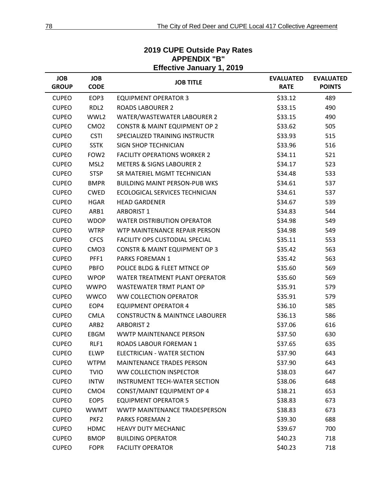|                            | <b>Effective January 1, 2019</b> |                                           |                                 |                                   |  |  |  |
|----------------------------|----------------------------------|-------------------------------------------|---------------------------------|-----------------------------------|--|--|--|
| <b>JOB</b><br><b>GROUP</b> | <b>JOB</b><br><b>CODE</b>        | <b>JOB TITLE</b>                          | <b>EVALUATED</b><br><b>RATE</b> | <b>EVALUATED</b><br><b>POINTS</b> |  |  |  |
| <b>CUPEO</b>               | EOP3                             | <b>EQUIPMENT OPERATOR 3</b>               | \$33.12                         | 489                               |  |  |  |
| <b>CUPEO</b>               | RDL <sub>2</sub>                 | <b>ROADS LABOURER 2</b>                   | \$33.15                         | 490                               |  |  |  |
| <b>CUPEO</b>               | WWL2                             | WATER/WASTEWATER LABOURER 2               | \$33.15                         | 490                               |  |  |  |
| <b>CUPEO</b>               | CMO <sub>2</sub>                 | <b>CONSTR &amp; MAINT EQUIPMENT OP 2</b>  | \$33.62                         | 505                               |  |  |  |
| <b>CUPEO</b>               | <b>CSTI</b>                      | SPECIALIZED TRAINING INSTRUCTR            | \$33.93                         | 515                               |  |  |  |
| <b>CUPEO</b>               | <b>SSTK</b>                      | <b>SIGN SHOP TECHNICIAN</b>               | \$33.96                         | 516                               |  |  |  |
| <b>CUPEO</b>               | FOW <sub>2</sub>                 | <b>FACILITY OPERATIONS WORKER 2</b>       | \$34.11                         | 521                               |  |  |  |
| <b>CUPEO</b>               | MSL <sub>2</sub>                 | <b>METERS &amp; SIGNS LABOURER 2</b>      | \$34.17                         | 523                               |  |  |  |
| <b>CUPEO</b>               | <b>STSP</b>                      | SR MATERIEL MGMT TECHNICIAN               | \$34.48                         | 533                               |  |  |  |
| <b>CUPEO</b>               | <b>BMPR</b>                      | <b>BUILDING MAINT PERSON-PUB WKS</b>      | \$34.61                         | 537                               |  |  |  |
| <b>CUPEO</b>               | <b>CWED</b>                      | <b>ECOLOGICAL SERVICES TECHNICIAN</b>     | \$34.61                         | 537                               |  |  |  |
| <b>CUPEO</b>               | <b>HGAR</b>                      | <b>HEAD GARDENER</b>                      | \$34.67                         | 539                               |  |  |  |
| <b>CUPEO</b>               | ARB1                             | <b>ARBORIST 1</b>                         | \$34.83                         | 544                               |  |  |  |
| <b>CUPEO</b>               | <b>WDOP</b>                      | <b>WATER DISTRIBUTION OPERATOR</b>        | \$34.98                         | 549                               |  |  |  |
| <b>CUPEO</b>               | <b>WTRP</b>                      | WTP MAINTENANCE REPAIR PERSON             | \$34.98                         | 549                               |  |  |  |
| <b>CUPEO</b>               | <b>CFCS</b>                      | FACILITY OPS CUSTODIAL SPECIAL            | \$35.11                         | 553                               |  |  |  |
| <b>CUPEO</b>               | CMO <sub>3</sub>                 | <b>CONSTR &amp; MAINT EQUIPMENT OP 3</b>  | \$35.42                         | 563                               |  |  |  |
| <b>CUPEO</b>               | PFF1                             | <b>PARKS FOREMAN 1</b>                    | \$35.42                         | 563                               |  |  |  |
| <b>CUPEO</b>               | <b>PBFO</b>                      | POLICE BLDG & FLEET MTNCE OP              | \$35.60                         | 569                               |  |  |  |
| <b>CUPEO</b>               | <b>WPOP</b>                      | WATER TREATMENT PLANT OPERATOR            | \$35.60                         | 569                               |  |  |  |
| <b>CUPEO</b>               | <b>WWPO</b>                      | <b>WASTEWATER TRMT PLANT OP</b>           | \$35.91                         | 579                               |  |  |  |
| <b>CUPEO</b>               | <b>WWCO</b>                      | WW COLLECTION OPERATOR                    | \$35.91                         | 579                               |  |  |  |
| <b>CUPEO</b>               | EOP4                             | <b>EQUIPMENT OPERATOR 4</b>               | \$36.10                         | 585                               |  |  |  |
| <b>CUPEO</b>               | <b>CMLA</b>                      | <b>CONSTRUCTN &amp; MAINTNCE LABOURER</b> | \$36.13                         | 586                               |  |  |  |
| <b>CUPEO</b>               | ARB <sub>2</sub>                 | <b>ARBORIST 2</b>                         | \$37.06                         | 616                               |  |  |  |
| <b>CUPEO</b>               | EBGM                             | <b>WWTP MAINTENANCE PERSON</b>            | \$37.50                         | 630                               |  |  |  |
| <b>CUPEO</b>               | RLF1                             | ROADS LABOUR FOREMAN 1                    | \$37.65                         | 635                               |  |  |  |
| <b>CUPEO</b>               | ELWP                             | ELECTRICIAN - WATER SECTION               | \$37.90                         | 643                               |  |  |  |
| <b>CUPEO</b>               | <b>WTPM</b>                      | <b>MAINTENANCE TRADES PERSON</b>          | \$37.90                         | 643                               |  |  |  |
| <b>CUPEO</b>               | <b>TVIO</b>                      | WW COLLECTION INSPECTOR                   | \$38.03                         | 647                               |  |  |  |
| <b>CUPEO</b>               | <b>INTW</b>                      | <b>INSTRUMENT TECH-WATER SECTION</b>      | \$38.06                         | 648                               |  |  |  |
| <b>CUPEO</b>               | CMO <sub>4</sub>                 | CONST/MAINT EQUIPMENT OP 4                | \$38.21                         | 653                               |  |  |  |
| <b>CUPEO</b>               | EOP5                             | <b>EQUIPMENT OPERATOR 5</b>               | \$38.83                         | 673                               |  |  |  |
| <b>CUPEO</b>               | <b>WWMT</b>                      | WWTP MAINTENANCE TRADESPERSON             | \$38.83                         | 673                               |  |  |  |
| <b>CUPEO</b>               | PKF2                             | <b>PARKS FOREMAN 2</b>                    | \$39.30                         | 688                               |  |  |  |
| <b>CUPEO</b>               | <b>HDMC</b>                      | <b>HEAVY DUTY MECHANIC</b>                | \$39.67                         | 700                               |  |  |  |
| <b>CUPEO</b>               | <b>BMOP</b>                      | <b>BUILDING OPERATOR</b>                  | \$40.23                         | 718                               |  |  |  |
| <b>CUPEO</b>               | <b>FOPR</b>                      | <b>FACILITY OPERATOR</b>                  | \$40.23                         | 718                               |  |  |  |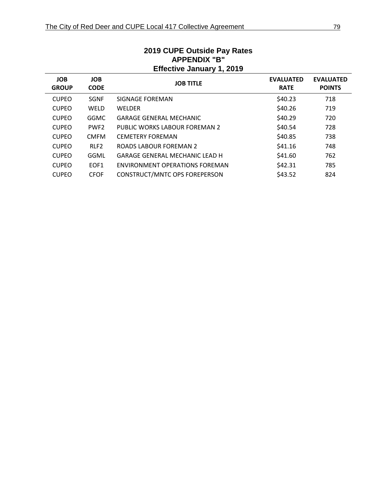| APPENDIX "B"<br><b>Effective January 1, 2019</b> |                           |                                       |                                 |                                   |  |
|--------------------------------------------------|---------------------------|---------------------------------------|---------------------------------|-----------------------------------|--|
| <b>JOB</b><br><b>GROUP</b>                       | <b>JOB</b><br><b>CODE</b> | <b>JOB TITLE</b>                      | <b>EVALUATED</b><br><b>RATE</b> | <b>EVALUATED</b><br><b>POINTS</b> |  |
| <b>CUPEO</b>                                     | <b>SGNF</b>               | SIGNAGE FOREMAN                       | \$40.23                         | 718                               |  |
| <b>CUPEO</b>                                     | <b>WELD</b>               | <b>WELDER</b>                         | \$40.26                         | 719                               |  |
| <b>CUPEO</b>                                     | <b>GGMC</b>               | <b>GARAGE GENERAL MECHANIC</b>        | \$40.29                         | 720                               |  |
| <b>CUPEO</b>                                     | PWF <sub>2</sub>          | PUBLIC WORKS LABOUR FOREMAN 2         | \$40.54                         | 728                               |  |
| <b>CUPEO</b>                                     | <b>CMFM</b>               | <b>CEMETERY FOREMAN</b>               | \$40.85                         | 738                               |  |
| <b>CUPEO</b>                                     | RLF <sub>2</sub>          | ROADS LABOUR FOREMAN 2                | \$41.16                         | 748                               |  |
| <b>CUPEO</b>                                     | GGML                      | <b>GARAGE GENERAL MECHANIC LEAD H</b> | \$41.60                         | 762                               |  |
| <b>CUPEO</b>                                     | EOF <sub>1</sub>          | ENVIRONMENT OPERATIONS FOREMAN        | \$42.31                         | 785                               |  |
| <b>CUPEO</b>                                     | <b>CFOF</b>               | CONSTRUCT/MNTC OPS FOREPERSON         | \$43.52                         | 824                               |  |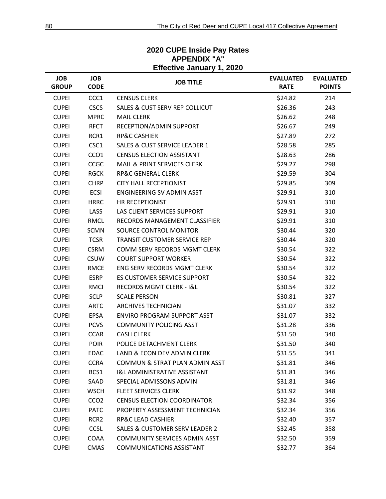| <b>JOB</b><br><b>GROUP</b> | <b>JOB</b><br><b>CODE</b> | ,,,,,,,,,,,,<br><b>JOB TITLE</b>          | <b>EVALUATED</b><br><b>RATE</b> | <b>EVALUATED</b><br><b>POINTS</b> |
|----------------------------|---------------------------|-------------------------------------------|---------------------------------|-----------------------------------|
| <b>CUPEI</b>               | CCC1                      | <b>CENSUS CLERK</b>                       | \$24.82                         | 214                               |
| <b>CUPEI</b>               | <b>CSCS</b>               | SALES & CUST SERV REP COLLICUT            | \$26.36                         | 243                               |
| <b>CUPEI</b>               | <b>MPRC</b>               | <b>MAIL CLERK</b>                         | \$26.62                         | 248                               |
| <b>CUPEI</b>               | <b>RFCT</b>               | RECEPTION/ADMIN SUPPORT                   | \$26.67                         | 249                               |
| <b>CUPEI</b>               | RCR1                      | <b>RP&amp;C CASHIER</b>                   | \$27.89                         | 272                               |
| <b>CUPEI</b>               | CSC1                      | <b>SALES &amp; CUST SERVICE LEADER 1</b>  | \$28.58                         | 285                               |
| <b>CUPEI</b>               | CCO <sub>1</sub>          | <b>CENSUS ELECTION ASSISTANT</b>          | \$28.63                         | 286                               |
| <b>CUPEI</b>               | CCGC                      | <b>MAIL &amp; PRINT SERVICES CLERK</b>    | \$29.27                         | 298                               |
| <b>CUPEI</b>               | <b>RGCK</b>               | <b>RP&amp;C GENERAL CLERK</b>             | \$29.59                         | 304                               |
| <b>CUPEI</b>               | <b>CHRP</b>               | <b>CITY HALL RECEPTIONIST</b>             | \$29.85                         | 309                               |
| <b>CUPEI</b>               | <b>ECSI</b>               | <b>ENGINEERING SV ADMIN ASST</b>          | \$29.91                         | 310                               |
| <b>CUPEI</b>               | <b>HRRC</b>               | HR RECEPTIONIST                           | \$29.91                         | 310                               |
| <b>CUPEI</b>               | LASS                      | LAS CLIENT SERVICES SUPPORT               | \$29.91                         | 310                               |
| <b>CUPEI</b>               | <b>RMCL</b>               | RECORDS MANAGEMENT CLASSIFIER             | \$29.91                         | 310                               |
| <b>CUPEI</b>               | <b>SCMN</b>               | <b>SOURCE CONTROL MONITOR</b>             | \$30.44                         | 320                               |
| <b>CUPEI</b>               | <b>TCSR</b>               | <b>TRANSIT CUSTOMER SERVICE REP</b>       | \$30.44                         | 320                               |
| <b>CUPEI</b>               | <b>CSRM</b>               | COMM SERV RECORDS MGMT CLERK              | \$30.54                         | 322                               |
| <b>CUPEI</b>               | <b>CSUW</b>               | <b>COURT SUPPORT WORKER</b>               | \$30.54                         | 322                               |
| <b>CUPEI</b>               | <b>RMCE</b>               | <b>ENG SERV RECORDS MGMT CLERK</b>        | \$30.54                         | 322                               |
| <b>CUPEI</b>               | <b>ESRP</b>               | ES CUSTOMER SERVICE SUPPORT               | \$30.54                         | 322                               |
| <b>CUPEI</b>               | RMCI                      | RECORDS MGMT CLERK - I&L                  | \$30.54                         | 322                               |
| <b>CUPEI</b>               | <b>SCLP</b>               | <b>SCALE PERSON</b>                       | \$30.81                         | 327                               |
| <b>CUPEI</b>               | <b>ARTC</b>               | <b>ARCHIVES TECHNICIAN</b>                | \$31.07                         | 332                               |
| <b>CUPEI</b>               | EPSA                      | <b>ENVIRO PROGRAM SUPPORT ASST</b>        | \$31.07                         | 332                               |
| <b>CUPEI</b>               | <b>PCVS</b>               | <b>COMMUNITY POLICING ASST</b>            | \$31.28                         | 336                               |
| <b>CUPEI</b>               | <b>CCAR</b>               | <b>CASH CLERK</b>                         | \$31.50                         | 340                               |
| <b>CUPEI</b>               | <b>POIR</b>               | POLICE DETACHMENT CLERK                   | \$31.50                         | 340                               |
| <b>CUPEI</b>               | <b>EDAC</b>               | LAND & ECON DEV ADMIN CLERK               | \$31.55                         | 341                               |
| <b>CUPEI</b>               | <b>CCRA</b>               | COMMUN & STRAT PLAN ADMIN ASST            | \$31.81                         | 346                               |
| <b>CUPEI</b>               | BCS1                      | <b>I&amp;L ADMINISTRATIVE ASSISTANT</b>   | \$31.81                         | 346                               |
| <b>CUPEI</b>               | SAAD                      | SPECIAL ADMISSONS ADMIN                   | \$31.81                         | 346                               |
| <b>CUPEI</b>               | <b>WSCH</b>               | <b>FLEET SERVICES CLERK</b>               | \$31.92                         | 348                               |
| <b>CUPEI</b>               | CCO <sub>2</sub>          | <b>CENSUS ELECTION COORDINATOR</b>        | \$32.34                         | 356                               |
| <b>CUPEI</b>               | <b>PATC</b>               | PROPERTY ASSESSMENT TECHNICIAN            | \$32.34                         | 356                               |
| <b>CUPEI</b>               | RCR <sub>2</sub>          | <b>RP&amp;C LEAD CASHIER</b>              | \$32.40                         | 357                               |
| <b>CUPEI</b>               | <b>CCSL</b>               | <b>SALES &amp; CUSTOMER SERV LEADER 2</b> | \$32.45                         | 358                               |
| <b>CUPEI</b>               | COAA                      | <b>COMMUNITY SERVICES ADMIN ASST</b>      | \$32.50                         | 359                               |
| <b>CUPEI</b>               | <b>CMAS</b>               | <b>COMMUNICATIONS ASSISTANT</b>           | \$32.77                         | 364                               |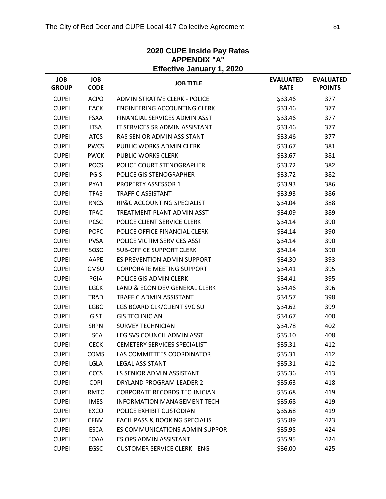| <b>Effective January 1, 2020</b> |                           |                                           |                                 |                                   |  |
|----------------------------------|---------------------------|-------------------------------------------|---------------------------------|-----------------------------------|--|
| <b>JOB</b><br><b>GROUP</b>       | <b>JOB</b><br><b>CODE</b> | <b>JOB TITLE</b>                          | <b>EVALUATED</b><br><b>RATE</b> | <b>EVALUATED</b><br><b>POINTS</b> |  |
| <b>CUPEI</b>                     | <b>ACPO</b>               | <b>ADMINISTRATIVE CLERK - POLICE</b>      | \$33.46                         | 377                               |  |
| <b>CUPEI</b>                     | <b>EACK</b>               | <b>ENGINEERING ACCOUNTING CLERK</b>       | \$33.46                         | 377                               |  |
| <b>CUPEI</b>                     | <b>FSAA</b>               | FINANCIAL SERVICES ADMIN ASST             | \$33.46                         | 377                               |  |
| <b>CUPEI</b>                     | <b>ITSA</b>               | IT SERVICES SR ADMIN ASSISTANT            | \$33.46                         | 377                               |  |
| <b>CUPEI</b>                     | <b>ATCS</b>               | RAS SENIOR ADMIN ASSISTANT                | \$33.46                         | 377                               |  |
| <b>CUPEI</b>                     | <b>PWCS</b>               | PUBLIC WORKS ADMIN CLERK                  | \$33.67                         | 381                               |  |
| <b>CUPEI</b>                     | <b>PWCK</b>               | <b>PUBLIC WORKS CLERK</b>                 | \$33.67                         | 381                               |  |
| <b>CUPEI</b>                     | <b>POCS</b>               | POLICE COURT STENOGRAPHER                 | \$33.72                         | 382                               |  |
| <b>CUPEI</b>                     | <b>PGIS</b>               | POLICE GIS STENOGRAPHER                   | \$33.72                         | 382                               |  |
| <b>CUPEI</b>                     | PYA1                      | <b>PROPERTY ASSESSOR 1</b>                | \$33.93                         | 386                               |  |
| <b>CUPEI</b>                     | <b>TFAS</b>               | <b>TRAFFIC ASSISTANT</b>                  | \$33.93                         | 386                               |  |
| <b>CUPEI</b>                     | <b>RNCS</b>               | <b>RP&amp;C ACCOUNTING SPECIALIST</b>     | \$34.04                         | 388                               |  |
| <b>CUPEI</b>                     | <b>TPAC</b>               | TREATMENT PLANT ADMIN ASST                | \$34.09                         | 389                               |  |
| <b>CUPEI</b>                     | <b>PCSC</b>               | POLICE CLIENT SERVICE CLERK               | \$34.14                         | 390                               |  |
| <b>CUPEI</b>                     | <b>POFC</b>               | POLICE OFFICE FINANCIAL CLERK             | \$34.14                         | 390                               |  |
| <b>CUPEI</b>                     | <b>PVSA</b>               | POLICE VICTIM SERVICES ASST               | \$34.14                         | 390                               |  |
| <b>CUPEI</b>                     | SOSC                      | <b>SUB-OFFICE SUPPORT CLERK</b>           | \$34.14                         | 390                               |  |
| <b>CUPEI</b>                     | AAPE                      | ES PREVENTION ADMIN SUPPORT               | \$34.30                         | 393                               |  |
| <b>CUPEI</b>                     | CMSU                      | <b>CORPORATE MEETING SUPPORT</b>          | \$34.41                         | 395                               |  |
| <b>CUPEI</b>                     | PGIA                      | POLICE GIS ADMIN CLERK                    | \$34.41                         | 395                               |  |
| <b>CUPEI</b>                     | <b>LGCK</b>               | LAND & ECON DEV GENERAL CLERK             | \$34.46                         | 396                               |  |
| <b>CUPEI</b>                     | <b>TRAD</b>               | TRAFFIC ADMIN ASSISTANT                   | \$34.57                         | 398                               |  |
| <b>CUPEI</b>                     | <b>LGBC</b>               | LGS BOARD CLK/CLIENT SVC SU               | \$34.62                         | 399                               |  |
| <b>CUPEI</b>                     | <b>GIST</b>               | <b>GIS TECHNICIAN</b>                     | \$34.67                         | 400                               |  |
| <b>CUPEI</b>                     | <b>SRPN</b>               | <b>SURVEY TECHNICIAN</b>                  | \$34.78                         | 402                               |  |
| <b>CUPEI</b>                     | <b>LSCA</b>               | LEG SVS COUNCIL ADMIN ASST                | \$35.10                         | 408                               |  |
| <b>CUPEI</b>                     | <b>CECK</b>               | <b>CEMETERY SERVICES SPECIALIST</b>       | \$35.31                         | 412                               |  |
| <b>CUPEI</b>                     | COMS                      | LAS COMMITTEES COORDINATOR                | \$35.31                         | 412                               |  |
| <b>CUPEI</b>                     | LGLA                      | <b>LEGAL ASSISTANT</b>                    | \$35.31                         | 412                               |  |
| <b>CUPEI</b>                     | <b>CCCS</b>               | LS SENIOR ADMIN ASSISTANT                 | \$35.36                         | 413                               |  |
| <b>CUPEI</b>                     | <b>CDPI</b>               | DRYLAND PROGRAM LEADER 2                  | \$35.63                         | 418                               |  |
| <b>CUPEI</b>                     | <b>RMTC</b>               | <b>CORPORATE RECORDS TECHNICIAN</b>       | \$35.68                         | 419                               |  |
| <b>CUPEI</b>                     | <b>IMES</b>               | <b>INFORMATION MANAGEMENT TECH</b>        | \$35.68                         | 419                               |  |
| <b>CUPEI</b>                     | EXCO                      | POLICE EXHIBIT CUSTODIAN                  | \$35.68                         | 419                               |  |
| <b>CUPEI</b>                     | <b>CFBM</b>               | <b>FACIL PASS &amp; BOOKING SPECIALIS</b> | \$35.89                         | 423                               |  |
| <b>CUPEI</b>                     | <b>ESCA</b>               | ES COMMUNICATIONS ADMIN SUPPOR            | \$35.95                         | 424                               |  |
| <b>CUPEI</b>                     | EOAA                      | ES OPS ADMIN ASSISTANT                    | \$35.95                         | 424                               |  |
| <b>CUPEI</b>                     | EGSC                      | <b>CUSTOMER SERVICE CLERK - ENG</b>       | \$36.00                         | 425                               |  |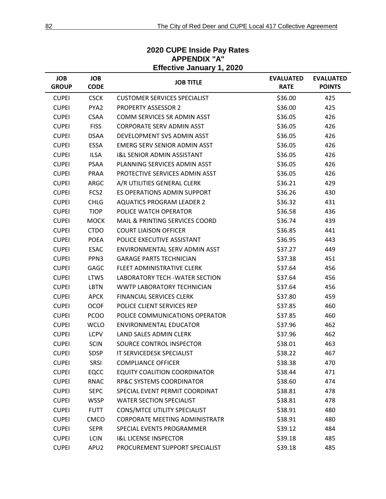#### **JOB GROUP JOB CODE JOB TITLE EVALUATED RATE EVALUATED POINTS** CUPEI CSCK CUSTOMER SERVICES SPECIALIST 686.00 425 CUPEI PYA2 PROPERTY ASSESSOR 2 \$36.00 425 CUPEI CSAA COMM SERVICES SR ADMIN ASST \$36.05 426 CUPEI FISS CORPORATE SERV ADMIN ASST 636.05 426 CUPEI DSAA DEVELOPMENT SVS ADMIN ASST \$36.05 426 CUPEI ESSA EMERG SERV SENIOR ADMIN ASST \$36.05 426 CUPEI ILSA I&L SENIOR ADMIN ASSISTANT \$36.05 426 CUPEI PSAA PLANNING SERVICES ADMIN ASST \$36.05 426 CUPEI PRAA PROTECTIVE SERVICES ADMIN ASST \$36.05 426 CUPEI ARGC A/R UTILITIES GENERAL CLERK \$36.21 429 CUPEI FCS2 ES OPERATIONS ADMIN SUPPORT \$36.26 430 CUPEI CHLG AQUATICS PROGRAM LEADER 2 536.32 431 CUPEI TIOP POLICE WATCH OPERATOR **1998 120 136.58** 436 CUPEI MOCK MAIL & PRINTING SERVICES COORD \$36.74 439 CUPEI CTDO COURT LIAISON OFFICER **1990 1120 1201 1203** 536.85 441 CUPEI POEA POLICE EXECUTIVE ASSISTANT 6 636.95 443 CUPEI ESAC ENVIRONMENTAL SERV ADMIN ASST \$37.27 449 CUPEI PPN3 GARAGE PARTS TECHNICIAN \$37.38 451 CUPEI GAGC FLEET ADMINISTRATIVE CLERK \$37.64 456 CUPEI LTWS LABORATORY TECH -WATER SECTION \$37.64 456 CUPEI LBTN WWTP LABORATORY TECHNICIAN \$37.64 456 CUPEI APCK FINANCIAL SERVICES CLERK \$37.80 459 CUPEI OCOF POLICE CLIENT SERVICES REP \$37.85 460 CUPEI PCOO POLICE COMMUNICATIONS OPERATOR \$37.85 460 CUPEI WCLO ENVIRONMENTAL EDUCATOR **1999 11 120 137.96** 462 CUPEI LCPV LAND SALES ADMIN CLERK \$37.96 462 CUPEI SCIN SOURCE CONTROL INSPECTOR \$38.01 463 CUPEI SDSP IT SERVICEDESK SPECIALIST **1999 120 138.22** 467 CUPEI SRSI COMPLIANCE OFFICER \$38.38 470 CUPEI EQCC EQUITY COALITION COORDINATOR \$38.44 471 CUPEI RNAC RP&C SYSTEMS COORDINATOR \$38.60 474 CUPEI SEPC SPECIAL EVENT PERMIT COORDINAT \$38.81 478 CUPEI WSSP WATER SECTION SPECIALIST **1998** 638.81 478 CUPEI FUTT CONS/MTCE UTILITY SPECIALIST 638.91 480 CUPEI CMCO CORPORATE MEETING ADMINISTRATR \$38.91 480 CUPEI SEPR SPECIAL EVENTS PROGRAMMER 539.12 484 CUPEI LCIN I&L LICENSE INSPECTOR \$39.18 485 CUPEI APU2 PROCUREMENT SUPPORT SPECIALIST 639.18 485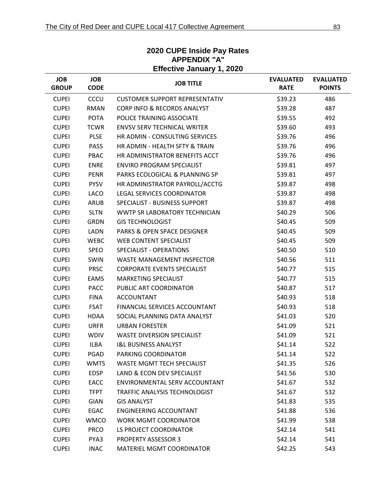#### **Effective January 1, 2020 JOB GROUP JOB CODE JOB TITLE EVALUATED RATE EVALUATED POINTS** CUPEI CCCU CUSTOMER SUPPORT REPRESENTATIV \$39.23 486 CUPEI RMAN CORP INFO & RECORDS ANALYST \$39.28 487 CUPEI POTA POLICE TRAINING ASSOCIATE **1992** 539.55 492 CUPEI TCWR ENVSV SERV TECHNICAL WRITER  $\frac{1}{399.60}$  \$39.60 493 CUPEI PLSE HR ADMIN - CONSULTING SERVICES \$39.76 496 CUPEI PASS HR ADMIN - HEALTH SFTY & TRAIN \$39.76 496 CUPEI PBAC HR ADMINISTRATOR BENEFITS ACCT \$39.76 496 CUPEI ENRE ENVIRO PROGRAM SPECIALIST 6539.81 497 CUPEI PENR PARKS ECOLOGICAL & PLANNING SP \$39.81 497 CUPEI PYSV HR ADMINISTRATOR PAYROLL/ACCTG \$39.87 498 CUPEI LACO LEGAL SERVICES COORDINATOR \$39.87 498 CUPEI ARUB SPECIALIST - BUSINESS SUPPORT \$39.87 498 CUPEI SLTN WWTP SR LABORATORY TECHNICIAN \$40.29 506 CUPEI GRDN GIS TECHNOLOGIST \$40.45 509 CUPEI LADN PARKS & OPEN SPACE DESIGNER \$40.45 509 CUPEI WEBC WEB CONTENT SPECIALIST **\$40.45** 509 CUPEI SPEO SPECIALIST - OPERATIONS 640.50 510 CUPEI SWIN WASTE MANAGEMENT INSPECTOR \$40.56 511 CUPEI PRSC CORPORATE EVENTS SPECIALIST 640.77 515 CUPEI EAMS MARKETING SPECIALIST **1990 120 120 13 140.77** 515 CUPEI PACC PUBLIC ART COORDINATOR 540.87 517 CUPEI FINA ACCOUNTANT **12000 12000 12000 12000 12000 12000 12000 12000 12000 12000 12000 1200** CUPEI FSAT FINANCIAL SERVICES ACCOUNTANT 540.93 518 CUPEI HDAA SOCIAL PLANNING DATA ANALYST \$41.03 520 CUPEI URFR URBAN FORESTER \$41.09 521 CUPEI WDIV WASTE DIVERSION SPECIALIST 641.09 521 CUPEI ILBA I&L BUSINESS ANALYST \$41.14 522 CUPEI PGAD PARKING COORDINATOR **1999 1-14 522** 522 CUPEI WMTS WASTE MGMT TECH SPECIALIST **1990 1201 131.35** 526 CUPEI EDSP LAND & ECON DEV SPECIALIST SALL \$41.56 530 CUPEI EACC ENVIRONMENTAL SERV ACCOUNTANT \$41.67 532 CUPEI TFPT TRAFFIC ANALYSIS TECHNOLOGIST 532 CUPEI GIAN GIS ANALYST \$41.83 535 CUPEI EGAC ENGINEERING ACCOUNTANT 6 \$41.88 536 CUPEI WMCO WORK MGMT COORDINATOR **1998** 538 CUPEI PRCO LS PROJECT COORDINATOR 642.14 541 CUPEI PYA3 PROPERTY ASSESSOR 3 \$42.14 541 CUPEI INAC MATERIEL MGMT COORDINATOR \$42.25 543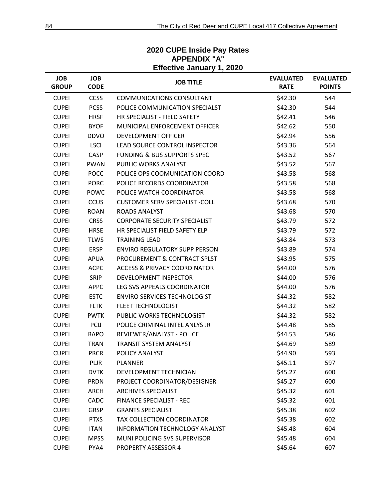#### **JOB GROUP JOB CODE JOB TITLE EVALUATED RATE EVALUATED POINTS** CUPEI CCSS COMMUNICATIONS CONSULTANT \$42.30 544 CUPEI PCSS POLICE COMMUNICATION SPECIALST 642.30 544 CUPEI HRSF HR SPECIALIST - FIELD SAFETY S42.41 546 CUPEI BYOF MUNICIPAL ENFORCEMENT OFFICER \$42.62 550 CUPEI DDVO DEVELOPMENT OFFICER \$42.94 556 CUPEI LSCI LEAD SOURCE CONTROL INSPECTOR \$43.36 564 CUPEI CASP FUNDING & BUS SUPPORTS SPEC \$43.52 567 CUPEI PWAN PUBLIC WORKS ANALYST **12000 12000 12000 12000 1343.52** 567 CUPEI POCC POLICE OPS COOMUNICATION COORD \$43.58 568 CUPEI PORC POLICE RECORDS COORDINATOR 543.58 568 CUPEI POWC POLICE WATCH COORDINATOR **1998** 543.58 568 CUPEI CCUS CUSTOMER SERV SPECIALIST -COLL \$43.68 570 CUPEI ROAN ROADS ANALYST \$43.68 570 CUPEI CRSS CORPORATE SECURITY SPECIALIST 643.79 572 CUPEI HRSE HR SPECIALIST FIELD SAFETY ELP 543.79 572 CUPEI TLWS TRAINING LEAD 573 CUPEI ERSP ENVIRO REGULATORY SUPP PERSON \$43.89 574 CUPEI APUA PROCUREMENT & CONTRACT SPLST 643.95 575 CUPEI ACPC ACCESS & PRIVACY COORDINATOR 544.00 576 CUPEI SRIP DEVELOPMENT INSPECTOR \$44.00 576 CUPEI APPC LEG SVS APPEALS COORDINATOR 544.00 576 CUPEI ESTC ENVIRO SERVICES TECHNOLOGIST \$44.32 582 CUPEI FLTK FLEET TECHNOLOGIST \$44.32 582 CUPEI PWTK PUBLIC WORKS TECHNOLOGIST 644.32 582 CUPEI PCIJ POLICE CRIMINAL INTEL ANLYS JR \$44.48 585 CUPEI RAPO REVIEWER/ANALYST - POLICE 644.53 586 CUPEI TRAN TRANSIT SYSTEM ANALYST **1989 120 120 120 1344.69** 589 CUPEI PRCR POLICY ANALYST **1993** 593 CUPEI PLJR PLANNER \$45.11 597 CUPEI DVTK DEVELOPMENT TECHNICIAN \$45.27 600 CUPEI PRDN PROJECT COORDINATOR/DESIGNER \$45.27 600 CUPEI ARCH ARCHIVES SPECIALIST **1990 1201 1203 1204 1204 1304 1304 1304 1304 1304 1304 1305 1306 1304 1305 1306** CUPEI CADC FINANCE SPECIALIST - REC \$45.32 601 CUPEI GRSP GRANTS SPECIALIST 602 CUPEI PTXS TAX COLLECTION COORDINATOR \$45.38 602 CUPEI ITAN INFORMATION TECHNOLOGY ANALYST \$45.48 604 CUPEI MPSS MUNI POLICING SVS SUPERVISOR 604 545.48 604 CUPEI PYA4 PROPERTY ASSESSOR 4 \$45.64 607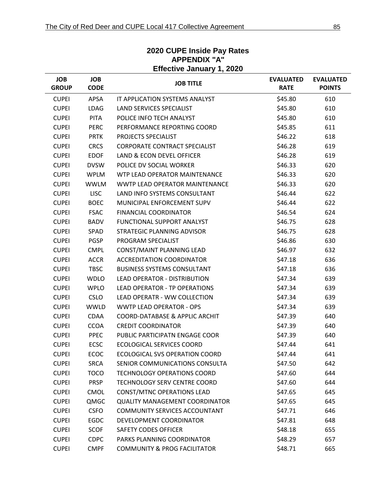| Effective January 1, 2020  |                           |                                         |                                 |                                   |  |
|----------------------------|---------------------------|-----------------------------------------|---------------------------------|-----------------------------------|--|
| <b>JOB</b><br><b>GROUP</b> | <b>JOB</b><br><b>CODE</b> | <b>JOB TITLE</b>                        | <b>EVALUATED</b><br><b>RATE</b> | <b>EVALUATED</b><br><b>POINTS</b> |  |
| <b>CUPEI</b>               | APSA                      | IT APPLICATION SYSTEMS ANALYST          | \$45.80                         | 610                               |  |
| <b>CUPEI</b>               | <b>LDAG</b>               | <b>LAND SERVICES SPECIALIST</b>         | \$45.80                         | 610                               |  |
| <b>CUPEI</b>               | <b>PITA</b>               | POLICE INFO TECH ANALYST                | \$45.80                         | 610                               |  |
| <b>CUPEI</b>               | <b>PERC</b>               | PERFORMANCE REPORTING COORD             | \$45.85                         | 611                               |  |
| <b>CUPEI</b>               | <b>PRTK</b>               | PROJECTS SPECIALIST                     | \$46.22                         | 618                               |  |
| <b>CUPEI</b>               | <b>CRCS</b>               | <b>CORPORATE CONTRACT SPECIALIST</b>    | \$46.28                         | 619                               |  |
| <b>CUPEI</b>               | <b>EDOF</b>               | LAND & ECON DEVEL OFFICER               | \$46.28                         | 619                               |  |
| <b>CUPEI</b>               | <b>DVSW</b>               | POLICE DV SOCIAL WORKER                 | \$46.33                         | 620                               |  |
| <b>CUPEI</b>               | <b>WPLM</b>               | WTP LEAD OPERATOR MAINTENANCE           | \$46.33                         | 620                               |  |
| <b>CUPEI</b>               | <b>WWLM</b>               | WWTP LEAD OPERATOR MAINTENANCE          | \$46.33                         | 620                               |  |
| <b>CUPEI</b>               | <b>LISC</b>               | LAND INFO SYSTEMS CONSULTANT            | \$46.44                         | 622                               |  |
| <b>CUPEI</b>               | <b>BOEC</b>               | MUNICIPAL ENFORCEMENT SUPV              | \$46.44                         | 622                               |  |
| <b>CUPEI</b>               | <b>FSAC</b>               | FINANCIAL COORDINATOR                   | \$46.54                         | 624                               |  |
| <b>CUPEI</b>               | <b>BADV</b>               | <b>FUNCTIONAL SUPPORT ANALYST</b>       | \$46.75                         | 628                               |  |
| <b>CUPEI</b>               | SPAD                      | STRATEGIC PLANNING ADVISOR              | \$46.75                         | 628                               |  |
| <b>CUPEI</b>               | <b>PGSP</b>               | PROGRAM SPECIALIST                      | \$46.86                         | 630                               |  |
| <b>CUPEI</b>               | <b>CMPL</b>               | CONST/MAINT PLANNING LEAD               | \$46.97                         | 632                               |  |
| <b>CUPEI</b>               | <b>ACCR</b>               | <b>ACCREDITATION COORDINATOR</b>        | \$47.18                         | 636                               |  |
| <b>CUPEI</b>               | <b>TBSC</b>               | <b>BUSINESS SYSTEMS CONSULTANT</b>      | \$47.18                         | 636                               |  |
| <b>CUPEI</b>               | <b>WDLO</b>               | <b>LEAD OPERATOR - DISTRIBUTION</b>     | \$47.34                         | 639                               |  |
| <b>CUPEI</b>               | <b>WPLO</b>               | LEAD OPERATOR - TP OPERATIONS           | \$47.34                         | 639                               |  |
| <b>CUPEI</b>               | <b>CSLO</b>               | LEAD OPERATR - WW COLLECTION            | \$47.34                         | 639                               |  |
| <b>CUPEI</b>               | <b>WWLD</b>               | <b>WWTP LEAD OPERATOR - OPS</b>         | \$47.34                         | 639                               |  |
| <b>CUPEI</b>               | <b>CDAA</b>               | COORD-DATABASE & APPLIC ARCHIT          | \$47.39                         | 640                               |  |
| <b>CUPEI</b>               | <b>CCOA</b>               | <b>CREDIT COORDINATOR</b>               | \$47.39                         | 640                               |  |
| <b>CUPEI</b>               | <b>PPEC</b>               | PUBLIC PARTICIPATN ENGAGE COOR          | \$47.39                         | 640                               |  |
| <b>CUPEI</b>               | <b>ECSC</b>               | <b>ECOLOGICAL SERVICES COORD</b>        | \$47.44                         | 641                               |  |
| <b>CUPEI</b>               | <b>ECOC</b>               | ECOLOGICAL SVS OPERATION COORD          | \$47.44                         | 641                               |  |
| <b>CUPEI</b>               | <b>SRCA</b>               | SENIOR COMMUNICATIONS CONSULTA          | \$47.50                         | 642                               |  |
| <b>CUPEI</b>               | <b>TOCO</b>               | <b>TECHNOLOGY OPERATIONS COORD</b>      | \$47.60                         | 644                               |  |
| <b>CUPEI</b>               | <b>PRSP</b>               | TECHNOLOGY SERV CENTRE COORD            | \$47.60                         | 644                               |  |
| <b>CUPEI</b>               | <b>CMOL</b>               | <b>CONST/MTNC OPERATIONS LEAD</b>       | \$47.65                         | 645                               |  |
| <b>CUPEI</b>               | QMGC                      | <b>QUALITY MANAGEMENT COORDINATOR</b>   | \$47.65                         | 645                               |  |
| <b>CUPEI</b>               | <b>CSFO</b>               | COMMUNITY SERVICES ACCOUNTANT           | \$47.71                         | 646                               |  |
| <b>CUPEI</b>               | <b>EGDC</b>               | DEVELOPMENT COORDINATOR                 | \$47.81                         | 648                               |  |
| <b>CUPEI</b>               | <b>SCOF</b>               | <b>SAFETY CODES OFFICER</b>             | \$48.18                         | 655                               |  |
| <b>CUPEI</b>               | <b>CDPC</b>               | PARKS PLANNING COORDINATOR              | \$48.29                         | 657                               |  |
| <b>CUPEI</b>               | <b>CMPF</b>               | <b>COMMUNITY &amp; PROG FACILITATOR</b> | \$48.71                         | 665                               |  |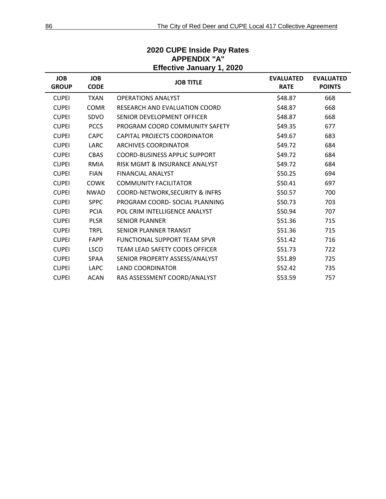| <b>JOB</b><br><b>GROUP</b> | <b>JOB</b><br><b>CODE</b> | <b>JOB TITLE</b>                           | <b>EVALUATED</b><br><b>RATE</b> | <b>EVALUATED</b><br><b>POINTS</b> |
|----------------------------|---------------------------|--------------------------------------------|---------------------------------|-----------------------------------|
| <b>CUPEI</b>               | <b>TXAN</b>               | <b>OPERATIONS ANALYST</b>                  | \$48.87                         | 668                               |
| <b>CUPEI</b>               | <b>COMR</b>               | <b>RESEARCH AND EVALUATION COORD</b>       | \$48.87                         | 668                               |
| <b>CUPEI</b>               | SDVO                      | SENIOR DEVELOPMENT OFFICER                 | \$48.87                         | 668                               |
| <b>CUPEI</b>               | <b>PCCS</b>               | PROGRAM COORD COMMUNITY SAFETY             | \$49.35                         | 677                               |
| <b>CUPEI</b>               | <b>CAPC</b>               | CAPITAL PROJECTS COORDINATOR               | \$49.67                         | 683                               |
| <b>CUPEI</b>               | <b>LARC</b>               | ARCHIVES COORDINATOR                       | \$49.72                         | 684                               |
| <b>CUPEI</b>               | <b>CBAS</b>               | <b>COORD-BUSINESS APPLIC SUPPORT</b>       | \$49.72                         | 684                               |
| <b>CUPEI</b>               | <b>RMIA</b>               | RISK MGMT & INSURANCE ANALYST              | \$49.72                         | 684                               |
| <b>CUPEI</b>               | <b>FIAN</b>               | <b>FINANCIAL ANALYST</b>                   | \$50.25                         | 694                               |
| <b>CUPEI</b>               | <b>COWK</b>               | <b>COMMUNITY FACILITATOR</b>               | \$50.41                         | 697                               |
| <b>CUPEI</b>               | <b>NWAD</b>               | <b>COORD-NETWORK, SECURITY &amp; INFRS</b> | \$50.57                         | 700                               |
| <b>CUPEI</b>               | <b>SPPC</b>               | PROGRAM COORD- SOCIAL PLANNING             | \$50.73                         | 703                               |
| <b>CUPEI</b>               | <b>PCIA</b>               | POL CRIM INTELLIGENCE ANALYST              | \$50.94                         | 707                               |
| <b>CUPEI</b>               | <b>PLSR</b>               | <b>SENIOR PLANNER</b>                      | \$51.36                         | 715                               |
| <b>CUPEI</b>               | <b>TRPL</b>               | SENIOR PLANNER TRANSIT                     | \$51.36                         | 715                               |
| <b>CUPEI</b>               | <b>FAPP</b>               | <b>FUNCTIONAL SUPPORT TEAM SPVR</b>        | \$51.42                         | 716                               |
| <b>CUPEI</b>               | <b>LSCO</b>               | TEAM LEAD SAFETY CODES OFFICER             | \$51.73                         | 722                               |
| <b>CUPEI</b>               | SPAA                      | SENIOR PROPERTY ASSESS/ANALYST             | \$51.89                         | 725                               |
| <b>CUPEI</b>               | <b>LAPC</b>               | <b>LAND COORDINATOR</b>                    | \$52.42                         | 735                               |
| <b>CUPEI</b>               | <b>ACAN</b>               | RAS ASSESSMENT COORD/ANALYST               | \$53.59                         | 757                               |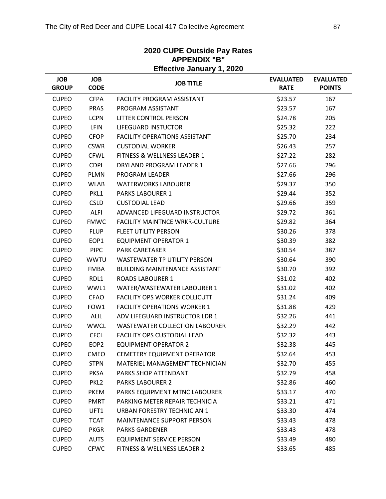|                            | <b>Effective January 1, 2020</b> |                                        |                                 |                                   |  |  |  |
|----------------------------|----------------------------------|----------------------------------------|---------------------------------|-----------------------------------|--|--|--|
| <b>JOB</b><br><b>GROUP</b> | <b>JOB</b><br><b>CODE</b>        | <b>JOB TITLE</b>                       | <b>EVALUATED</b><br><b>RATE</b> | <b>EVALUATED</b><br><b>POINTS</b> |  |  |  |
| <b>CUPEO</b>               | <b>CFPA</b>                      | <b>FACILITY PROGRAM ASSISTANT</b>      | \$23.57                         | 167                               |  |  |  |
| <b>CUPEO</b>               | <b>PRAS</b>                      | PROGRAM ASSISTANT                      | \$23.57                         | 167                               |  |  |  |
| <b>CUPEO</b>               | <b>LCPN</b>                      | LITTER CONTROL PERSON                  | \$24.78                         | 205                               |  |  |  |
| <b>CUPEO</b>               | <b>LFIN</b>                      | <b>LIFEGUARD INSTUCTOR</b>             | \$25.32                         | 222                               |  |  |  |
| <b>CUPEO</b>               | <b>CFOP</b>                      | <b>FACILITY OPERATIONS ASSISTANT</b>   | \$25.70                         | 234                               |  |  |  |
| <b>CUPEO</b>               | <b>CSWR</b>                      | <b>CUSTODIAL WORKER</b>                | \$26.43                         | 257                               |  |  |  |
| <b>CUPEO</b>               | <b>CFWL</b>                      | <b>FITNESS &amp; WELLNESS LEADER 1</b> | \$27.22                         | 282                               |  |  |  |
| <b>CUPEO</b>               | <b>CDPL</b>                      | DRYLAND PROGRAM LEADER 1               | \$27.66                         | 296                               |  |  |  |
| <b>CUPEO</b>               | <b>PLMN</b>                      | PROGRAM LEADER                         | \$27.66                         | 296                               |  |  |  |
| <b>CUPEO</b>               | <b>WLAB</b>                      | <b>WATERWORKS LABOURER</b>             | \$29.37                         | 350                               |  |  |  |
| <b>CUPEO</b>               | PKL1                             | <b>PARKS LABOURER 1</b>                | \$29.44                         | 352                               |  |  |  |
| <b>CUPEO</b>               | <b>CSLD</b>                      | <b>CUSTODIAL LEAD</b>                  | \$29.66                         | 359                               |  |  |  |
| <b>CUPEO</b>               | <b>ALFI</b>                      | ADVANCED LIFEGUARD INSTRUCTOR          | \$29.72                         | 361                               |  |  |  |
| <b>CUPEO</b>               | <b>FMWC</b>                      | <b>FACILITY MAINTNCE WRKR-CULTURE</b>  | \$29.82                         | 364                               |  |  |  |
| <b>CUPEO</b>               | <b>FLUP</b>                      | <b>FLEET UTILITY PERSON</b>            | \$30.26                         | 378                               |  |  |  |
| <b>CUPEO</b>               | EOP1                             | <b>EQUIPMENT OPERATOR 1</b>            | \$30.39                         | 382                               |  |  |  |
| <b>CUPEO</b>               | <b>PIPC</b>                      | <b>PARK CARETAKER</b>                  | \$30.54                         | 387                               |  |  |  |
| <b>CUPEO</b>               | <b>WWTU</b>                      | WASTEWATER TP UTILITY PERSON           | \$30.64                         | 390                               |  |  |  |
| <b>CUPEO</b>               | <b>FMBA</b>                      | <b>BUILDING MAINTENANCE ASSISTANT</b>  | \$30.70                         | 392                               |  |  |  |
| <b>CUPEO</b>               | RDL1                             | <b>ROADS LABOURER 1</b>                | \$31.02                         | 402                               |  |  |  |
| <b>CUPEO</b>               | WWL1                             | WATER/WASTEWATER LABOURER 1            | \$31.02                         | 402                               |  |  |  |
| <b>CUPEO</b>               | <b>CFAO</b>                      | <b>FACILITY OPS WORKER COLLICUTT</b>   | \$31.24                         | 409                               |  |  |  |
| <b>CUPEO</b>               | FOW1                             | <b>FACILITY OPERATIONS WORKER 1</b>    | \$31.88                         | 429                               |  |  |  |
| <b>CUPEO</b>               | <b>ALIL</b>                      | ADV LIFEGUARD INSTRUCTOR LDR 1         | \$32.26                         | 441                               |  |  |  |
| <b>CUPEO</b>               | <b>WWCL</b>                      | <b>WASTEWATER COLLECTION LABOURER</b>  | \$32.29                         | 442                               |  |  |  |
| <b>CUPEO</b>               | <b>CFCL</b>                      | <b>FACILITY OPS CUSTODIAL LEAD</b>     | \$32.32                         | 443                               |  |  |  |
| <b>CUPEO</b>               | EOP <sub>2</sub>                 | <b>EQUIPMENT OPERATOR 2</b>            | \$32.38                         | 445                               |  |  |  |
| <b>CUPEO</b>               | <b>CMEO</b>                      | <b>CEMETERY EQUIPMENT OPERATOR</b>     | \$32.64                         | 453                               |  |  |  |
| <b>CUPEO</b>               | <b>STPN</b>                      | MATERIEL MANAGEMENT TECHNICIAN         | \$32.70                         | 455                               |  |  |  |
| <b>CUPEO</b>               | <b>PKSA</b>                      | PARKS SHOP ATTENDANT                   | \$32.79                         | 458                               |  |  |  |
| <b>CUPEO</b>               | PKL <sub>2</sub>                 | <b>PARKS LABOURER 2</b>                | \$32.86                         | 460                               |  |  |  |
| <b>CUPEO</b>               | <b>PKEM</b>                      | PARKS EQUIPMENT MTNC LABOURER          | \$33.17                         | 470                               |  |  |  |
| <b>CUPEO</b>               | <b>PMRT</b>                      | PARKING METER REPAIR TECHNICIA         | \$33.21                         | 471                               |  |  |  |
| <b>CUPEO</b>               | UFT1                             | URBAN FORESTRY TECHNICIAN 1            | \$33.30                         | 474                               |  |  |  |
| <b>CUPEO</b>               | <b>TCAT</b>                      | MAINTENANCE SUPPORT PERSON             | \$33.43                         | 478                               |  |  |  |
| <b>CUPEO</b>               | <b>PKGR</b>                      | <b>PARKS GARDENER</b>                  | \$33.43                         | 478                               |  |  |  |
| <b>CUPEO</b>               | <b>AUTS</b>                      | <b>EQUIPMENT SERVICE PERSON</b>        | \$33.49                         | 480                               |  |  |  |
| <b>CUPEO</b>               | <b>CFWC</b>                      | FITNESS & WELLNESS LEADER 2            | \$33.65                         | 485                               |  |  |  |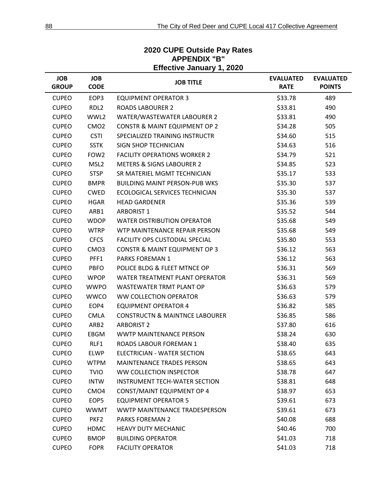#### **Effective January 1, 2020 JOB GROUP JOB CODE JOB TITLE EVALUATED RATE EVALUATED POINTS** CUPEO EOP3 EQUIPMENT OPERATOR 3 633.78 489 CUPEO RDL2 ROADS LABOURER 2 \$33.81 490 CUPEO WWL2 WATER/WASTEWATER LABOURER 2 \$33.81 490 CUPEO CMO2 CONSTR & MAINT EQUIPMENT OP 2 534.28 505 CUPEO CSTI SPECIALIZED TRAINING INSTRUCTR 634.60 515 CUPEO SSTK SIGN SHOP TECHNICIAN 534.63 516 CUPEO FOW2 FACILITY OPERATIONS WORKER 2 534.79 521 CUPEO MSL2 METERS & SIGNS LABOURER 2 534.85 523 CUPEO STSP SR MATERIEL MGMT TECHNICIAN 535.17 533 CUPEO BMPR BUILDING MAINT PERSON-PUB WKS \$35.30 537 CUPEO CWED ECOLOGICAL SERVICES TECHNICIAN 535.30 537 CUPEO HGAR HEAD GARDENER \$35.36 539 CUPEO ARB1 ARBORIST 1 \$35.52 544 CUPEO WDOP WATER DISTRIBUTION OPERATOR \$35.68 549 CUPEO WTRP WTP MAINTENANCE REPAIR PERSON \$35.68 549 CUPEO CFCS FACILITY OPS CUSTODIAL SPECIAL **1998** 553.80 553 CUPEO CMO3 CONSTR & MAINT EQUIPMENT OP 3 \$36.12 563 CUPEO PFF1 PARKS FOREMAN 1 \$36.12 563 CUPEO PBFO POLICE BLDG & FLEET MTNCE OP \$36.31 569 CUPEO WPOP WATER TREATMENT PLANT OPERATOR \$36.31 569 CUPEO WWPO WASTEWATER TRMT PLANT OP \$36.63 579 CUPEO WWCO WW COLLECTION OPERATOR **\$36.63** 579 CUPEO EOP4 EQUIPMENT OPERATOR 4 \$36.82 585 CUPEO CMLA CONSTRUCTN & MAINTNCE LABOURER \$36.85 586 CUPEO ARB2 ARBORIST 2 \$37.80 616 CUPEO EBGM WWTP MAINTENANCE PERSON \$38.24 630 CUPEO RLF1 ROADS LABOUR FOREMAN 1 538.40 635 CUPEO ELWP ELECTRICIAN - WATER SECTION 538.65 643 CUPEO WTPM MAINTENANCE TRADES PERSON \$38.65 643 CUPEO TVIO WW COLLECTION INSPECTOR **1999 120 138.78** 647 CUPEO INTW INSTRUMENT TECH-WATER SECTION \$38.81 648 CUPEO CMO4 CONST/MAINT EQUIPMENT OP 4 538.97 653 CUPEO EOP5 EQUIPMENT OPERATOR 5 639.61 673 CUPEO WWMT WWTP MAINTENANCE TRADESPERSON \$39.61 673 CUPEO PKF2 PARKS FOREMAN 2 \$40.08 \$40.08 688 CUPEO HDMC HEAVY DUTY MECHANIC **12000 12001 12001 13001** \$40.46 700 CUPEO BMOP BUILDING OPERATOR \$41.03 718 CUPEO FOPR FACILITY OPERATOR **1999 120 120 1218** 541.03 718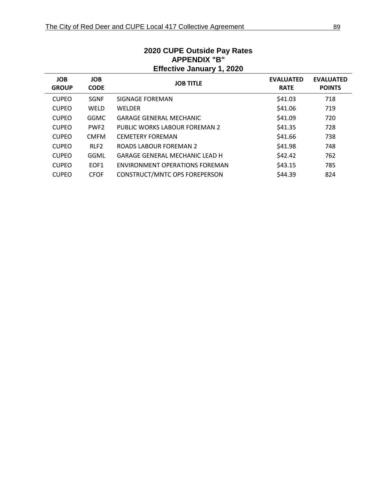| APPENDIX "B"<br><b>Effective January 1, 2020</b> |                           |                                       |                                 |                                   |  |
|--------------------------------------------------|---------------------------|---------------------------------------|---------------------------------|-----------------------------------|--|
| <b>JOB</b><br><b>GROUP</b>                       | <b>JOB</b><br><b>CODE</b> | <b>JOB TITLE</b>                      | <b>EVALUATED</b><br><b>RATE</b> | <b>EVALUATED</b><br><b>POINTS</b> |  |
| <b>CUPEO</b>                                     | <b>SGNF</b>               | SIGNAGE FOREMAN                       | \$41.03                         | 718                               |  |
| <b>CUPEO</b>                                     | <b>WELD</b>               | <b>WELDER</b>                         | \$41.06                         | 719                               |  |
| <b>CUPEO</b>                                     | <b>GGMC</b>               | <b>GARAGE GENERAL MECHANIC</b>        | \$41.09                         | 720                               |  |
| <b>CUPEO</b>                                     | PWF <sub>2</sub>          | PUBLIC WORKS LABOUR FOREMAN 2         | \$41.35                         | 728                               |  |
| <b>CUPEO</b>                                     | <b>CMFM</b>               | <b>CEMETERY FOREMAN</b>               | \$41.66                         | 738                               |  |
| <b>CUPEO</b>                                     | RLF <sub>2</sub>          | ROADS LABOUR FOREMAN 2                | \$41.98                         | 748                               |  |
| <b>CUPEO</b>                                     | GGML                      | <b>GARAGE GENERAL MECHANIC LEAD H</b> | \$42.42                         | 762                               |  |
| <b>CUPEO</b>                                     | EOF <sub>1</sub>          | ENVIRONMENT OPERATIONS FOREMAN        | \$43.15                         | 785                               |  |
| <b>CUPEO</b>                                     | <b>CFOF</b>               | CONSTRUCT/MNTC OPS FOREPERSON         | \$44.39                         | 824                               |  |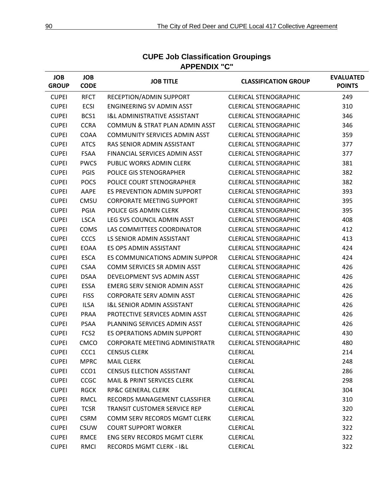| <b>JOB</b><br><b>GROUP</b> | <b>JOB</b><br><b>CODE</b> | <b>JOB TITLE</b>                        | <b>CLASSIFICATION GROUP</b>  | <b>EVALUATED</b><br><b>POINTS</b> |
|----------------------------|---------------------------|-----------------------------------------|------------------------------|-----------------------------------|
| <b>CUPEI</b>               | <b>RFCT</b>               | RECEPTION/ADMIN SUPPORT                 | <b>CLERICAL STENOGRAPHIC</b> | 249                               |
| <b>CUPEI</b>               | <b>ECSI</b>               | ENGINEERING SV ADMIN ASST               | <b>CLERICAL STENOGRAPHIC</b> | 310                               |
| <b>CUPEI</b>               | BCS1                      | <b>I&amp;L ADMINISTRATIVE ASSISTANT</b> | <b>CLERICAL STENOGRAPHIC</b> | 346                               |
| <b>CUPEI</b>               | <b>CCRA</b>               | COMMUN & STRAT PLAN ADMIN ASST          | <b>CLERICAL STENOGRAPHIC</b> | 346                               |
| <b>CUPEI</b>               | COAA                      | <b>COMMUNITY SERVICES ADMIN ASST</b>    | <b>CLERICAL STENOGRAPHIC</b> | 359                               |
| <b>CUPEI</b>               | <b>ATCS</b>               | RAS SENIOR ADMIN ASSISTANT              | <b>CLERICAL STENOGRAPHIC</b> | 377                               |
| <b>CUPEI</b>               | <b>FSAA</b>               | FINANCIAL SERVICES ADMIN ASST           | <b>CLERICAL STENOGRAPHIC</b> | 377                               |
| <b>CUPEI</b>               | <b>PWCS</b>               | PUBLIC WORKS ADMIN CLERK                | <b>CLERICAL STENOGRAPHIC</b> | 381                               |
| <b>CUPEI</b>               | <b>PGIS</b>               | POLICE GIS STENOGRAPHER                 | <b>CLERICAL STENOGRAPHIC</b> | 382                               |
| <b>CUPEI</b>               | <b>POCS</b>               | POLICE COURT STENOGRAPHER               | <b>CLERICAL STENOGRAPHIC</b> | 382                               |
| <b>CUPEI</b>               | AAPE                      | ES PREVENTION ADMIN SUPPORT             | <b>CLERICAL STENOGRAPHIC</b> | 393                               |
| <b>CUPEI</b>               | CMSU                      | <b>CORPORATE MEETING SUPPORT</b>        | <b>CLERICAL STENOGRAPHIC</b> | 395                               |
| <b>CUPEI</b>               | PGIA                      | POLICE GIS ADMIN CLERK                  | <b>CLERICAL STENOGRAPHIC</b> | 395                               |
| <b>CUPEI</b>               | <b>LSCA</b>               | LEG SVS COUNCIL ADMIN ASST              | <b>CLERICAL STENOGRAPHIC</b> | 408                               |
| <b>CUPEI</b>               | <b>COMS</b>               | LAS COMMITTEES COORDINATOR              | <b>CLERICAL STENOGRAPHIC</b> | 412                               |
| <b>CUPEI</b>               | <b>CCCS</b>               | LS SENIOR ADMIN ASSISTANT               | <b>CLERICAL STENOGRAPHIC</b> | 413                               |
| <b>CUPEI</b>               | EOAA                      | ES OPS ADMIN ASSISTANT                  | <b>CLERICAL STENOGRAPHIC</b> | 424                               |
| <b>CUPEI</b>               | <b>ESCA</b>               | ES COMMUNICATIONS ADMIN SUPPOR          | <b>CLERICAL STENOGRAPHIC</b> | 424                               |
| <b>CUPEI</b>               | <b>CSAA</b>               | COMM SERVICES SR ADMIN ASST             | <b>CLERICAL STENOGRAPHIC</b> | 426                               |
| <b>CUPEI</b>               | <b>DSAA</b>               | DEVELOPMENT SVS ADMIN ASST              | <b>CLERICAL STENOGRAPHIC</b> | 426                               |
| <b>CUPEI</b>               | <b>ESSA</b>               | EMERG SERV SENIOR ADMIN ASST            | <b>CLERICAL STENOGRAPHIC</b> | 426                               |
| <b>CUPEI</b>               | <b>FISS</b>               | <b>CORPORATE SERV ADMIN ASST</b>        | <b>CLERICAL STENOGRAPHIC</b> | 426                               |
| <b>CUPEI</b>               | <b>ILSA</b>               | <b>I&amp;L SENIOR ADMIN ASSISTANT</b>   | <b>CLERICAL STENOGRAPHIC</b> | 426                               |
| <b>CUPEI</b>               | PRAA                      | PROTECTIVE SERVICES ADMIN ASST          | <b>CLERICAL STENOGRAPHIC</b> | 426                               |
| <b>CUPEI</b>               | <b>PSAA</b>               | PLANNING SERVICES ADMIN ASST            | <b>CLERICAL STENOGRAPHIC</b> | 426                               |
| <b>CUPEI</b>               | FCS <sub>2</sub>          | ES OPERATIONS ADMIN SUPPORT             | <b>CLERICAL STENOGRAPHIC</b> | 430                               |
| <b>CUPEI</b>               | <b>CMCO</b>               | <b>CORPORATE MEETING ADMINISTRATR</b>   | <b>CLERICAL STENOGRAPHIC</b> | 480                               |
| <b>CUPEI</b>               | CCC1                      | <b>CENSUS CLERK</b>                     | CLERICAL                     | 214                               |
| <b>CUPEI</b>               | <b>MPRC</b>               | <b>MAIL CLERK</b>                       | <b>CLERICAL</b>              | 248                               |
| <b>CUPEI</b>               | CCO <sub>1</sub>          | <b>CENSUS ELECTION ASSISTANT</b>        | <b>CLERICAL</b>              | 286                               |
| <b>CUPEI</b>               | <b>CCGC</b>               | <b>MAIL &amp; PRINT SERVICES CLERK</b>  | <b>CLERICAL</b>              | 298                               |
| <b>CUPEI</b>               | <b>RGCK</b>               | <b>RP&amp;C GENERAL CLERK</b>           | <b>CLERICAL</b>              | 304                               |
| <b>CUPEI</b>               | <b>RMCL</b>               | RECORDS MANAGEMENT CLASSIFIER           | <b>CLERICAL</b>              | 310                               |
| <b>CUPEI</b>               | <b>TCSR</b>               | <b>TRANSIT CUSTOMER SERVICE REP</b>     | <b>CLERICAL</b>              | 320                               |
| <b>CUPEI</b>               | <b>CSRM</b>               | <b>COMM SERV RECORDS MGMT CLERK</b>     | <b>CLERICAL</b>              | 322                               |
| <b>CUPEI</b>               | <b>CSUW</b>               | <b>COURT SUPPORT WORKER</b>             | <b>CLERICAL</b>              | 322                               |
| <b>CUPEI</b>               | <b>RMCE</b>               | <b>ENG SERV RECORDS MGMT CLERK</b>      | <b>CLERICAL</b>              | 322                               |
| <b>CUPEI</b>               | <b>RMCI</b>               | RECORDS MGMT CLERK - I&L                | <b>CLERICAL</b>              | 322                               |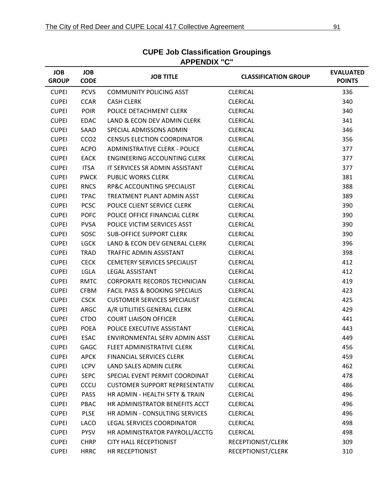| <b>JOB</b><br><b>GROUP</b> | <b>JOB</b><br><b>CODE</b> | <b>JOB TITLE</b>                          | <b>CLASSIFICATION GROUP</b> | <b>EVALUATED</b><br><b>POINTS</b> |
|----------------------------|---------------------------|-------------------------------------------|-----------------------------|-----------------------------------|
| <b>CUPEI</b>               | <b>PCVS</b>               | <b>COMMUNITY POLICING ASST</b>            | <b>CLERICAL</b>             | 336                               |
| <b>CUPEI</b>               | <b>CCAR</b>               | <b>CASH CLERK</b>                         | <b>CLERICAL</b>             | 340                               |
| <b>CUPEI</b>               | <b>POIR</b>               | POLICE DETACHMENT CLERK                   | <b>CLERICAL</b>             | 340                               |
| <b>CUPEI</b>               | <b>EDAC</b>               | LAND & ECON DEV ADMIN CLERK               | <b>CLERICAL</b>             | 341                               |
| <b>CUPEI</b>               | SAAD                      | SPECIAL ADMISSONS ADMIN                   | <b>CLERICAL</b>             | 346                               |
| <b>CUPEI</b>               | CCO <sub>2</sub>          | <b>CENSUS ELECTION COORDINATOR</b>        | <b>CLERICAL</b>             | 356                               |
| <b>CUPEI</b>               | <b>ACPO</b>               | <b>ADMINISTRATIVE CLERK - POLICE</b>      | <b>CLERICAL</b>             | 377                               |
| <b>CUPEI</b>               | <b>EACK</b>               | <b>ENGINEERING ACCOUNTING CLERK</b>       | <b>CLERICAL</b>             | 377                               |
| <b>CUPEI</b>               | <b>ITSA</b>               | IT SERVICES SR ADMIN ASSISTANT            | <b>CLERICAL</b>             | 377                               |
| <b>CUPEI</b>               | <b>PWCK</b>               | <b>PUBLIC WORKS CLERK</b>                 | <b>CLERICAL</b>             | 381                               |
| <b>CUPEI</b>               | <b>RNCS</b>               | RP&C ACCOUNTING SPECIALIST                | <b>CLERICAL</b>             | 388                               |
| <b>CUPEI</b>               | <b>TPAC</b>               | TREATMENT PLANT ADMIN ASST                | <b>CLERICAL</b>             | 389                               |
| <b>CUPEI</b>               | <b>PCSC</b>               | POLICE CLIENT SERVICE CLERK               | <b>CLERICAL</b>             | 390                               |
| <b>CUPEI</b>               | <b>POFC</b>               | POLICE OFFICE FINANCIAL CLERK             | <b>CLERICAL</b>             | 390                               |
| <b>CUPEI</b>               | <b>PVSA</b>               | POLICE VICTIM SERVICES ASST               | <b>CLERICAL</b>             | 390                               |
| <b>CUPEI</b>               | SOSC                      | <b>SUB-OFFICE SUPPORT CLERK</b>           | <b>CLERICAL</b>             | 390                               |
| <b>CUPEI</b>               | <b>LGCK</b>               | LAND & ECON DEV GENERAL CLERK             | <b>CLERICAL</b>             | 396                               |
| <b>CUPEI</b>               | <b>TRAD</b>               | TRAFFIC ADMIN ASSISTANT                   | <b>CLERICAL</b>             | 398                               |
| <b>CUPEI</b>               | <b>CECK</b>               | <b>CEMETERY SERVICES SPECIALIST</b>       | <b>CLERICAL</b>             | 412                               |
| <b>CUPEI</b>               | <b>LGLA</b>               | <b>LEGAL ASSISTANT</b>                    | <b>CLERICAL</b>             | 412                               |
| <b>CUPEI</b>               | <b>RMTC</b>               | <b>CORPORATE RECORDS TECHNICIAN</b>       | <b>CLERICAL</b>             | 419                               |
| <b>CUPEI</b>               | <b>CFBM</b>               | <b>FACIL PASS &amp; BOOKING SPECIALIS</b> | <b>CLERICAL</b>             | 423                               |
| <b>CUPEI</b>               | <b>CSCK</b>               | <b>CUSTOMER SERVICES SPECIALIST</b>       | <b>CLERICAL</b>             | 425                               |
| <b>CUPEI</b>               | ARGC                      | A/R UTILITIES GENERAL CLERK               | <b>CLERICAL</b>             | 429                               |
| <b>CUPEI</b>               | <b>CTDO</b>               | <b>COURT LIAISON OFFICER</b>              | <b>CLERICAL</b>             | 441                               |
| <b>CUPEI</b>               | <b>POEA</b>               | POLICE EXECUTIVE ASSISTANT                | <b>CLERICAL</b>             | 443                               |
| <b>CUPEI</b>               | <b>ESAC</b>               | ENVIRONMENTAL SERV ADMIN ASST             | <b>CLERICAL</b>             | 449                               |
| <b>CUPEI</b>               | <b>GAGC</b>               | FLEET ADMINISTRATIVE CLERK                | <b>CLERICAL</b>             | 456                               |
| <b>CUPEI</b>               | <b>APCK</b>               | <b>FINANCIAL SERVICES CLERK</b>           | <b>CLERICAL</b>             | 459                               |
| <b>CUPEI</b>               | <b>LCPV</b>               | LAND SALES ADMIN CLERK                    | <b>CLERICAL</b>             | 462                               |
| <b>CUPEI</b>               | <b>SEPC</b>               | SPECIAL EVENT PERMIT COORDINAT            | <b>CLERICAL</b>             | 478                               |
| <b>CUPEI</b>               | CCCU                      | <b>CUSTOMER SUPPORT REPRESENTATIV</b>     | <b>CLERICAL</b>             | 486                               |
| <b>CUPEI</b>               | <b>PASS</b>               | HR ADMIN - HEALTH SFTY & TRAIN            | <b>CLERICAL</b>             | 496                               |
| <b>CUPEI</b>               | PBAC                      | HR ADMINISTRATOR BENEFITS ACCT            | <b>CLERICAL</b>             | 496                               |
| <b>CUPEI</b>               | <b>PLSE</b>               | HR ADMIN - CONSULTING SERVICES            | <b>CLERICAL</b>             | 496                               |
| <b>CUPEI</b>               | LACO                      | LEGAL SERVICES COORDINATOR                | <b>CLERICAL</b>             | 498                               |
| <b>CUPEI</b>               | <b>PYSV</b>               | HR ADMINISTRATOR PAYROLL/ACCTG            | <b>CLERICAL</b>             | 498                               |
| <b>CUPEI</b>               | <b>CHRP</b>               | <b>CITY HALL RECEPTIONIST</b>             | RECEPTIONIST/CLERK          | 309                               |
| <b>CUPEI</b>               | <b>HRRC</b>               | HR RECEPTIONIST                           | RECEPTIONIST/CLERK          | 310                               |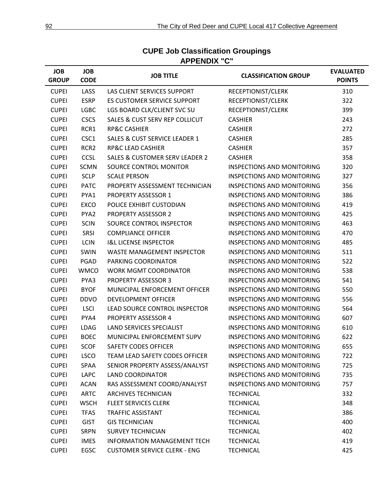| <b>JOB</b><br><b>GROUP</b> | <b>JOB</b><br><b>CODE</b> | <b>JOB TITLE</b>                          | <b>CLASSIFICATION GROUP</b>       | <b>EVALUATED</b><br><b>POINTS</b> |
|----------------------------|---------------------------|-------------------------------------------|-----------------------------------|-----------------------------------|
| <b>CUPEI</b>               | LASS                      | LAS CLIENT SERVICES SUPPORT               | RECEPTIONIST/CLERK                | 310                               |
| <b>CUPEI</b>               | <b>ESRP</b>               | ES CUSTOMER SERVICE SUPPORT               | RECEPTIONIST/CLERK                | 322                               |
| <b>CUPEI</b>               | <b>LGBC</b>               | LGS BOARD CLK/CLIENT SVC SU               | RECEPTIONIST/CLERK                | 399                               |
| <b>CUPEI</b>               | <b>CSCS</b>               | <b>SALES &amp; CUST SERV REP COLLICUT</b> | <b>CASHIER</b>                    | 243                               |
| <b>CUPEI</b>               | RCR1                      | <b>RP&amp;C CASHIER</b>                   | <b>CASHIER</b>                    | 272                               |
| <b>CUPEI</b>               | CSC1                      | <b>SALES &amp; CUST SERVICE LEADER 1</b>  | <b>CASHIER</b>                    | 285                               |
| <b>CUPEI</b>               | RCR <sub>2</sub>          | <b>RP&amp;C LEAD CASHIER</b>              | <b>CASHIER</b>                    | 357                               |
| <b>CUPEI</b>               | <b>CCSL</b>               | <b>SALES &amp; CUSTOMER SERV LEADER 2</b> | <b>CASHIER</b>                    | 358                               |
| <b>CUPEI</b>               | <b>SCMN</b>               | SOURCE CONTROL MONITOR                    | <b>INSPECTIONS AND MONITORING</b> | 320                               |
| <b>CUPEI</b>               | <b>SCLP</b>               | <b>SCALE PERSON</b>                       | <b>INSPECTIONS AND MONITORING</b> | 327                               |
| <b>CUPEI</b>               | <b>PATC</b>               | PROPERTY ASSESSMENT TECHNICIAN            | <b>INSPECTIONS AND MONITORING</b> | 356                               |
| <b>CUPEI</b>               | PYA1                      | <b>PROPERTY ASSESSOR 1</b>                | <b>INSPECTIONS AND MONITORING</b> | 386                               |
| <b>CUPEI</b>               | <b>EXCO</b>               | POLICE EXHIBIT CUSTODIAN                  | <b>INSPECTIONS AND MONITORING</b> | 419                               |
| <b>CUPEI</b>               | PYA2                      | <b>PROPERTY ASSESSOR 2</b>                | <b>INSPECTIONS AND MONITORING</b> | 425                               |
| <b>CUPEI</b>               | <b>SCIN</b>               | SOURCE CONTROL INSPECTOR                  | <b>INSPECTIONS AND MONITORING</b> | 463                               |
| <b>CUPEI</b>               | <b>SRSI</b>               | <b>COMPLIANCE OFFICER</b>                 | <b>INSPECTIONS AND MONITORING</b> | 470                               |
| <b>CUPEI</b>               | <b>LCIN</b>               | <b>I&amp;L LICENSE INSPECTOR</b>          | <b>INSPECTIONS AND MONITORING</b> | 485                               |
| <b>CUPEI</b>               | <b>SWIN</b>               | <b>WASTE MANAGEMENT INSPECTOR</b>         | <b>INSPECTIONS AND MONITORING</b> | 511                               |
| <b>CUPEI</b>               | PGAD                      | PARKING COORDINATOR                       | <b>INSPECTIONS AND MONITORING</b> | 522                               |
| <b>CUPEI</b>               | <b>WMCO</b>               | <b>WORK MGMT COORDINATOR</b>              | <b>INSPECTIONS AND MONITORING</b> | 538                               |
| <b>CUPEI</b>               | PYA3                      | <b>PROPERTY ASSESSOR 3</b>                | <b>INSPECTIONS AND MONITORING</b> | 541                               |
| <b>CUPEI</b>               | <b>BYOF</b>               | MUNICIPAL ENFORCEMENT OFFICER             | <b>INSPECTIONS AND MONITORING</b> | 550                               |
| <b>CUPEI</b>               | <b>DDVO</b>               | <b>DEVELOPMENT OFFICER</b>                | <b>INSPECTIONS AND MONITORING</b> | 556                               |
| <b>CUPEI</b>               | <b>LSCI</b>               | LEAD SOURCE CONTROL INSPECTOR             | <b>INSPECTIONS AND MONITORING</b> | 564                               |
| <b>CUPEI</b>               | PYA4                      | <b>PROPERTY ASSESSOR 4</b>                | <b>INSPECTIONS AND MONITORING</b> | 607                               |
| <b>CUPEI</b>               | <b>LDAG</b>               | <b>LAND SERVICES SPECIALIST</b>           | <b>INSPECTIONS AND MONITORING</b> | 610                               |
| <b>CUPEI</b>               | <b>BOEC</b>               | MUNICIPAL ENFORCEMENT SUPV                | <b>INSPECTIONS AND MONITORING</b> | 622                               |
| <b>CUPEI</b>               | <b>SCOF</b>               | <b>SAFETY CODES OFFICER</b>               | <b>INSPECTIONS AND MONITORING</b> | 655                               |
| <b>CUPEI</b>               | <b>LSCO</b>               | TEAM LEAD SAFETY CODES OFFICER            | <b>INSPECTIONS AND MONITORING</b> | 722                               |
| <b>CUPEI</b>               | SPAA                      | SENIOR PROPERTY ASSESS/ANALYST            | <b>INSPECTIONS AND MONITORING</b> | 725                               |
| <b>CUPEI</b>               | LAPC                      | <b>LAND COORDINATOR</b>                   | <b>INSPECTIONS AND MONITORING</b> | 735                               |
| <b>CUPEI</b>               | <b>ACAN</b>               | RAS ASSESSMENT COORD/ANALYST              | <b>INSPECTIONS AND MONITORING</b> | 757                               |
| <b>CUPEI</b>               | <b>ARTC</b>               | <b>ARCHIVES TECHNICIAN</b>                | <b>TECHNICAL</b>                  | 332                               |
| <b>CUPEI</b>               | <b>WSCH</b>               | <b>FLEET SERVICES CLERK</b>               | <b>TECHNICAL</b>                  | 348                               |
| <b>CUPEI</b>               | <b>TFAS</b>               | <b>TRAFFIC ASSISTANT</b>                  | <b>TECHNICAL</b>                  | 386                               |
| <b>CUPEI</b>               | <b>GIST</b>               | <b>GIS TECHNICIAN</b>                     | <b>TECHNICAL</b>                  | 400                               |
| <b>CUPEI</b>               | <b>SRPN</b>               | <b>SURVEY TECHNICIAN</b>                  | <b>TECHNICAL</b>                  | 402                               |
| <b>CUPEI</b>               | <b>IMES</b>               | INFORMATION MANAGEMENT TECH               | <b>TECHNICAL</b>                  | 419                               |
| <b>CUPEI</b>               | EGSC                      | <b>CUSTOMER SERVICE CLERK - ENG</b>       | <b>TECHNICAL</b>                  | 425                               |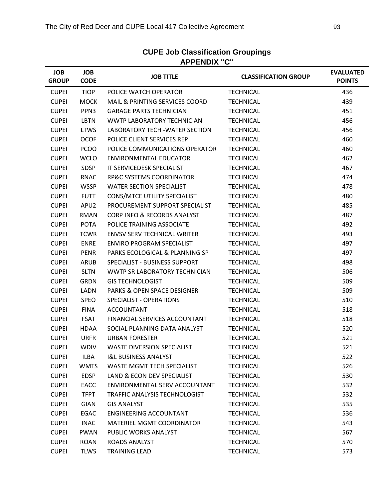| <b>JOB</b><br><b>GROUP</b> | <b>JOB</b><br><b>CODE</b> | <b>JOB TITLE</b>                       | <b>CLASSIFICATION GROUP</b> | <b>EVALUATED</b><br><b>POINTS</b> |
|----------------------------|---------------------------|----------------------------------------|-----------------------------|-----------------------------------|
| <b>CUPEI</b>               | <b>TIOP</b>               | POLICE WATCH OPERATOR                  | <b>TECHNICAL</b>            | 436                               |
| <b>CUPEI</b>               | <b>MOCK</b>               | MAIL & PRINTING SERVICES COORD         | <b>TECHNICAL</b>            | 439                               |
| <b>CUPEI</b>               | PPN3                      | <b>GARAGE PARTS TECHNICIAN</b>         | <b>TECHNICAL</b>            | 451                               |
| <b>CUPEI</b>               | LBTN                      | WWTP LABORATORY TECHNICIAN             | <b>TECHNICAL</b>            | 456                               |
| <b>CUPEI</b>               | <b>LTWS</b>               | LABORATORY TECH - WATER SECTION        | <b>TECHNICAL</b>            | 456                               |
| <b>CUPEI</b>               | <b>OCOF</b>               | POLICE CLIENT SERVICES REP             | <b>TECHNICAL</b>            | 460                               |
| <b>CUPEI</b>               | <b>PCOO</b>               | POLICE COMMUNICATIONS OPERATOR         | <b>TECHNICAL</b>            | 460                               |
| <b>CUPEI</b>               | <b>WCLO</b>               | ENVIRONMENTAL EDUCATOR                 | <b>TECHNICAL</b>            | 462                               |
| <b>CUPEI</b>               | <b>SDSP</b>               | IT SERVICEDESK SPECIALIST              | <b>TECHNICAL</b>            | 467                               |
| <b>CUPEI</b>               | <b>RNAC</b>               | RP&C SYSTEMS COORDINATOR               | <b>TECHNICAL</b>            | 474                               |
| <b>CUPEI</b>               | <b>WSSP</b>               | <b>WATER SECTION SPECIALIST</b>        | <b>TECHNICAL</b>            | 478                               |
| <b>CUPEI</b>               | <b>FUTT</b>               | CONS/MTCE UTILITY SPECIALIST           | <b>TECHNICAL</b>            | 480                               |
| <b>CUPEI</b>               | APU2                      | PROCUREMENT SUPPORT SPECIALIST         | <b>TECHNICAL</b>            | 485                               |
| <b>CUPEI</b>               | <b>RMAN</b>               | <b>CORP INFO &amp; RECORDS ANALYST</b> | <b>TECHNICAL</b>            | 487                               |
| <b>CUPEI</b>               | <b>POTA</b>               | POLICE TRAINING ASSOCIATE              | <b>TECHNICAL</b>            | 492                               |
| <b>CUPEI</b>               | <b>TCWR</b>               | <b>ENVSV SERV TECHNICAL WRITER</b>     | <b>TECHNICAL</b>            | 493                               |
| <b>CUPEI</b>               | <b>ENRE</b>               | <b>ENVIRO PROGRAM SPECIALIST</b>       | <b>TECHNICAL</b>            | 497                               |
| <b>CUPEI</b>               | <b>PENR</b>               | PARKS ECOLOGICAL & PLANNING SP         | <b>TECHNICAL</b>            | 497                               |
| <b>CUPEI</b>               | ARUB                      | SPECIALIST - BUSINESS SUPPORT          | <b>TECHNICAL</b>            | 498                               |
| <b>CUPEI</b>               | <b>SLTN</b>               | WWTP SR LABORATORY TECHNICIAN          | <b>TECHNICAL</b>            | 506                               |
| <b>CUPEI</b>               | <b>GRDN</b>               | <b>GIS TECHNOLOGIST</b>                | <b>TECHNICAL</b>            | 509                               |
| <b>CUPEI</b>               | LADN                      | <b>PARKS &amp; OPEN SPACE DESIGNER</b> | <b>TECHNICAL</b>            | 509                               |
| <b>CUPEI</b>               | <b>SPEO</b>               | SPECIALIST - OPERATIONS                | <b>TECHNICAL</b>            | 510                               |
| <b>CUPEI</b>               | <b>FINA</b>               | ACCOUNTANT                             | <b>TECHNICAL</b>            | 518                               |
| <b>CUPEI</b>               | <b>FSAT</b>               | <b>FINANCIAL SERVICES ACCOUNTANT</b>   | <b>TECHNICAL</b>            | 518                               |
| <b>CUPEI</b>               | HDAA                      | SOCIAL PLANNING DATA ANALYST           | <b>TECHNICAL</b>            | 520                               |
| <b>CUPEI</b>               | <b>URFR</b>               | <b>URBAN FORESTER</b>                  | <b>TECHNICAL</b>            | 521                               |
| <b>CUPEI</b>               | <b>WDIV</b>               | <b>WASTE DIVERSION SPECIALIST</b>      | <b>TECHNICAL</b>            | 521                               |
| <b>CUPEI</b>               | ILBA                      | <b>I&amp;L BUSINESS ANALYST</b>        | <b>TECHNICAL</b>            | 522                               |
| <b>CUPEI</b>               | <b>WMTS</b>               | WASTE MGMT TECH SPECIALIST             | <b>TECHNICAL</b>            | 526                               |
| <b>CUPEI</b>               | <b>EDSP</b>               | LAND & ECON DEV SPECIALIST             | <b>TECHNICAL</b>            | 530                               |
| <b>CUPEI</b>               | EACC                      | ENVIRONMENTAL SERV ACCOUNTANT          | <b>TECHNICAL</b>            | 532                               |
| <b>CUPEI</b>               | <b>TFPT</b>               | TRAFFIC ANALYSIS TECHNOLOGIST          | <b>TECHNICAL</b>            | 532                               |
| <b>CUPEI</b>               | <b>GIAN</b>               | <b>GIS ANALYST</b>                     | <b>TECHNICAL</b>            | 535                               |
| <b>CUPEI</b>               | EGAC                      | <b>ENGINEERING ACCOUNTANT</b>          | <b>TECHNICAL</b>            | 536                               |
| <b>CUPEI</b>               | <b>INAC</b>               | <b>MATERIEL MGMT COORDINATOR</b>       | <b>TECHNICAL</b>            | 543                               |
| <b>CUPEI</b>               | <b>PWAN</b>               | PUBLIC WORKS ANALYST                   | <b>TECHNICAL</b>            | 567                               |
| <b>CUPEI</b>               | <b>ROAN</b>               | ROADS ANALYST                          | <b>TECHNICAL</b>            | 570                               |
| <b>CUPEI</b>               | <b>TLWS</b>               | <b>TRAINING LEAD</b>                   | <b>TECHNICAL</b>            | 573                               |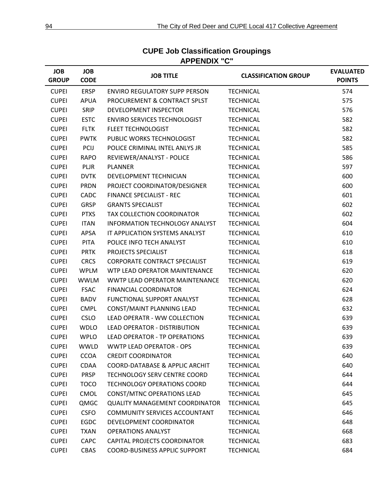| <b>JOB</b><br><b>GROUP</b> | <b>JOB</b><br><b>CODE</b> | <b>JOB TITLE</b>                      | <b>CLASSIFICATION GROUP</b> | <b>EVALUATED</b><br><b>POINTS</b> |
|----------------------------|---------------------------|---------------------------------------|-----------------------------|-----------------------------------|
| <b>CUPEI</b>               | <b>ERSP</b>               | <b>ENVIRO REGULATORY SUPP PERSON</b>  | <b>TECHNICAL</b>            | 574                               |
| <b>CUPEI</b>               | <b>APUA</b>               | PROCUREMENT & CONTRACT SPLST          | <b>TECHNICAL</b>            | 575                               |
| <b>CUPEI</b>               | <b>SRIP</b>               | DEVELOPMENT INSPECTOR                 | <b>TECHNICAL</b>            | 576                               |
| <b>CUPEI</b>               | <b>ESTC</b>               | <b>ENVIRO SERVICES TECHNOLOGIST</b>   | <b>TECHNICAL</b>            | 582                               |
| <b>CUPEI</b>               | <b>FLTK</b>               | <b>FLEET TECHNOLOGIST</b>             | <b>TECHNICAL</b>            | 582                               |
| <b>CUPEI</b>               | <b>PWTK</b>               | PUBLIC WORKS TECHNOLOGIST             | <b>TECHNICAL</b>            | 582                               |
| <b>CUPEI</b>               | <b>PCIJ</b>               | POLICE CRIMINAL INTEL ANLYS JR        | <b>TECHNICAL</b>            | 585                               |
| <b>CUPEI</b>               | <b>RAPO</b>               | REVIEWER/ANALYST - POLICE             | <b>TECHNICAL</b>            | 586                               |
| <b>CUPEI</b>               | <b>PLJR</b>               | <b>PLANNER</b>                        | <b>TECHNICAL</b>            | 597                               |
| <b>CUPEI</b>               | <b>DVTK</b>               | DEVELOPMENT TECHNICIAN                | <b>TECHNICAL</b>            | 600                               |
| <b>CUPEI</b>               | <b>PRDN</b>               | PROJECT COORDINATOR/DESIGNER          | <b>TECHNICAL</b>            | 600                               |
| <b>CUPEI</b>               | CADC                      | <b>FINANCE SPECIALIST - REC</b>       | <b>TECHNICAL</b>            | 601                               |
| <b>CUPEI</b>               | <b>GRSP</b>               | <b>GRANTS SPECIALIST</b>              | <b>TECHNICAL</b>            | 602                               |
| <b>CUPEI</b>               | <b>PTXS</b>               | <b>TAX COLLECTION COORDINATOR</b>     | <b>TECHNICAL</b>            | 602                               |
| <b>CUPEI</b>               | <b>ITAN</b>               | INFORMATION TECHNOLOGY ANALYST        | <b>TECHNICAL</b>            | 604                               |
| <b>CUPEI</b>               | <b>APSA</b>               | IT APPLICATION SYSTEMS ANALYST        | <b>TECHNICAL</b>            | 610                               |
| <b>CUPEI</b>               | <b>PITA</b>               | POLICE INFO TECH ANALYST              | <b>TECHNICAL</b>            | 610                               |
| <b>CUPEI</b>               | <b>PRTK</b>               | PROJECTS SPECIALIST                   | <b>TECHNICAL</b>            | 618                               |
| <b>CUPEI</b>               | <b>CRCS</b>               | CORPORATE CONTRACT SPECIALIST         | <b>TECHNICAL</b>            | 619                               |
| <b>CUPEI</b>               | <b>WPLM</b>               | WTP LEAD OPERATOR MAINTENANCE         | <b>TECHNICAL</b>            | 620                               |
| <b>CUPEI</b>               | <b>WWLM</b>               | WWTP LEAD OPERATOR MAINTENANCE        | <b>TECHNICAL</b>            | 620                               |
| <b>CUPEI</b>               | <b>FSAC</b>               | <b>FINANCIAL COORDINATOR</b>          | <b>TECHNICAL</b>            | 624                               |
| <b>CUPEI</b>               | <b>BADV</b>               | FUNCTIONAL SUPPORT ANALYST            | <b>TECHNICAL</b>            | 628                               |
| <b>CUPEI</b>               | <b>CMPL</b>               | CONST/MAINT PLANNING LEAD             | <b>TECHNICAL</b>            | 632                               |
| <b>CUPEI</b>               | <b>CSLO</b>               | LEAD OPERATR - WW COLLECTION          | <b>TECHNICAL</b>            | 639                               |
| <b>CUPEI</b>               | <b>WDLO</b>               | LEAD OPERATOR - DISTRIBUTION          | <b>TECHNICAL</b>            | 639                               |
| <b>CUPEI</b>               | <b>WPLO</b>               | LEAD OPERATOR - TP OPERATIONS         | <b>TECHNICAL</b>            | 639                               |
| <b>CUPEI</b>               | <b>WWLD</b>               | <b>WWTP LEAD OPERATOR - OPS</b>       | <b>TECHNICAL</b>            | 639                               |
| <b>CUPEI</b>               | <b>CCOA</b>               | <b>CREDIT COORDINATOR</b>             | <b>TECHNICAL</b>            | 640                               |
| <b>CUPEI</b>               | CDAA                      | COORD-DATABASE & APPLIC ARCHIT        | <b>TECHNICAL</b>            | 640                               |
| <b>CUPEI</b>               | <b>PRSP</b>               | TECHNOLOGY SERV CENTRE COORD          | <b>TECHNICAL</b>            | 644                               |
| <b>CUPEI</b>               | <b>TOCO</b>               | <b>TECHNOLOGY OPERATIONS COORD</b>    | <b>TECHNICAL</b>            | 644                               |
| <b>CUPEI</b>               | CMOL                      | <b>CONST/MTNC OPERATIONS LEAD</b>     | <b>TECHNICAL</b>            | 645                               |
| <b>CUPEI</b>               | QMGC                      | <b>QUALITY MANAGEMENT COORDINATOR</b> | <b>TECHNICAL</b>            | 645                               |
| <b>CUPEI</b>               | <b>CSFO</b>               | <b>COMMUNITY SERVICES ACCOUNTANT</b>  | <b>TECHNICAL</b>            | 646                               |
| <b>CUPEI</b>               | EGDC                      | DEVELOPMENT COORDINATOR               | <b>TECHNICAL</b>            | 648                               |
| <b>CUPEI</b>               | <b>TXAN</b>               | <b>OPERATIONS ANALYST</b>             | <b>TECHNICAL</b>            | 668                               |
| <b>CUPEI</b>               | <b>CAPC</b>               | CAPITAL PROJECTS COORDINATOR          | <b>TECHNICAL</b>            | 683                               |
| <b>CUPEI</b>               | CBAS                      | COORD-BUSINESS APPLIC SUPPORT         | <b>TECHNICAL</b>            | 684                               |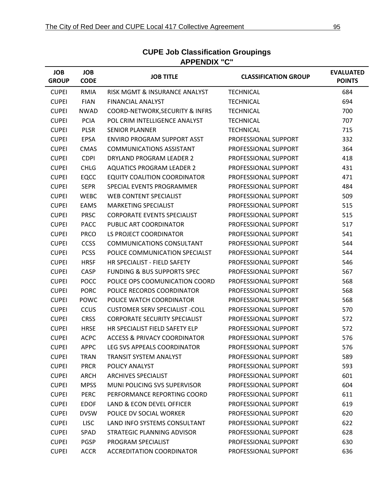| <b>JOB</b><br><b>GROUP</b> | <b>JOB</b><br><b>CODE</b> | <b>JOB TITLE</b>                           | <b>CLASSIFICATION GROUP</b> | <b>EVALUATED</b><br><b>POINTS</b> |
|----------------------------|---------------------------|--------------------------------------------|-----------------------------|-----------------------------------|
| <b>CUPEI</b>               | <b>RMIA</b>               | RISK MGMT & INSURANCE ANALYST              | <b>TECHNICAL</b>            | 684                               |
| <b>CUPEI</b>               | <b>FIAN</b>               | <b>FINANCIAL ANALYST</b>                   | <b>TECHNICAL</b>            | 694                               |
| <b>CUPEI</b>               | <b>NWAD</b>               | <b>COORD-NETWORK, SECURITY &amp; INFRS</b> | <b>TECHNICAL</b>            | 700                               |
| <b>CUPEI</b>               | <b>PCIA</b>               | POL CRIM INTELLIGENCE ANALYST              | <b>TECHNICAL</b>            | 707                               |
| <b>CUPEI</b>               | <b>PLSR</b>               | <b>SENIOR PLANNER</b>                      | <b>TECHNICAL</b>            | 715                               |
| <b>CUPEI</b>               | <b>EPSA</b>               | ENVIRO PROGRAM SUPPORT ASST                | PROFESSIONAL SUPPORT        | 332                               |
| <b>CUPEI</b>               | <b>CMAS</b>               | <b>COMMUNICATIONS ASSISTANT</b>            | PROFESSIONAL SUPPORT        | 364                               |
| <b>CUPEI</b>               | <b>CDPI</b>               | DRYLAND PROGRAM LEADER 2                   | PROFESSIONAL SUPPORT        | 418                               |
| <b>CUPEI</b>               | <b>CHLG</b>               | <b>AQUATICS PROGRAM LEADER 2</b>           | PROFESSIONAL SUPPORT        | 431                               |
| <b>CUPEI</b>               | <b>EQCC</b>               | EQUITY COALITION COORDINATOR               | PROFESSIONAL SUPPORT        | 471                               |
| <b>CUPEI</b>               | <b>SEPR</b>               | SPECIAL EVENTS PROGRAMMER                  | PROFESSIONAL SUPPORT        | 484                               |
| <b>CUPEI</b>               | <b>WEBC</b>               | WEB CONTENT SPECIALIST                     | PROFESSIONAL SUPPORT        | 509                               |
| <b>CUPEI</b>               | EAMS                      | <b>MARKETING SPECIALIST</b>                | PROFESSIONAL SUPPORT        | 515                               |
| <b>CUPEI</b>               | <b>PRSC</b>               | <b>CORPORATE EVENTS SPECIALIST</b>         | PROFESSIONAL SUPPORT        | 515                               |
| <b>CUPEI</b>               | <b>PACC</b>               | PUBLIC ART COORDINATOR                     | PROFESSIONAL SUPPORT        | 517                               |
| <b>CUPEI</b>               | <b>PRCO</b>               | LS PROJECT COORDINATOR                     | PROFESSIONAL SUPPORT        | 541                               |
| <b>CUPEI</b>               | <b>CCSS</b>               | <b>COMMUNICATIONS CONSULTANT</b>           | PROFESSIONAL SUPPORT        | 544                               |
| <b>CUPEI</b>               | <b>PCSS</b>               | POLICE COMMUNICATION SPECIALST             | PROFESSIONAL SUPPORT        | 544                               |
| <b>CUPEI</b>               | <b>HRSF</b>               | HR SPECIALIST - FIELD SAFETY               | PROFESSIONAL SUPPORT        | 546                               |
| <b>CUPEI</b>               | CASP                      | <b>FUNDING &amp; BUS SUPPORTS SPEC</b>     | PROFESSIONAL SUPPORT        | 567                               |
| <b>CUPEI</b>               | <b>POCC</b>               | POLICE OPS COOMUNICATION COORD             | PROFESSIONAL SUPPORT        | 568                               |
| <b>CUPEI</b>               | <b>PORC</b>               | POLICE RECORDS COORDINATOR                 | PROFESSIONAL SUPPORT        | 568                               |
| <b>CUPEI</b>               | POWC                      | POLICE WATCH COORDINATOR                   | PROFESSIONAL SUPPORT        | 568                               |
| <b>CUPEI</b>               | <b>CCUS</b>               | <b>CUSTOMER SERV SPECIALIST -COLL</b>      | PROFESSIONAL SUPPORT        | 570                               |
| <b>CUPEI</b>               | <b>CRSS</b>               | <b>CORPORATE SECURITY SPECIALIST</b>       | PROFESSIONAL SUPPORT        | 572                               |
| <b>CUPEI</b>               | <b>HRSE</b>               | HR SPECIALIST FIELD SAFETY ELP             | PROFESSIONAL SUPPORT        | 572                               |
| <b>CUPEI</b>               | <b>ACPC</b>               | <b>ACCESS &amp; PRIVACY COORDINATOR</b>    | PROFESSIONAL SUPPORT        | 576                               |
| <b>CUPEI</b>               | <b>APPC</b>               | LEG SVS APPEALS COORDINATOR                | PROFESSIONAL SUPPORT        | 576                               |
| <b>CUPEI</b>               | <b>TRAN</b>               | <b>TRANSIT SYSTEM ANALYST</b>              | PROFESSIONAL SUPPORT        | 589                               |
| <b>CUPEI</b>               | <b>PRCR</b>               | POLICY ANALYST                             | PROFESSIONAL SUPPORT        | 593                               |
| <b>CUPEI</b>               | ARCH                      | <b>ARCHIVES SPECIALIST</b>                 | PROFESSIONAL SUPPORT        | 601                               |
| <b>CUPEI</b>               | <b>MPSS</b>               | MUNI POLICING SVS SUPERVISOR               | PROFESSIONAL SUPPORT        | 604                               |
| <b>CUPEI</b>               | <b>PERC</b>               | PERFORMANCE REPORTING COORD                | PROFESSIONAL SUPPORT        | 611                               |
| <b>CUPEI</b>               | <b>EDOF</b>               | LAND & ECON DEVEL OFFICER                  | PROFESSIONAL SUPPORT        | 619                               |
| <b>CUPEI</b>               | <b>DVSW</b>               | POLICE DV SOCIAL WORKER                    | PROFESSIONAL SUPPORT        | 620                               |
| <b>CUPEI</b>               | <b>LISC</b>               | LAND INFO SYSTEMS CONSULTANT               | PROFESSIONAL SUPPORT        | 622                               |
| <b>CUPEI</b>               | SPAD                      | STRATEGIC PLANNING ADVISOR                 | PROFESSIONAL SUPPORT        | 628                               |
| <b>CUPEI</b>               | <b>PGSP</b>               | PROGRAM SPECIALIST                         | PROFESSIONAL SUPPORT        | 630                               |
| <b>CUPEI</b>               | <b>ACCR</b>               | <b>ACCREDITATION COORDINATOR</b>           | PROFESSIONAL SUPPORT        | 636                               |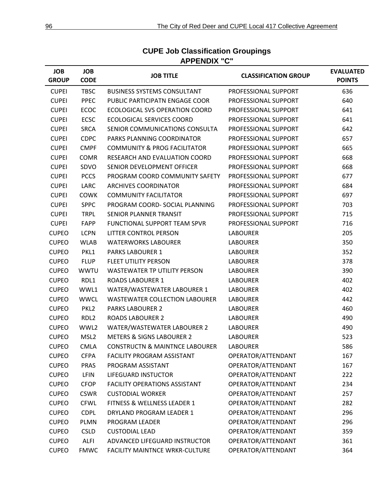| <b>JOB</b><br><b>GROUP</b> | <b>JOB</b><br><b>CODE</b> | <b>JOB TITLE</b>                          | <b>CLASSIFICATION GROUP</b> | <b>EVALUATED</b><br><b>POINTS</b> |
|----------------------------|---------------------------|-------------------------------------------|-----------------------------|-----------------------------------|
| <b>CUPEI</b>               | <b>TBSC</b>               | <b>BUSINESS SYSTEMS CONSULTANT</b>        | PROFESSIONAL SUPPORT        | 636                               |
| <b>CUPEI</b>               | <b>PPEC</b>               | PUBLIC PARTICIPATN ENGAGE COOR            | PROFESSIONAL SUPPORT        | 640                               |
| <b>CUPEI</b>               | <b>ECOC</b>               | ECOLOGICAL SVS OPERATION COORD            | PROFESSIONAL SUPPORT        | 641                               |
| <b>CUPEI</b>               | <b>ECSC</b>               | <b>ECOLOGICAL SERVICES COORD</b>          | PROFESSIONAL SUPPORT        | 641                               |
| <b>CUPEI</b>               | <b>SRCA</b>               | SENIOR COMMUNICATIONS CONSULTA            | PROFESSIONAL SUPPORT        | 642                               |
| <b>CUPEI</b>               | <b>CDPC</b>               | PARKS PLANNING COORDINATOR                | PROFESSIONAL SUPPORT        | 657                               |
| <b>CUPEI</b>               | <b>CMPF</b>               | <b>COMMUNITY &amp; PROG FACILITATOR</b>   | PROFESSIONAL SUPPORT        | 665                               |
| <b>CUPEI</b>               | <b>COMR</b>               | RESEARCH AND EVALUATION COORD             | PROFESSIONAL SUPPORT        | 668                               |
| <b>CUPEI</b>               | SDVO                      | SENIOR DEVELOPMENT OFFICER                | PROFESSIONAL SUPPORT        | 668                               |
| <b>CUPEI</b>               | <b>PCCS</b>               | PROGRAM COORD COMMUNITY SAFETY            | PROFESSIONAL SUPPORT        | 677                               |
| <b>CUPEI</b>               | LARC                      | ARCHIVES COORDINATOR                      | PROFESSIONAL SUPPORT        | 684                               |
| <b>CUPEI</b>               | <b>COWK</b>               | <b>COMMUNITY FACILITATOR</b>              | PROFESSIONAL SUPPORT        | 697                               |
| <b>CUPEI</b>               | <b>SPPC</b>               | PROGRAM COORD- SOCIAL PLANNING            | PROFESSIONAL SUPPORT        | 703                               |
| <b>CUPEI</b>               | <b>TRPL</b>               | SENIOR PLANNER TRANSIT                    | PROFESSIONAL SUPPORT        | 715                               |
| <b>CUPEI</b>               | FAPP                      | FUNCTIONAL SUPPORT TEAM SPVR              | PROFESSIONAL SUPPORT        | 716                               |
| <b>CUPEO</b>               | <b>LCPN</b>               | LITTER CONTROL PERSON                     | <b>LABOURER</b>             | 205                               |
| <b>CUPEO</b>               | <b>WLAB</b>               | <b>WATERWORKS LABOURER</b>                | <b>LABOURER</b>             | 350                               |
| <b>CUPEO</b>               | PKL1                      | <b>PARKS LABOURER 1</b>                   | <b>LABOURER</b>             | 352                               |
| <b>CUPEO</b>               | <b>FLUP</b>               | <b>FLEET UTILITY PERSON</b>               | <b>LABOURER</b>             | 378                               |
| <b>CUPEO</b>               | <b>WWTU</b>               | WASTEWATER TP UTILITY PERSON              | <b>LABOURER</b>             | 390                               |
| <b>CUPEO</b>               | RDL1                      | <b>ROADS LABOURER 1</b>                   | <b>LABOURER</b>             | 402                               |
| <b>CUPEO</b>               | WWL1                      | WATER/WASTEWATER LABOURER 1               | <b>LABOURER</b>             | 402                               |
| <b>CUPEO</b>               | <b>WWCL</b>               | <b>WASTEWATER COLLECTION LABOURER</b>     | <b>LABOURER</b>             | 442                               |
| <b>CUPEO</b>               | PKL <sub>2</sub>          | <b>PARKS LABOURER 2</b>                   | <b>LABOURER</b>             | 460                               |
| <b>CUPEO</b>               | RDL <sub>2</sub>          | <b>ROADS LABOURER 2</b>                   | <b>LABOURER</b>             | 490                               |
| <b>CUPEO</b>               | WWL2                      | WATER/WASTEWATER LABOURER 2               | <b>LABOURER</b>             | 490                               |
| <b>CUPEO</b>               | MSL <sub>2</sub>          | <b>METERS &amp; SIGNS LABOURER 2</b>      | <b>LABOURER</b>             | 523                               |
| <b>CUPEO</b>               | <b>CMLA</b>               | <b>CONSTRUCTN &amp; MAINTNCE LABOURER</b> | <b>LABOURER</b>             | 586                               |
| <b>CUPEO</b>               | <b>CFPA</b>               | <b>FACILITY PROGRAM ASSISTANT</b>         | OPERATOR/ATTENDANT          | 167                               |
| <b>CUPEO</b>               | PRAS                      | PROGRAM ASSISTANT                         | OPERATOR/ATTENDANT          | 167                               |
| <b>CUPEO</b>               | <b>LFIN</b>               | <b>LIFEGUARD INSTUCTOR</b>                | OPERATOR/ATTENDANT          | 222                               |
| <b>CUPEO</b>               | <b>CFOP</b>               | <b>FACILITY OPERATIONS ASSISTANT</b>      | OPERATOR/ATTENDANT          | 234                               |
| <b>CUPEO</b>               | <b>CSWR</b>               | <b>CUSTODIAL WORKER</b>                   | OPERATOR/ATTENDANT          | 257                               |
| <b>CUPEO</b>               | <b>CFWL</b>               | FITNESS & WELLNESS LEADER 1               | OPERATOR/ATTENDANT          | 282                               |
| <b>CUPEO</b>               | <b>CDPL</b>               | DRYLAND PROGRAM LEADER 1                  | OPERATOR/ATTENDANT          | 296                               |
| <b>CUPEO</b>               | <b>PLMN</b>               | PROGRAM LEADER                            | OPERATOR/ATTENDANT          | 296                               |
| <b>CUPEO</b>               | <b>CSLD</b>               | <b>CUSTODIAL LEAD</b>                     | OPERATOR/ATTENDANT          | 359                               |
| <b>CUPEO</b>               | <b>ALFI</b>               | ADVANCED LIFEGUARD INSTRUCTOR             | OPERATOR/ATTENDANT          | 361                               |
| <b>CUPEO</b>               | <b>FMWC</b>               | FACILITY MAINTNCE WRKR-CULTURE            | OPERATOR/ATTENDANT          | 364                               |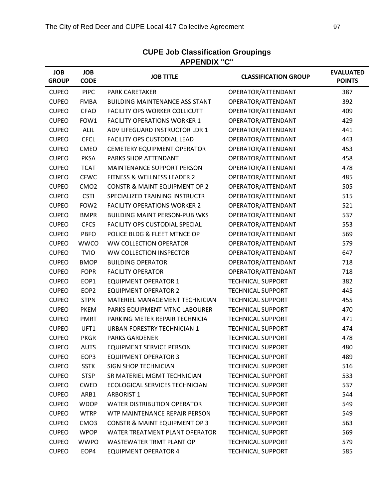| <b>JOB</b><br><b>GROUP</b> | <b>JOB</b><br><b>CODE</b> | <b>JOB TITLE</b>                         | <b>CLASSIFICATION GROUP</b> | <b>EVALUATED</b><br><b>POINTS</b> |
|----------------------------|---------------------------|------------------------------------------|-----------------------------|-----------------------------------|
| <b>CUPEO</b>               | <b>PIPC</b>               | <b>PARK CARETAKER</b>                    | OPERATOR/ATTENDANT          | 387                               |
| <b>CUPEO</b>               | <b>FMBA</b>               | <b>BUILDING MAINTENANCE ASSISTANT</b>    | OPERATOR/ATTENDANT          | 392                               |
| <b>CUPEO</b>               | <b>CFAO</b>               | <b>FACILITY OPS WORKER COLLICUTT</b>     | OPERATOR/ATTENDANT          | 409                               |
| <b>CUPEO</b>               | FOW1                      | <b>FACILITY OPERATIONS WORKER 1</b>      | OPERATOR/ATTENDANT          | 429                               |
| <b>CUPEO</b>               | <b>ALIL</b>               | ADV LIFEGUARD INSTRUCTOR LDR 1           | OPERATOR/ATTENDANT          | 441                               |
| <b>CUPEO</b>               | <b>CFCL</b>               | <b>FACILITY OPS CUSTODIAL LEAD</b>       | OPERATOR/ATTENDANT          | 443                               |
| <b>CUPEO</b>               | CMEO                      | <b>CEMETERY EQUIPMENT OPERATOR</b>       | OPERATOR/ATTENDANT          | 453                               |
| <b>CUPEO</b>               | <b>PKSA</b>               | PARKS SHOP ATTENDANT                     | OPERATOR/ATTENDANT          | 458                               |
| <b>CUPEO</b>               | <b>TCAT</b>               | <b>MAINTENANCE SUPPORT PERSON</b>        | OPERATOR/ATTENDANT          | 478                               |
| <b>CUPEO</b>               | <b>CFWC</b>               | <b>FITNESS &amp; WELLNESS LEADER 2</b>   | OPERATOR/ATTENDANT          | 485                               |
| <b>CUPEO</b>               | CMO <sub>2</sub>          | <b>CONSTR &amp; MAINT EQUIPMENT OP 2</b> | OPERATOR/ATTENDANT          | 505                               |
| <b>CUPEO</b>               | <b>CSTI</b>               | SPECIALIZED TRAINING INSTRUCTR           | OPERATOR/ATTENDANT          | 515                               |
| <b>CUPEO</b>               | FOW <sub>2</sub>          | <b>FACILITY OPERATIONS WORKER 2</b>      | OPERATOR/ATTENDANT          | 521                               |
| <b>CUPEO</b>               | <b>BMPR</b>               | <b>BUILDING MAINT PERSON-PUB WKS</b>     | OPERATOR/ATTENDANT          | 537                               |
| <b>CUPEO</b>               | <b>CFCS</b>               | <b>FACILITY OPS CUSTODIAL SPECIAL</b>    | OPERATOR/ATTENDANT          | 553                               |
| <b>CUPEO</b>               | <b>PBFO</b>               | POLICE BLDG & FLEET MTNCE OP             | OPERATOR/ATTENDANT          | 569                               |
| <b>CUPEO</b>               | <b>WWCO</b>               | <b>WW COLLECTION OPERATOR</b>            | OPERATOR/ATTENDANT          | 579                               |
| <b>CUPEO</b>               | <b>TVIO</b>               | WW COLLECTION INSPECTOR                  | OPERATOR/ATTENDANT          | 647                               |
| <b>CUPEO</b>               | <b>BMOP</b>               | <b>BUILDING OPERATOR</b>                 | OPERATOR/ATTENDANT          | 718                               |
| <b>CUPEO</b>               | <b>FOPR</b>               | <b>FACILITY OPERATOR</b>                 | OPERATOR/ATTENDANT          | 718                               |
| <b>CUPEO</b>               | EOP1                      | <b>EQUIPMENT OPERATOR 1</b>              | <b>TECHNICAL SUPPORT</b>    | 382                               |
| <b>CUPEO</b>               | EOP <sub>2</sub>          | <b>EQUIPMENT OPERATOR 2</b>              | <b>TECHNICAL SUPPORT</b>    | 445                               |
| <b>CUPEO</b>               | <b>STPN</b>               | MATERIEL MANAGEMENT TECHNICIAN           | <b>TECHNICAL SUPPORT</b>    | 455                               |
| <b>CUPEO</b>               | <b>PKEM</b>               | PARKS EQUIPMENT MTNC LABOURER            | <b>TECHNICAL SUPPORT</b>    | 470                               |
| <b>CUPEO</b>               | <b>PMRT</b>               | PARKING METER REPAIR TECHNICIA           | <b>TECHNICAL SUPPORT</b>    | 471                               |
| <b>CUPEO</b>               | UFT1                      | URBAN FORESTRY TECHNICIAN 1              | <b>TECHNICAL SUPPORT</b>    | 474                               |
| <b>CUPEO</b>               | <b>PKGR</b>               | <b>PARKS GARDENER</b>                    | <b>TECHNICAL SUPPORT</b>    | 478                               |
| <b>CUPEO</b>               | <b>AUTS</b>               | <b>EQUIPMENT SERVICE PERSON</b>          | <b>TECHNICAL SUPPORT</b>    | 480                               |
| <b>CUPEO</b>               | EOP3                      | <b>EQUIPMENT OPERATOR 3</b>              | <b>TECHNICAL SUPPORT</b>    | 489                               |
| <b>CUPEO</b>               | <b>SSTK</b>               | <b>SIGN SHOP TECHNICIAN</b>              | <b>TECHNICAL SUPPORT</b>    | 516                               |
| <b>CUPEO</b>               | <b>STSP</b>               | SR MATERIEL MGMT TECHNICIAN              | <b>TECHNICAL SUPPORT</b>    | 533                               |
| <b>CUPEO</b>               | <b>CWED</b>               | ECOLOGICAL SERVICES TECHNICIAN           | <b>TECHNICAL SUPPORT</b>    | 537                               |
| <b>CUPEO</b>               | ARB1                      | <b>ARBORIST 1</b>                        | <b>TECHNICAL SUPPORT</b>    | 544                               |
| <b>CUPEO</b>               | <b>WDOP</b>               | <b>WATER DISTRIBUTION OPERATOR</b>       | <b>TECHNICAL SUPPORT</b>    | 549                               |
| <b>CUPEO</b>               | <b>WTRP</b>               | WTP MAINTENANCE REPAIR PERSON            | <b>TECHNICAL SUPPORT</b>    | 549                               |
| <b>CUPEO</b>               | CMO <sub>3</sub>          | <b>CONSTR &amp; MAINT EQUIPMENT OP 3</b> | <b>TECHNICAL SUPPORT</b>    | 563                               |
| <b>CUPEO</b>               | <b>WPOP</b>               | WATER TREATMENT PLANT OPERATOR           | <b>TECHNICAL SUPPORT</b>    | 569                               |
| <b>CUPEO</b>               | <b>WWPO</b>               | WASTEWATER TRMT PLANT OP                 | <b>TECHNICAL SUPPORT</b>    | 579                               |
| <b>CUPEO</b>               | EOP4                      | <b>EQUIPMENT OPERATOR 4</b>              | <b>TECHNICAL SUPPORT</b>    | 585                               |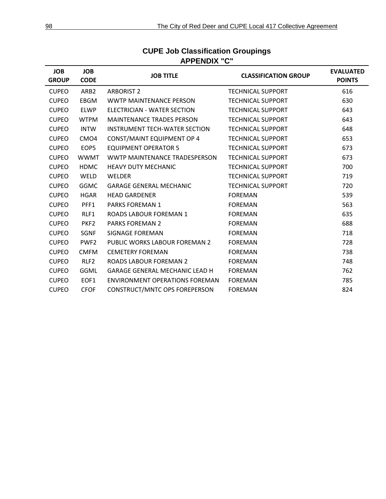| <b>JOB</b><br><b>GROUP</b> | <b>JOB</b><br><b>CODE</b> | <b>JOB TITLE</b>                      | <b>CLASSIFICATION GROUP</b> | <b>EVALUATED</b><br><b>POINTS</b> |
|----------------------------|---------------------------|---------------------------------------|-----------------------------|-----------------------------------|
| <b>CUPEO</b>               | ARB <sub>2</sub>          | <b>ARBORIST 2</b>                     | <b>TECHNICAL SUPPORT</b>    | 616                               |
| <b>CUPEO</b>               | <b>EBGM</b>               | <b>WWTP MAINTENANCE PERSON</b>        | <b>TECHNICAL SUPPORT</b>    | 630                               |
| <b>CUPEO</b>               | <b>ELWP</b>               | ELECTRICIAN - WATER SECTION           | <b>TECHNICAL SUPPORT</b>    | 643                               |
| <b>CUPEO</b>               | <b>WTPM</b>               | <b>MAINTENANCE TRADES PERSON</b>      | <b>TECHNICAL SUPPORT</b>    | 643                               |
| <b>CUPEO</b>               | <b>INTW</b>               | <b>INSTRUMENT TECH-WATER SECTION</b>  | <b>TECHNICAL SUPPORT</b>    | 648                               |
| <b>CUPEO</b>               | CMO <sub>4</sub>          | <b>CONST/MAINT EQUIPMENT OP 4</b>     | <b>TECHNICAL SUPPORT</b>    | 653                               |
| <b>CUPEO</b>               | EOP5                      | <b>EQUIPMENT OPERATOR 5</b>           | <b>TECHNICAL SUPPORT</b>    | 673                               |
| <b>CUPEO</b>               | <b>WWMT</b>               | WWTP MAINTENANCE TRADESPERSON         | <b>TECHNICAL SUPPORT</b>    | 673                               |
| <b>CUPEO</b>               | <b>HDMC</b>               | <b>HEAVY DUTY MECHANIC</b>            | <b>TECHNICAL SUPPORT</b>    | 700                               |
| <b>CUPEO</b>               | WELD                      | <b>WELDER</b>                         | <b>TECHNICAL SUPPORT</b>    | 719                               |
| <b>CUPEO</b>               | <b>GGMC</b>               | <b>GARAGE GENERAL MECHANIC</b>        | <b>TECHNICAL SUPPORT</b>    | 720                               |
| <b>CUPEO</b>               | <b>HGAR</b>               | <b>HEAD GARDENER</b>                  | <b>FOREMAN</b>              | 539                               |
| <b>CUPEO</b>               | PFF1                      | <b>PARKS FOREMAN 1</b>                | <b>FOREMAN</b>              | 563                               |
| <b>CUPEO</b>               | RLF1                      | <b>ROADS LABOUR FOREMAN 1</b>         | <b>FOREMAN</b>              | 635                               |
| <b>CUPEO</b>               | PKF <sub>2</sub>          | <b>PARKS FOREMAN 2</b>                | <b>FOREMAN</b>              | 688                               |
| <b>CUPEO</b>               | <b>SGNF</b>               | <b>SIGNAGE FOREMAN</b>                | <b>FOREMAN</b>              | 718                               |
| <b>CUPEO</b>               | PWF <sub>2</sub>          | PUBLIC WORKS LABOUR FOREMAN 2         | <b>FOREMAN</b>              | 728                               |
| <b>CUPEO</b>               | <b>CMFM</b>               | <b>CEMETERY FOREMAN</b>               | <b>FOREMAN</b>              | 738                               |
| <b>CUPEO</b>               | RLF <sub>2</sub>          | <b>ROADS LABOUR FOREMAN 2</b>         | <b>FOREMAN</b>              | 748                               |
| <b>CUPEO</b>               | GGML                      | <b>GARAGE GENERAL MECHANIC LEAD H</b> | <b>FOREMAN</b>              | 762                               |
| <b>CUPEO</b>               | EOF1                      | ENVIRONMENT OPERATIONS FOREMAN        | <b>FOREMAN</b>              | 785                               |
| <b>CUPEO</b>               | <b>CFOF</b>               | CONSTRUCT/MNTC OPS FOREPERSON         | <b>FOREMAN</b>              | 824                               |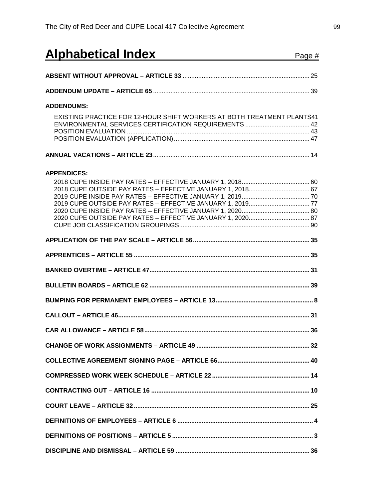| <b>Alphabetical Index</b>                                                                                                                      | Page # |
|------------------------------------------------------------------------------------------------------------------------------------------------|--------|
|                                                                                                                                                |        |
|                                                                                                                                                |        |
| <b>ADDENDUMS:</b>                                                                                                                              |        |
| EXISTING PRACTICE FOR 12-HOUR SHIFT WORKERS AT BOTH TREATMENT PLANTS41                                                                         |        |
|                                                                                                                                                |        |
| <b>APPENDICES:</b><br>2018 CUPE OUTSIDE PAY RATES - EFFECTIVE JANUARY 1, 2018 67<br>2020 CUPE OUTSIDE PAY RATES - EFFECTIVE JANUARY 1, 2020 87 |        |
|                                                                                                                                                |        |
|                                                                                                                                                |        |
|                                                                                                                                                |        |
|                                                                                                                                                |        |
|                                                                                                                                                |        |
|                                                                                                                                                |        |
|                                                                                                                                                | 36     |
|                                                                                                                                                |        |
|                                                                                                                                                |        |
|                                                                                                                                                |        |
|                                                                                                                                                |        |
|                                                                                                                                                |        |
|                                                                                                                                                |        |
|                                                                                                                                                |        |
|                                                                                                                                                |        |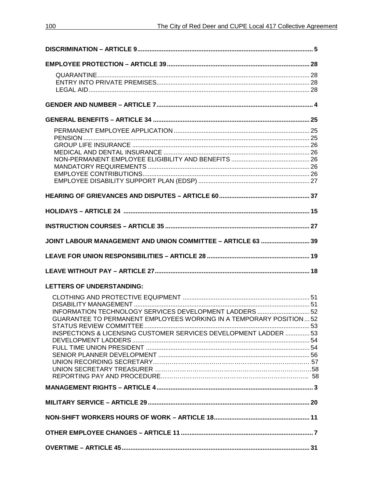| JOINT LABOUR MANAGEMENT AND UNION COMMITTEE - ARTICLE 63  39        |  |
|---------------------------------------------------------------------|--|
|                                                                     |  |
|                                                                     |  |
| <b>LETTERS OF UNDERSTANDING:</b>                                    |  |
|                                                                     |  |
|                                                                     |  |
| INFORMATION TECHNOLOGY SERVICES DEVELOPMENT LADDERS  52             |  |
| GUARANTEE TO PERMANENT EMPLOYEES WORKING IN A TEMPORARY POSITION 52 |  |
|                                                                     |  |
| INSPECTIONS & LICENSING CUSTOMER SERVICES DEVELOPMENT LADDER  53    |  |
|                                                                     |  |
|                                                                     |  |
|                                                                     |  |
|                                                                     |  |
|                                                                     |  |
|                                                                     |  |
|                                                                     |  |
|                                                                     |  |
|                                                                     |  |
|                                                                     |  |
|                                                                     |  |
|                                                                     |  |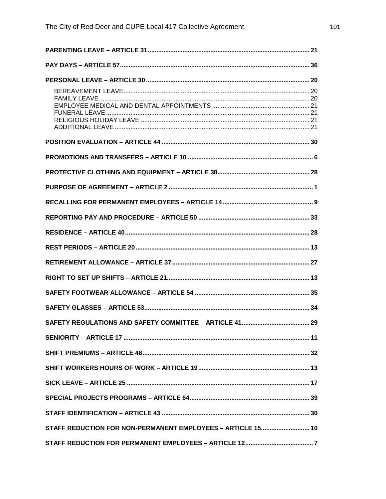| STAFF REDUCTION FOR NON-PERMANENT EMPLOYEES - ARTICLE 15 10 |  |
|-------------------------------------------------------------|--|
|                                                             |  |